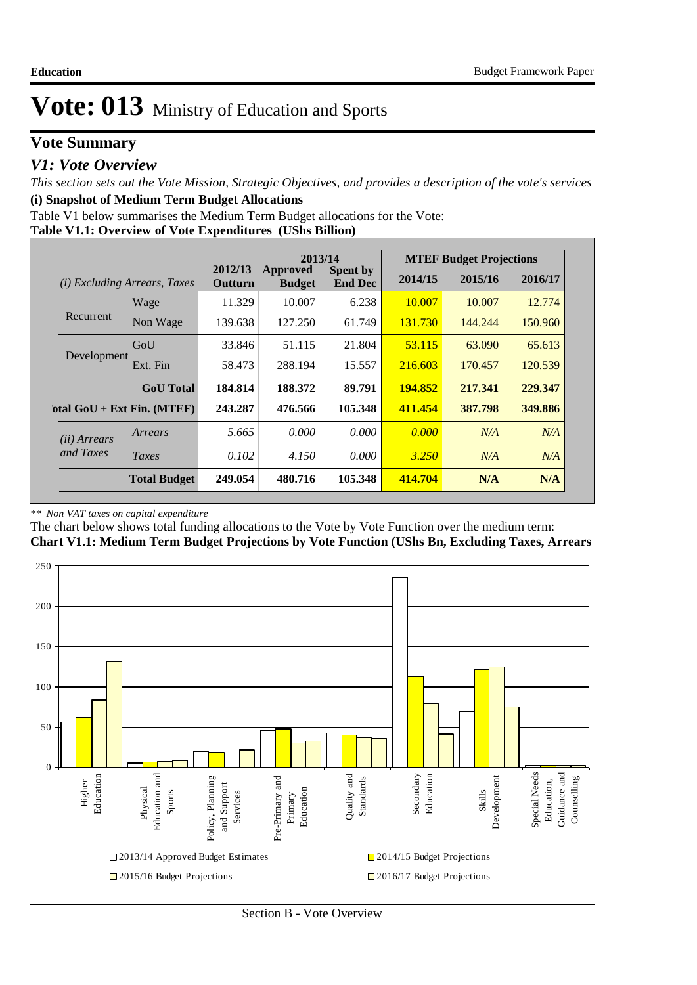### **Vote Summary**

### *V1: Vote Overview*

*This section sets out the Vote Mission, Strategic Objectives, and provides a description of the vote's services* **(i) Snapshot of Medium Term Budget Allocations** 

Table V1 below summarises the Medium Term Budget allocations for the Vote:

#### **Table V1.1: Overview of Vote Expenditures (UShs Billion)**

|                       |                                 |                    | 2013/14                   |                                   |         | <b>MTEF Budget Projections</b> |         |
|-----------------------|---------------------------------|--------------------|---------------------------|-----------------------------------|---------|--------------------------------|---------|
| (i)                   | <i>Excluding Arrears, Taxes</i> | 2012/13<br>Outturn | Approved<br><b>Budget</b> | <b>Spent by</b><br><b>End Dec</b> | 2014/15 | 2015/16                        | 2016/17 |
|                       | Wage                            | 11.329             | 10.007                    | 6.238                             | 10.007  | 10.007                         | 12.774  |
| Recurrent             | Non Wage                        | 139.638            | 127.250                   | 61.749                            | 131.730 | 144.244                        | 150.960 |
|                       | GoU                             | 33.846             | 51.115                    | 21.804                            | 53.115  | 63.090                         | 65.613  |
| Development           | Ext. Fin                        | 58.473             | 288.194                   | 15.557                            | 216.603 | 170.457                        | 120.539 |
|                       | <b>GoU</b> Total                | 184.814            | 188.372                   | 89.791                            | 194.852 | 217.341                        | 229.347 |
|                       | otal $GoU + Ext Fin. (MTEF)$    | 243.287            | 476.566                   | 105.348                           | 411.454 | 387.798                        | 349.886 |
| ( <i>ii</i> ) Arrears | Arrears                         | 5.665              | 0.000                     | 0.000                             | 0.000   | N/A                            | N/A     |
| and Taxes             | Taxes                           | 0.102              | 4.150                     | 0.000                             | 3.250   | N/A                            | N/A     |
|                       | <b>Total Budget</b>             | 249.054            | 480.716                   | 105.348                           | 414.704 | N/A                            | N/A     |

#### *\*\* Non VAT taxes on capital expenditure*

The chart below shows total funding allocations to the Vote by Vote Function over the medium term:

### **Chart V1.1: Medium Term Budget Projections by Vote Function (UShs Bn, Excluding Taxes, Arrears**

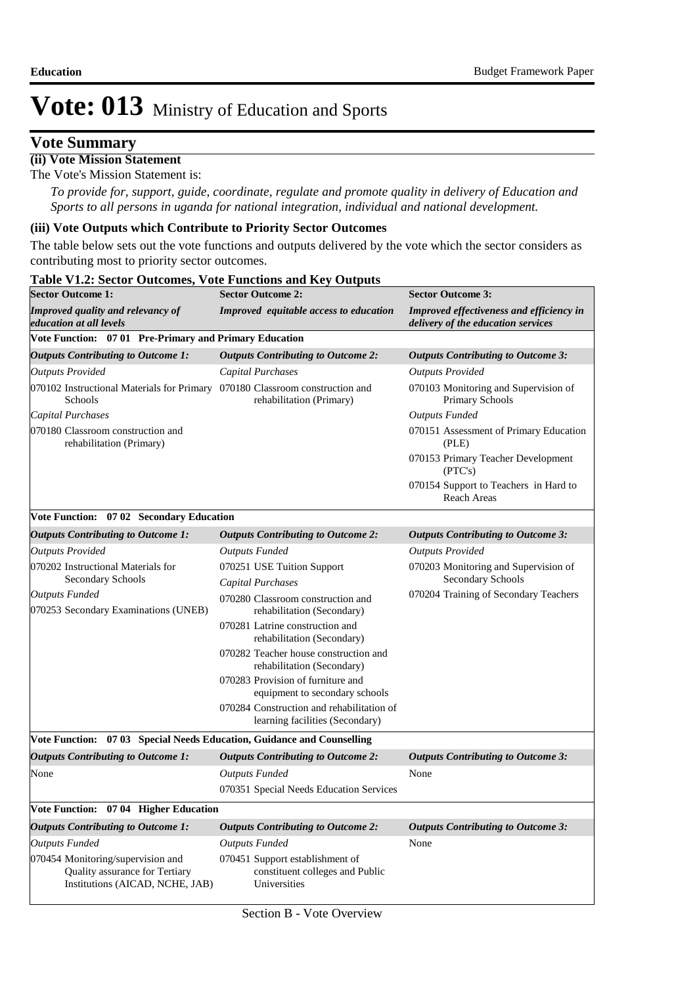### **Vote Summary**

### **(ii) Vote Mission Statement**

The Vote's Mission Statement is:

*To provide for, support, guide, coordinate, regulate and promote quality in delivery of Education and Sports to all persons in uganda for national integration, individual and national development.*

#### **(iii) Vote Outputs which Contribute to Priority Sector Outcomes**

The table below sets out the vote functions and outputs delivered by the vote which the sector considers as contributing most to priority sector outcomes.

| <b>Sector Outcome 1:</b>                                                                               | <b>Sector Outcome 2:</b>                                                           | <b>Sector Outcome 3:</b>                                                              |
|--------------------------------------------------------------------------------------------------------|------------------------------------------------------------------------------------|---------------------------------------------------------------------------------------|
| <b>Improved quality and relevancy of</b><br>education at all levels                                    | Improved equitable access to education                                             | <b>Improved effectiveness and efficiency in</b><br>delivery of the education services |
| Vote Function: 07 01 Pre-Primary and Primary Education                                                 |                                                                                    |                                                                                       |
| <b>Outputs Contributing to Outcome 1:</b>                                                              | <b>Outputs Contributing to Outcome 2:</b>                                          | <b>Outputs Contributing to Outcome 3:</b>                                             |
| <b>Outputs Provided</b>                                                                                | <b>Capital Purchases</b>                                                           | <b>Outputs Provided</b>                                                               |
| 070102 Instructional Materials for Primary 070180 Classroom construction and<br>Schools                | rehabilitation (Primary)                                                           | 070103 Monitoring and Supervision of<br><b>Primary Schools</b>                        |
| Capital Purchases                                                                                      |                                                                                    | <b>Outputs Funded</b>                                                                 |
| 070180 Classroom construction and<br>rehabilitation (Primary)                                          |                                                                                    | 070151 Assessment of Primary Education<br>(PLE)                                       |
|                                                                                                        |                                                                                    | 070153 Primary Teacher Development<br>(PTC's)                                         |
|                                                                                                        |                                                                                    | 070154 Support to Teachers in Hard to<br>Reach Areas                                  |
| Vote Function: 07 02 Secondary Education                                                               |                                                                                    |                                                                                       |
| <b>Outputs Contributing to Outcome 1:</b>                                                              | <b>Outputs Contributing to Outcome 2:</b>                                          | <b>Outputs Contributing to Outcome 3:</b>                                             |
| <b>Outputs Provided</b>                                                                                | <b>Outputs Funded</b>                                                              | <b>Outputs Provided</b>                                                               |
| 070202 Instructional Materials for<br>Secondary Schools                                                | 070251 USE Tuition Support<br>Capital Purchases                                    | 070203 Monitoring and Supervision of<br>Secondary Schools                             |
| <b>Outputs Funded</b>                                                                                  | 070280 Classroom construction and                                                  | 070204 Training of Secondary Teachers                                                 |
| 070253 Secondary Examinations (UNEB)                                                                   | rehabilitation (Secondary)                                                         |                                                                                       |
|                                                                                                        | 070281 Latrine construction and<br>rehabilitation (Secondary)                      |                                                                                       |
|                                                                                                        | 070282 Teacher house construction and<br>rehabilitation (Secondary)                |                                                                                       |
|                                                                                                        | 070283 Provision of furniture and<br>equipment to secondary schools                |                                                                                       |
|                                                                                                        | 070284 Construction and rehabilitation of<br>learning facilities (Secondary)       |                                                                                       |
| Vote Function: 07 03 Special Needs Education, Guidance and Counselling                                 |                                                                                    |                                                                                       |
| <b>Outputs Contributing to Outcome 1:</b>                                                              | <b>Outputs Contributing to Outcome 2:</b>                                          | <b>Outputs Contributing to Outcome 3:</b>                                             |
| None                                                                                                   | <b>Outputs Funded</b>                                                              | None                                                                                  |
|                                                                                                        | 070351 Special Needs Education Services                                            |                                                                                       |
| Vote Function: 07 04 Higher Education                                                                  |                                                                                    |                                                                                       |
| <b>Outputs Contributing to Outcome 1:</b>                                                              | <b>Outputs Contributing to Outcome 2:</b>                                          | <b>Outputs Contributing to Outcome 3:</b>                                             |
| <b>Outputs Funded</b>                                                                                  | <b>Outputs Funded</b>                                                              | None                                                                                  |
| 070454 Monitoring/supervision and<br>Quality assurance for Tertiary<br>Institutions (AICAD, NCHE, JAB) | 070451 Support establishment of<br>constituent colleges and Public<br>Universities |                                                                                       |

#### **Table V1.2: Sector Outcomes, Vote Functions and Key Outputs**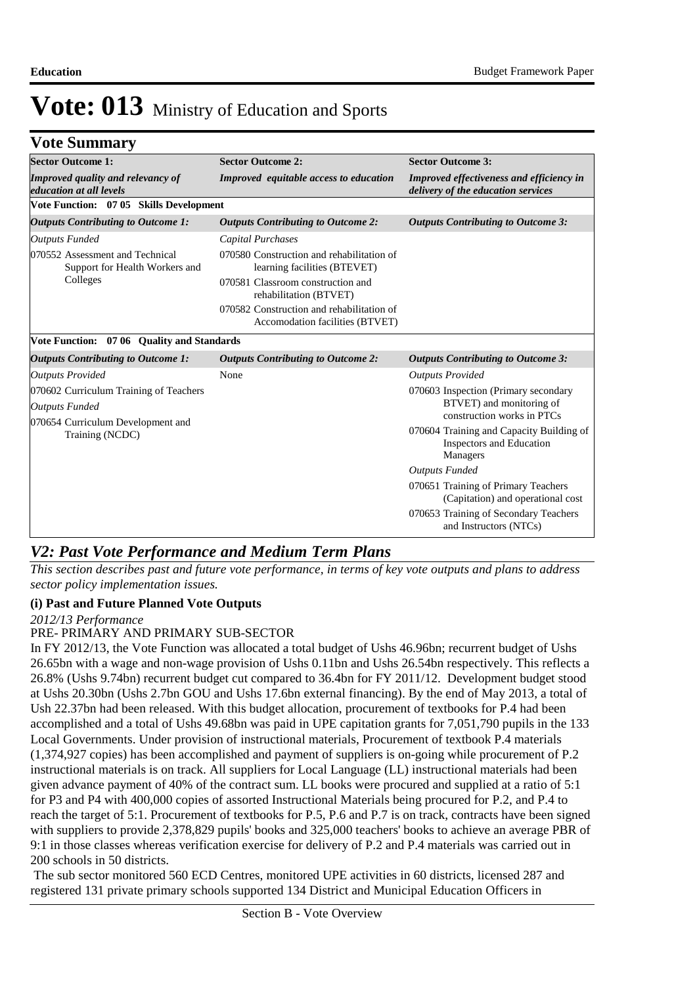### **Vote Summary**

| <b>Sector Outcome 1:</b>                                            | <b>Sector Outcome 2:</b>                                                     | <b>Sector Outcome 3:</b>                                                              |
|---------------------------------------------------------------------|------------------------------------------------------------------------------|---------------------------------------------------------------------------------------|
| <b>Improved quality and relevancy of</b><br>education at all levels | Improved equitable access to education                                       | <b>Improved effectiveness and efficiency in</b><br>delivery of the education services |
| Vote Function: 07 05 Skills Development                             |                                                                              |                                                                                       |
| <b>Outputs Contributing to Outcome 1:</b>                           | <b>Outputs Contributing to Outcome 2:</b>                                    | <b>Outputs Contributing to Outcome 3:</b>                                             |
| <b>Outputs Funded</b>                                               | <b>Capital Purchases</b>                                                     |                                                                                       |
| 070552 Assessment and Technical<br>Support for Health Workers and   | 070580 Construction and rehabilitation of<br>learning facilities (BTEVET)    |                                                                                       |
| Colleges                                                            | 070581 Classroom construction and<br>rehabilitation (BTVET)                  |                                                                                       |
|                                                                     | 070582 Construction and rehabilitation of<br>Accomodation facilities (BTVET) |                                                                                       |
| Vote Function: 07 06 Quality and Standards                          |                                                                              |                                                                                       |
| <b>Outputs Contributing to Outcome 1:</b>                           | <b>Outputs Contributing to Outcome 2:</b>                                    | <b>Outputs Contributing to Outcome 3:</b>                                             |
| <b>Outputs Provided</b>                                             | None                                                                         | <b>Outputs Provided</b>                                                               |
| 070602 Curriculum Training of Teachers                              |                                                                              | 070603 Inspection (Primary secondary                                                  |
| <b>Outputs Funded</b>                                               |                                                                              | BTVET) and monitoring of<br>construction works in PTCs                                |
| 070654 Curriculum Development and<br>Training (NCDC)                |                                                                              | 070604 Training and Capacity Building of<br>Inspectors and Education<br>Managers      |
|                                                                     |                                                                              | <b>Outputs Funded</b>                                                                 |
|                                                                     |                                                                              | 070651 Training of Primary Teachers<br>(Capitation) and operational cost              |
|                                                                     |                                                                              | 070653 Training of Secondary Teachers<br>and Instructors (NTCs)                       |

### *V2: Past Vote Performance and Medium Term Plans*

*This section describes past and future vote performance, in terms of key vote outputs and plans to address sector policy implementation issues.* 

### **(i) Past and Future Planned Vote Outputs**

*2012/13 Performance*

#### PRE- PRIMARY AND PRIMARY SUB-SECTOR

In FY 2012/13, the Vote Function was allocated a total budget of Ushs 46.96bn; recurrent budget of Ushs 26.65bn with a wage and non-wage provision of Ushs 0.11bn and Ushs 26.54bn respectively. This reflects a 26.8% (Ushs 9.74bn) recurrent budget cut compared to 36.4bn for FY 2011/12. Development budget stood at Ushs 20.30bn (Ushs 2.7bn GOU and Ushs 17.6bn external financing). By the end of May 2013, a total of Ush 22.37bn had been released. With this budget allocation, procurement of textbooks for P.4 had been accomplished and a total of Ushs 49.68bn was paid in UPE capitation grants for 7,051,790 pupils in the 133 Local Governments. Under provision of instructional materials, Procurement of textbook P.4 materials (1,374,927 copies) has been accomplished and payment of suppliers is on-going while procurement of P.2 instructional materials is on track. All suppliers for Local Language (LL) instructional materials had been given advance payment of 40% of the contract sum. LL books were procured and supplied at a ratio of 5:1 for P3 and P4 with 400,000 copies of assorted Instructional Materials being procured for P.2, and P.4 to reach the target of 5:1. Procurement of textbooks for P.5, P.6 and P.7 is on track, contracts have been signed with suppliers to provide 2,378,829 pupils' books and 325,000 teachers' books to achieve an average PBR of 9:1 in those classes whereas verification exercise for delivery of P.2 and P.4 materials was carried out in 200 schools in 50 districts.

 The sub sector monitored 560 ECD Centres, monitored UPE activities in 60 districts, licensed 287 and registered 131 private primary schools supported 134 District and Municipal Education Officers in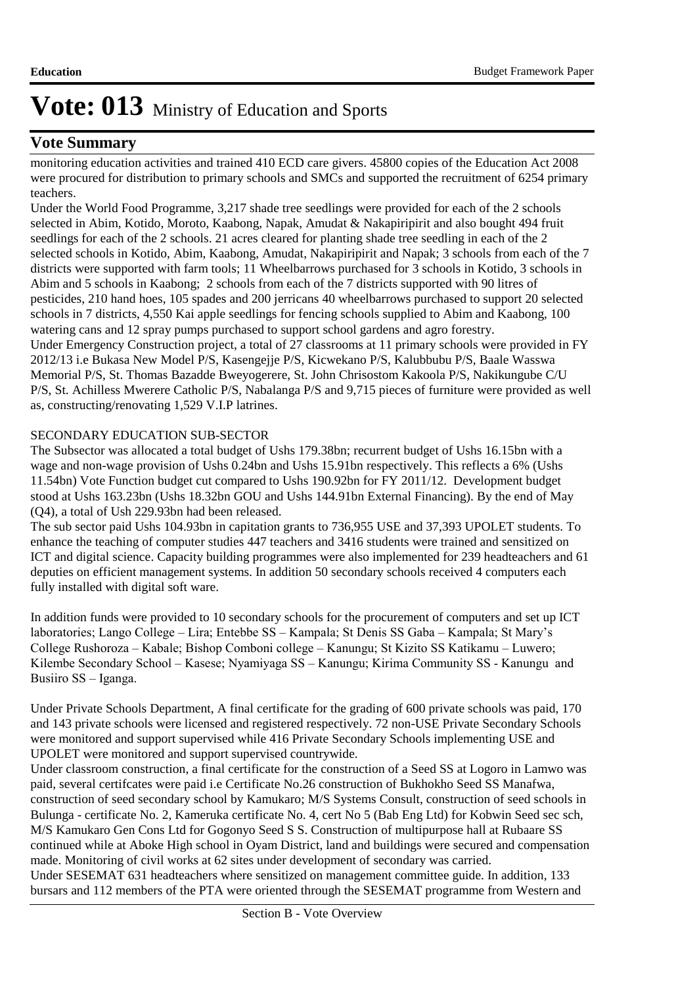### **Vote Summary**

monitoring education activities and trained 410 ECD care givers. 45800 copies of the Education Act 2008 were procured for distribution to primary schools and SMCs and supported the recruitment of 6254 primary teachers.

Under the World Food Programme, 3,217 shade tree seedlings were provided for each of the 2 schools selected in Abim, Kotido, Moroto, Kaabong, Napak, Amudat & Nakapiripirit and also bought 494 fruit seedlings for each of the 2 schools. 21 acres cleared for planting shade tree seedling in each of the 2 selected schools in Kotido, Abim, Kaabong, Amudat, Nakapiripirit and Napak; 3 schools from each of the 7 districts were supported with farm tools; 11 Wheelbarrows purchased for 3 schools in Kotido, 3 schools in Abim and 5 schools in Kaabong; 2 schools from each of the 7 districts supported with 90 litres of pesticides, 210 hand hoes, 105 spades and 200 jerricans 40 wheelbarrows purchased to support 20 selected schools in 7 districts, 4,550 Kai apple seedlings for fencing schools supplied to Abim and Kaabong, 100 watering cans and 12 spray pumps purchased to support school gardens and agro forestry. Under Emergency Construction project, a total of 27 classrooms at 11 primary schools were provided in FY 2012/13 i.e Bukasa New Model P/S, Kasengejje P/S, Kicwekano P/S, Kalubbubu P/S, Baale Wasswa Memorial P/S, St. Thomas Bazadde Bweyogerere, St. John Chrisostom Kakoola P/S, Nakikungube C/U P/S, St. Achilless Mwerere Catholic P/S, Nabalanga P/S and 9,715 pieces of furniture were provided as well as, constructing/renovating 1,529 V.I.P latrines.

#### SECONDARY EDUCATION SUB-SECTOR

The Subsector was allocated a total budget of Ushs 179.38bn; recurrent budget of Ushs 16.15bn with a wage and non-wage provision of Ushs 0.24bn and Ushs 15.91bn respectively. This reflects a 6% (Ushs 11.54bn) Vote Function budget cut compared to Ushs 190.92bn for FY 2011/12. Development budget stood at Ushs 163.23bn (Ushs 18.32bn GOU and Ushs 144.91bn External Financing). By the end of May (Q4), a total of Ush 229.93bn had been released.

The sub sector paid Ushs 104.93bn in capitation grants to 736,955 USE and 37,393 UPOLET students. To enhance the teaching of computer studies 447 teachers and 3416 students were trained and sensitized on ICT and digital science. Capacity building programmes were also implemented for 239 headteachers and 61 deputies on efficient management systems. In addition 50 secondary schools received 4 computers each fully installed with digital soft ware.

In addition funds were provided to 10 secondary schools for the procurement of computers and set up ICT laboratories; Lango College – Lira; Entebbe SS – Kampala; St Denis SS Gaba – Kampala; St Mary's College Rushoroza – Kabale; Bishop Comboni college – Kanungu; St Kizito SS Katikamu – Luwero; Kilembe Secondary School – Kasese; Nyamiyaga SS – Kanungu; Kirima Community SS - Kanungu and Busiiro SS – Iganga.

Under Private Schools Department, A final certificate for the grading of 600 private schools was paid, 170 and 143 private schools were licensed and registered respectively. 72 non-USE Private Secondary Schools were monitored and support supervised while 416 Private Secondary Schools implementing USE and UPOLET were monitored and support supervised countrywide.

Under classroom construction, a final certificate for the construction of a Seed SS at Logoro in Lamwo was paid, several certifcates were paid i.e Certificate No.26 construction of Bukhokho Seed SS Manafwa, construction of seed secondary school by Kamukaro; M/S Systems Consult, construction of seed schools in Bulunga - certificate No. 2, Kameruka certificate No. 4, cert No 5 (Bab Eng Ltd) for Kobwin Seed sec sch, M/S Kamukaro Gen Cons Ltd for Gogonyo Seed S S. Construction of multipurpose hall at Rubaare SS continued while at Aboke High school in Oyam District, land and buildings were secured and compensation made. Monitoring of civil works at 62 sites under development of secondary was carried. Under SESEMAT 631 headteachers where sensitized on management committee guide. In addition, 133 bursars and 112 members of the PTA were oriented through the SESEMAT programme from Western and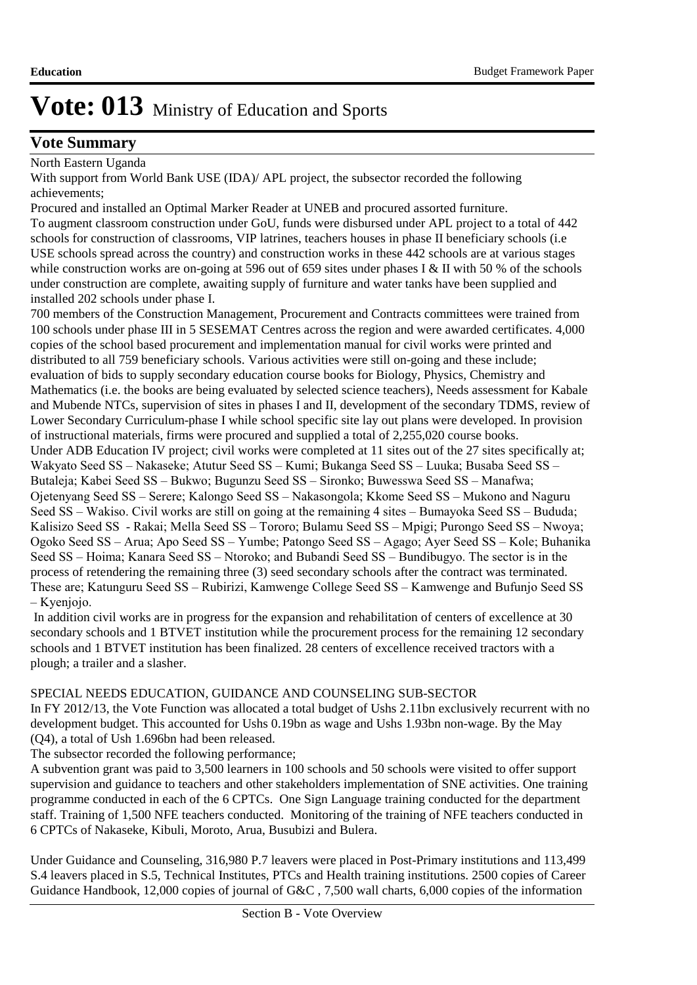### **Vote Summary**

North Eastern Uganda

With support from World Bank USE (IDA)/ APL project, the subsector recorded the following achievements;

Procured and installed an Optimal Marker Reader at UNEB and procured assorted furniture. To augment classroom construction under GoU, funds were disbursed under APL project to a total of 442 schools for construction of classrooms, VIP latrines, teachers houses in phase II beneficiary schools (i.e USE schools spread across the country) and construction works in these 442 schools are at various stages while construction works are on-going at 596 out of 659 sites under phases I & II with 50 % of the schools under construction are complete, awaiting supply of furniture and water tanks have been supplied and installed 202 schools under phase I.

700 members of the Construction Management, Procurement and Contracts committees were trained from 100 schools under phase III in 5 SESEMAT Centres across the region and were awarded certificates. 4,000 copies of the school based procurement and implementation manual for civil works were printed and distributed to all 759 beneficiary schools. Various activities were still on-going and these include; evaluation of bids to supply secondary education course books for Biology, Physics, Chemistry and Mathematics (i.e. the books are being evaluated by selected science teachers), Needs assessment for Kabale and Mubende NTCs, supervision of sites in phases I and II, development of the secondary TDMS, review of Lower Secondary Curriculum-phase I while school specific site lay out plans were developed. In provision of instructional materials, firms were procured and supplied a total of 2,255,020 course books. Under ADB Education IV project; civil works were completed at 11 sites out of the 27 sites specifically at; Wakyato Seed SS – Nakaseke; Atutur Seed SS – Kumi; Bukanga Seed SS – Luuka; Busaba Seed SS – Butaleja; Kabei Seed SS – Bukwo; Bugunzu Seed SS – Sironko; Buwesswa Seed SS – Manafwa; Ojetenyang Seed SS – Serere; Kalongo Seed SS – Nakasongola; Kkome Seed SS – Mukono and Naguru Seed SS – Wakiso. Civil works are still on going at the remaining 4 sites – Bumayoka Seed SS – Bududa; Kalisizo Seed SS - Rakai; Mella Seed SS – Tororo; Bulamu Seed SS – Mpigi; Purongo Seed SS – Nwoya; Ogoko Seed SS – Arua; Apo Seed SS – Yumbe; Patongo Seed SS – Agago; Ayer Seed SS – Kole; Buhanika Seed SS – Hoima; Kanara Seed SS – Ntoroko; and Bubandi Seed SS – Bundibugyo. The sector is in the process of retendering the remaining three (3) seed secondary schools after the contract was terminated. These are; Katunguru Seed SS – Rubirizi, Kamwenge College Seed SS – Kamwenge and Bufunjo Seed SS – Kyenjojo.

 In addition civil works are in progress for the expansion and rehabilitation of centers of excellence at 30 secondary schools and 1 BTVET institution while the procurement process for the remaining 12 secondary schools and 1 BTVET institution has been finalized. 28 centers of excellence received tractors with a plough; a trailer and a slasher.

### SPECIAL NEEDS EDUCATION, GUIDANCE AND COUNSELING SUB-SECTOR

In FY 2012/13, the Vote Function was allocated a total budget of Ushs 2.11bn exclusively recurrent with no development budget. This accounted for Ushs 0.19bn as wage and Ushs 1.93bn non-wage. By the May (Q4), a total of Ush 1.696bn had been released.

The subsector recorded the following performance;

A subvention grant was paid to 3,500 learners in 100 schools and 50 schools were visited to offer support supervision and guidance to teachers and other stakeholders implementation of SNE activities. One training programme conducted in each of the 6 CPTCs. One Sign Language training conducted for the department staff. Training of 1,500 NFE teachers conducted. Monitoring of the training of NFE teachers conducted in 6 CPTCs of Nakaseke, Kibuli, Moroto, Arua, Busubizi and Bulera.

Under Guidance and Counseling, 316,980 P.7 leavers were placed in Post-Primary institutions and 113,499 S.4 leavers placed in S.5, Technical Institutes, PTCs and Health training institutions. 2500 copies of Career Guidance Handbook, 12,000 copies of journal of G&C , 7,500 wall charts, 6,000 copies of the information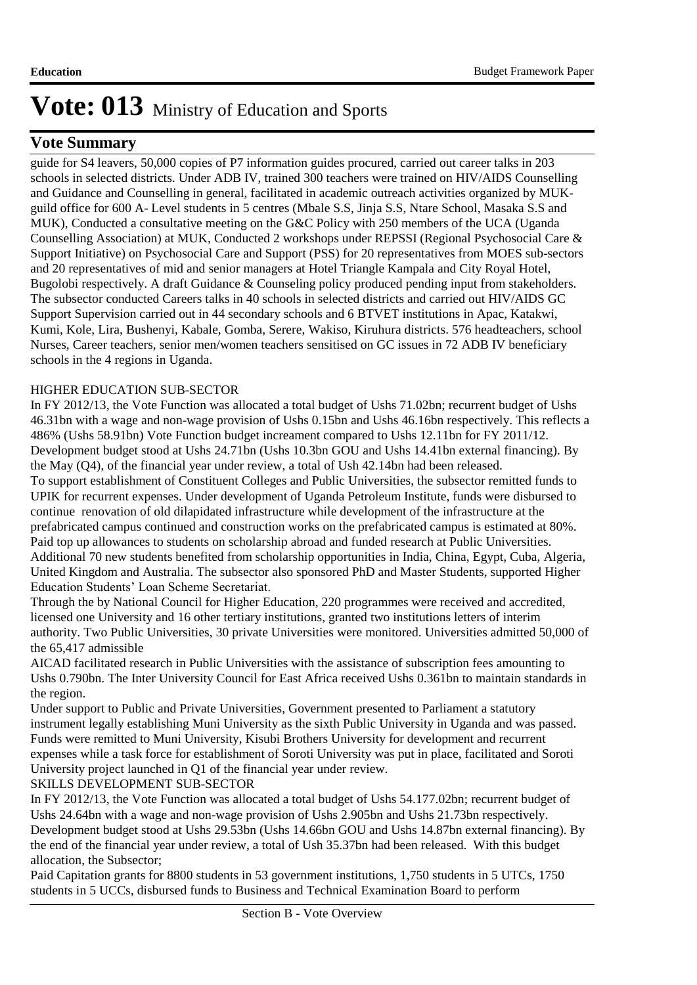### **Vote Summary**

guide for S4 leavers, 50,000 copies of P7 information guides procured, carried out career talks in 203 schools in selected districts. Under ADB IV, trained 300 teachers were trained on HIV/AIDS Counselling and Guidance and Counselling in general, facilitated in academic outreach activities organized by MUKguild office for 600 A- Level students in 5 centres (Mbale S.S, Jinja S.S, Ntare School, Masaka S.S and MUK), Conducted a consultative meeting on the G&C Policy with 250 members of the UCA (Uganda Counselling Association) at MUK, Conducted 2 workshops under REPSSI (Regional Psychosocial Care & Support Initiative) on Psychosocial Care and Support (PSS) for 20 representatives from MOES sub-sectors and 20 representatives of mid and senior managers at Hotel Triangle Kampala and City Royal Hotel, Bugolobi respectively. A draft Guidance & Counseling policy produced pending input from stakeholders. The subsector conducted Careers talks in 40 schools in selected districts and carried out HIV/AIDS GC Support Supervision carried out in 44 secondary schools and 6 BTVET institutions in Apac, Katakwi, Kumi, Kole, Lira, Bushenyi, Kabale, Gomba, Serere, Wakiso, Kiruhura districts. 576 headteachers, school Nurses, Career teachers, senior men/women teachers sensitised on GC issues in 72 ADB IV beneficiary schools in the 4 regions in Uganda.

### HIGHER EDUCATION SUB-SECTOR

In FY 2012/13, the Vote Function was allocated a total budget of Ushs 71.02bn; recurrent budget of Ushs 46.31bn with a wage and non-wage provision of Ushs 0.15bn and Ushs 46.16bn respectively. This reflects a 486% (Ushs 58.91bn) Vote Function budget increament compared to Ushs 12.11bn for FY 2011/12. Development budget stood at Ushs 24.71bn (Ushs 10.3bn GOU and Ushs 14.41bn external financing). By the May (Q4), of the financial year under review, a total of Ush 42.14bn had been released. To support establishment of Constituent Colleges and Public Universities, the subsector remitted funds to UPIK for recurrent expenses. Under development of Uganda Petroleum Institute, funds were disbursed to continue renovation of old dilapidated infrastructure while development of the infrastructure at the prefabricated campus continued and construction works on the prefabricated campus is estimated at 80%. Paid top up allowances to students on scholarship abroad and funded research at Public Universities. Additional 70 new students benefited from scholarship opportunities in India, China, Egypt, Cuba, Algeria, United Kingdom and Australia. The subsector also sponsored PhD and Master Students, supported Higher Education Students' Loan Scheme Secretariat.

Through the by National Council for Higher Education, 220 programmes were received and accredited, licensed one University and 16 other tertiary institutions, granted two institutions letters of interim authority. Two Public Universities, 30 private Universities were monitored. Universities admitted 50,000 of the 65,417 admissible

AICAD facilitated research in Public Universities with the assistance of subscription fees amounting to Ushs 0.790bn. The Inter University Council for East Africa received Ushs 0.361bn to maintain standards in the region.

Under support to Public and Private Universities, Government presented to Parliament a statutory instrument legally establishing Muni University as the sixth Public University in Uganda and was passed. Funds were remitted to Muni University, Kisubi Brothers University for development and recurrent expenses while a task force for establishment of Soroti University was put in place, facilitated and Soroti University project launched in Q1 of the financial year under review.

### SKILLS DEVELOPMENT SUB-SECTOR

In FY 2012/13, the Vote Function was allocated a total budget of Ushs 54.177.02bn; recurrent budget of Ushs 24.64bn with a wage and non-wage provision of Ushs 2.905bn and Ushs 21.73bn respectively. Development budget stood at Ushs 29.53bn (Ushs 14.66bn GOU and Ushs 14.87bn external financing). By the end of the financial year under review, a total of Ush 35.37bn had been released. With this budget allocation, the Subsector;

Paid Capitation grants for 8800 students in 53 government institutions, 1,750 students in 5 UTCs, 1750 students in 5 UCCs, disbursed funds to Business and Technical Examination Board to perform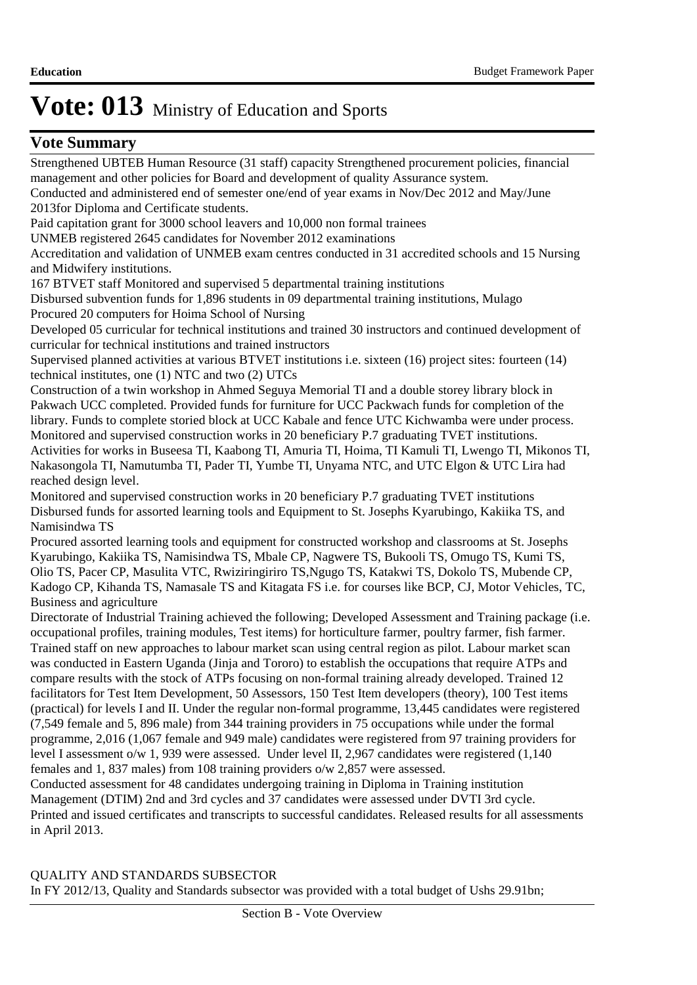### **Vote Summary**

Strengthened UBTEB Human Resource (31 staff) capacity Strengthened procurement policies, financial management and other policies for Board and development of quality Assurance system. Conducted and administered end of semester one/end of year exams in Nov/Dec 2012 and May/June 2013for Diploma and Certificate students. Paid capitation grant for 3000 school leavers and 10,000 non formal trainees UNMEB registered 2645 candidates for November 2012 examinations Accreditation and validation of UNMEB exam centres conducted in 31 accredited schools and 15 Nursing and Midwifery institutions. 167 BTVET staff Monitored and supervised 5 departmental training institutions Disbursed subvention funds for 1,896 students in 09 departmental training institutions, Mulago Procured 20 computers for Hoima School of Nursing Developed 05 curricular for technical institutions and trained 30 instructors and continued development of curricular for technical institutions and trained instructors Supervised planned activities at various BTVET institutions i.e. sixteen (16) project sites: fourteen (14) technical institutes, one (1) NTC and two (2) UTCs Construction of a twin workshop in Ahmed Seguya Memorial TI and a double storey library block in Pakwach UCC completed. Provided funds for furniture for UCC Packwach funds for completion of the library. Funds to complete storied block at UCC Kabale and fence UTC Kichwamba were under process. Monitored and supervised construction works in 20 beneficiary P.7 graduating TVET institutions. Activities for works in Buseesa TI, Kaabong TI, Amuria TI, Hoima, TI Kamuli TI, Lwengo TI, Mikonos TI, Nakasongola TI, Namutumba TI, Pader TI, Yumbe TI, Unyama NTC, and UTC Elgon & UTC Lira had reached design level. Monitored and supervised construction works in 20 beneficiary P.7 graduating TVET institutions Disbursed funds for assorted learning tools and Equipment to St. Josephs Kyarubingo, Kakiika TS, and Namisindwa TS Procured assorted learning tools and equipment for constructed workshop and classrooms at St. Josephs Kyarubingo, Kakiika TS, Namisindwa TS, Mbale CP, Nagwere TS, Bukooli TS, Omugo TS, Kumi TS, Olio TS, Pacer CP, Masulita VTC, Rwiziringiriro TS,Ngugo TS, Katakwi TS, Dokolo TS, Mubende CP, Kadogo CP, Kihanda TS, Namasale TS and Kitagata FS i.e. for courses like BCP, CJ, Motor Vehicles, TC, Business and agriculture Directorate of Industrial Training achieved the following; Developed Assessment and Training package (i.e. occupational profiles, training modules, Test items) for horticulture farmer, poultry farmer, fish farmer. Trained staff on new approaches to labour market scan using central region as pilot. Labour market scan was conducted in Eastern Uganda (Jinja and Tororo) to establish the occupations that require ATPs and compare results with the stock of ATPs focusing on non-formal training already developed. Trained 12 facilitators for Test Item Development, 50 Assessors, 150 Test Item developers (theory), 100 Test items (practical) for levels I and II. Under the regular non-formal programme, 13,445 candidates were registered (7,549 female and 5, 896 male) from 344 training providers in 75 occupations while under the formal programme, 2,016 (1,067 female and 949 male) candidates were registered from 97 training providers for level I assessment o/w 1, 939 were assessed. Under level II, 2,967 candidates were registered (1,140) females and 1, 837 males) from 108 training providers o/w 2,857 were assessed.

Conducted assessment for 48 candidates undergoing training in Diploma in Training institution Management (DTIM) 2nd and 3rd cycles and 37 candidates were assessed under DVTI 3rd cycle. Printed and issued certificates and transcripts to successful candidates. Released results for all assessments in April 2013.

### QUALITY AND STANDARDS SUBSECTOR

In FY 2012/13, Quality and Standards subsector was provided with a total budget of Ushs 29.91bn;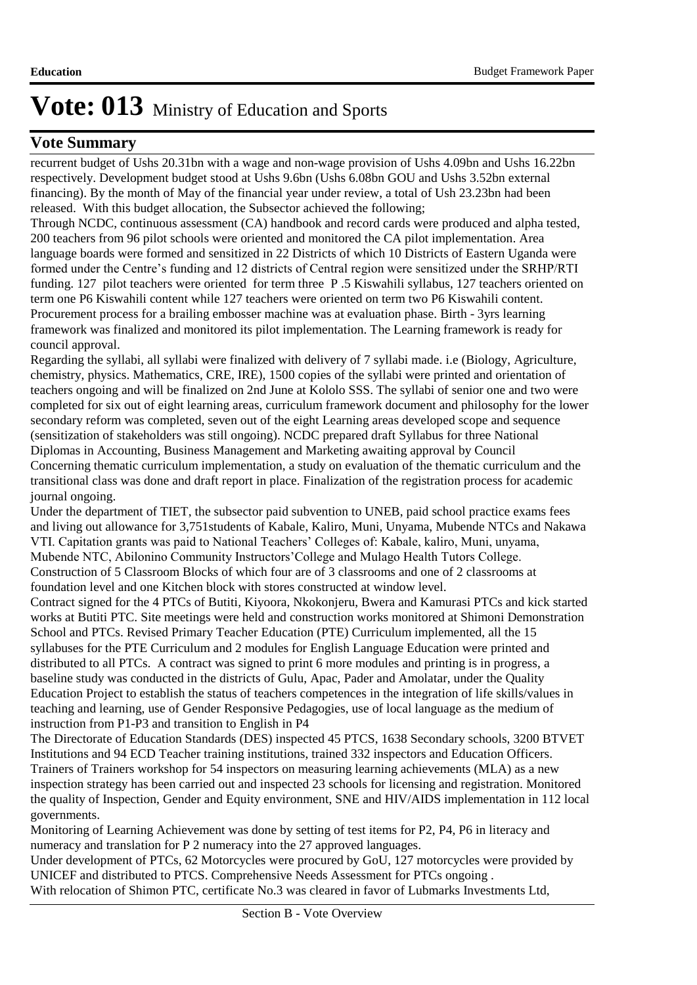### **Vote Summary**

recurrent budget of Ushs 20.31bn with a wage and non-wage provision of Ushs 4.09bn and Ushs 16.22bn respectively. Development budget stood at Ushs 9.6bn (Ushs 6.08bn GOU and Ushs 3.52bn external financing). By the month of May of the financial year under review, a total of Ush 23.23bn had been released. With this budget allocation, the Subsector achieved the following;

Through NCDC, continuous assessment (CA) handbook and record cards were produced and alpha tested, 200 teachers from 96 pilot schools were oriented and monitored the CA pilot implementation. Area language boards were formed and sensitized in 22 Districts of which 10 Districts of Eastern Uganda were formed under the Centre's funding and 12 districts of Central region were sensitized under the SRHP/RTI funding. 127 pilot teachers were oriented for term three P .5 Kiswahili syllabus, 127 teachers oriented on term one P6 Kiswahili content while 127 teachers were oriented on term two P6 Kiswahili content. Procurement process for a brailing embosser machine was at evaluation phase. Birth - 3yrs learning framework was finalized and monitored its pilot implementation. The Learning framework is ready for council approval.

Regarding the syllabi, all syllabi were finalized with delivery of 7 syllabi made. i.e (Biology, Agriculture, chemistry, physics. Mathematics, CRE, IRE), 1500 copies of the syllabi were printed and orientation of teachers ongoing and will be finalized on 2nd June at Kololo SSS. The syllabi of senior one and two were completed for six out of eight learning areas, curriculum framework document and philosophy for the lower secondary reform was completed, seven out of the eight Learning areas developed scope and sequence (sensitization of stakeholders was still ongoing). NCDC prepared draft Syllabus for three National Diplomas in Accounting, Business Management and Marketing awaiting approval by Council Concerning thematic curriculum implementation, a study on evaluation of the thematic curriculum and the transitional class was done and draft report in place. Finalization of the registration process for academic journal ongoing.

Under the department of TIET, the subsector paid subvention to UNEB, paid school practice exams fees and living out allowance for 3,751students of Kabale, Kaliro, Muni, Unyama, Mubende NTCs and Nakawa VTI. Capitation grants was paid to National Teachers' Colleges of: Kabale, kaliro, Muni, unyama, Mubende NTC, Abilonino Community Instructors'College and Mulago Health Tutors College. Construction of 5 Classroom Blocks of which four are of 3 classrooms and one of 2 classrooms at foundation level and one Kitchen block with stores constructed at window level.

Contract signed for the 4 PTCs of Butiti, Kiyoora, Nkokonjeru, Bwera and Kamurasi PTCs and kick started works at Butiti PTC. Site meetings were held and construction works monitored at Shimoni Demonstration School and PTCs. Revised Primary Teacher Education (PTE) Curriculum implemented, all the 15 syllabuses for the PTE Curriculum and 2 modules for English Language Education were printed and distributed to all PTCs. A contract was signed to print 6 more modules and printing is in progress, a baseline study was conducted in the districts of Gulu, Apac, Pader and Amolatar, under the Quality Education Project to establish the status of teachers competences in the integration of life skills/values in teaching and learning, use of Gender Responsive Pedagogies, use of local language as the medium of instruction from P1-P3 and transition to English in P4

The Directorate of Education Standards (DES) inspected 45 PTCS, 1638 Secondary schools, 3200 BTVET Institutions and 94 ECD Teacher training institutions, trained 332 inspectors and Education Officers. Trainers of Trainers workshop for 54 inspectors on measuring learning achievements (MLA) as a new inspection strategy has been carried out and inspected 23 schools for licensing and registration. Monitored the quality of Inspection, Gender and Equity environment, SNE and HIV/AIDS implementation in 112 local governments.

Monitoring of Learning Achievement was done by setting of test items for P2, P4, P6 in literacy and numeracy and translation for P 2 numeracy into the 27 approved languages.

Under development of PTCs, 62 Motorcycles were procured by GoU, 127 motorcycles were provided by UNICEF and distributed to PTCS. Comprehensive Needs Assessment for PTCs ongoing . With relocation of Shimon PTC, certificate No.3 was cleared in favor of Lubmarks Investments Ltd,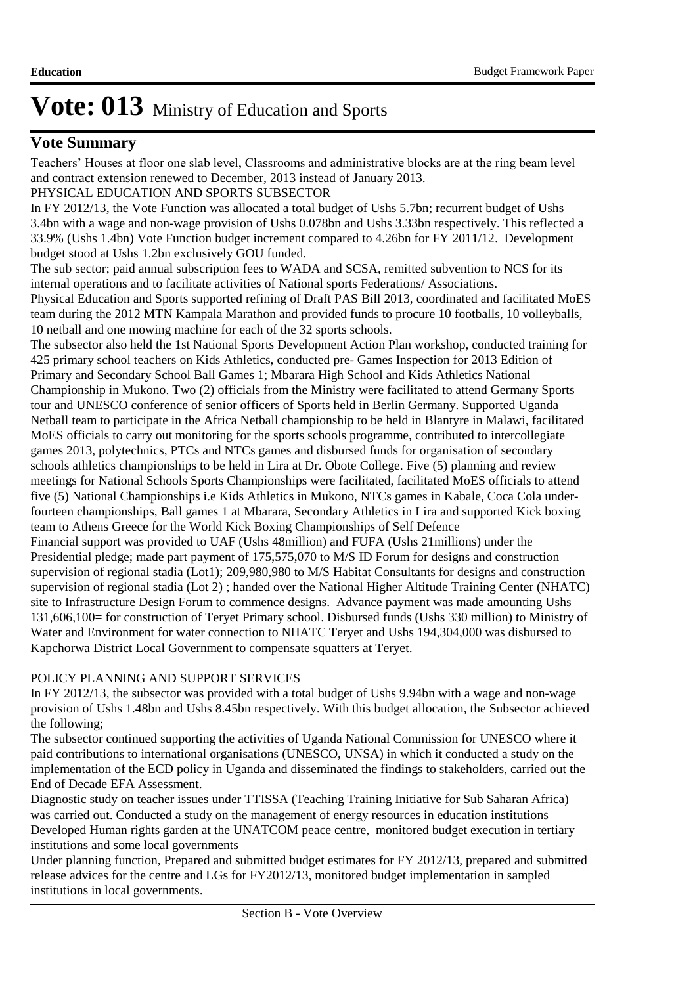### **Vote Summary**

Teachers' Houses at floor one slab level, Classrooms and administrative blocks are at the ring beam level and contract extension renewed to December, 2013 instead of January 2013.

### PHYSICAL EDUCATION AND SPORTS SUBSECTOR

In FY 2012/13, the Vote Function was allocated a total budget of Ushs 5.7bn; recurrent budget of Ushs 3.4bn with a wage and non-wage provision of Ushs 0.078bn and Ushs 3.33bn respectively. This reflected a 33.9% (Ushs 1.4bn) Vote Function budget increment compared to 4.26bn for FY 2011/12. Development budget stood at Ushs 1.2bn exclusively GOU funded.

The sub sector; paid annual subscription fees to WADA and SCSA, remitted subvention to NCS for its internal operations and to facilitate activities of National sports Federations/ Associations. Physical Education and Sports supported refining of Draft PAS Bill 2013, coordinated and facilitated MoES team during the 2012 MTN Kampala Marathon and provided funds to procure 10 footballs, 10 volleyballs, 10 netball and one mowing machine for each of the 32 sports schools.

The subsector also held the 1st National Sports Development Action Plan workshop, conducted training for 425 primary school teachers on Kids Athletics, conducted pre- Games Inspection for 2013 Edition of Primary and Secondary School Ball Games 1; Mbarara High School and Kids Athletics National Championship in Mukono. Two (2) officials from the Ministry were facilitated to attend Germany Sports tour and UNESCO conference of senior officers of Sports held in Berlin Germany. Supported Uganda Netball team to participate in the Africa Netball championship to be held in Blantyre in Malawi, facilitated MoES officials to carry out monitoring for the sports schools programme, contributed to intercollegiate games 2013, polytechnics, PTCs and NTCs games and disbursed funds for organisation of secondary schools athletics championships to be held in Lira at Dr. Obote College. Five (5) planning and review meetings for National Schools Sports Championships were facilitated, facilitated MoES officials to attend five (5) National Championships i.e Kids Athletics in Mukono, NTCs games in Kabale, Coca Cola underfourteen championships, Ball games 1 at Mbarara, Secondary Athletics in Lira and supported Kick boxing team to Athens Greece for the World Kick Boxing Championships of Self Defence Financial support was provided to UAF (Ushs 48million) and FUFA (Ushs 21millions) under the

Presidential pledge; made part payment of 175,575,070 to M/S ID Forum for designs and construction supervision of regional stadia (Lot1); 209,980,980 to M/S Habitat Consultants for designs and construction supervision of regional stadia (Lot 2) ; handed over the National Higher Altitude Training Center (NHATC) site to Infrastructure Design Forum to commence designs. Advance payment was made amounting Ushs 131,606,100= for construction of Teryet Primary school. Disbursed funds (Ushs 330 million) to Ministry of Water and Environment for water connection to NHATC Teryet and Ushs 194,304,000 was disbursed to Kapchorwa District Local Government to compensate squatters at Teryet.

### POLICY PLANNING AND SUPPORT SERVICES

In FY 2012/13, the subsector was provided with a total budget of Ushs 9.94bn with a wage and non-wage provision of Ushs 1.48bn and Ushs 8.45bn respectively. With this budget allocation, the Subsector achieved the following;

The subsector continued supporting the activities of Uganda National Commission for UNESCO where it paid contributions to international organisations (UNESCO, UNSA) in which it conducted a study on the implementation of the ECD policy in Uganda and disseminated the findings to stakeholders, carried out the End of Decade EFA Assessment.

Diagnostic study on teacher issues under TTISSA (Teaching Training Initiative for Sub Saharan Africa) was carried out. Conducted a study on the management of energy resources in education institutions Developed Human rights garden at the UNATCOM peace centre, monitored budget execution in tertiary institutions and some local governments

Under planning function, Prepared and submitted budget estimates for FY 2012/13, prepared and submitted release advices for the centre and LGs for FY2012/13, monitored budget implementation in sampled institutions in local governments.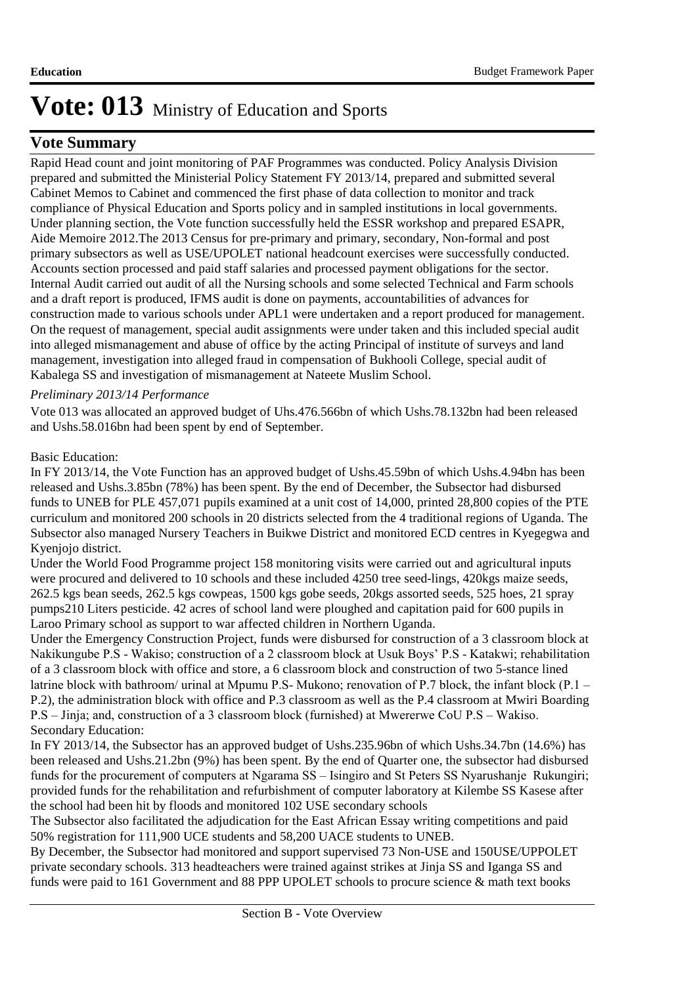### **Vote Summary**

Rapid Head count and joint monitoring of PAF Programmes was conducted. Policy Analysis Division prepared and submitted the Ministerial Policy Statement FY 2013/14, prepared and submitted several Cabinet Memos to Cabinet and commenced the first phase of data collection to monitor and track compliance of Physical Education and Sports policy and in sampled institutions in local governments. Under planning section, the Vote function successfully held the ESSR workshop and prepared ESAPR, Aide Memoire 2012.The 2013 Census for pre-primary and primary, secondary, Non-formal and post primary subsectors as well as USE/UPOLET national headcount exercises were successfully conducted. Accounts section processed and paid staff salaries and processed payment obligations for the sector. Internal Audit carried out audit of all the Nursing schools and some selected Technical and Farm schools and a draft report is produced, IFMS audit is done on payments, accountabilities of advances for construction made to various schools under APL1 were undertaken and a report produced for management. On the request of management, special audit assignments were under taken and this included special audit into alleged mismanagement and abuse of office by the acting Principal of institute of surveys and land management, investigation into alleged fraud in compensation of Bukhooli College, special audit of Kabalega SS and investigation of mismanagement at Nateete Muslim School.

### *Preliminary 2013/14 Performance*

Vote 013 was allocated an approved budget of Uhs.476.566bn of which Ushs.78.132bn had been released and Ushs.58.016bn had been spent by end of September.

#### Basic Education:

In FY 2013/14, the Vote Function has an approved budget of Ushs.45.59bn of which Ushs.4.94bn has been released and Ushs.3.85bn (78%) has been spent. By the end of December, the Subsector had disbursed funds to UNEB for PLE 457,071 pupils examined at a unit cost of 14,000, printed 28,800 copies of the PTE curriculum and monitored 200 schools in 20 districts selected from the 4 traditional regions of Uganda. The Subsector also managed Nursery Teachers in Buikwe District and monitored ECD centres in Kyegegwa and Kyenjojo district.

Under the World Food Programme project 158 monitoring visits were carried out and agricultural inputs were procured and delivered to 10 schools and these included 4250 tree seed-lings, 420kgs maize seeds, 262.5 kgs bean seeds, 262.5 kgs cowpeas, 1500 kgs gobe seeds, 20kgs assorted seeds, 525 hoes, 21 spray pumps210 Liters pesticide. 42 acres of school land were ploughed and capitation paid for 600 pupils in Laroo Primary school as support to war affected children in Northern Uganda.

Under the Emergency Construction Project, funds were disbursed for construction of a 3 classroom block at Nakikungube P.S - Wakiso; construction of a 2 classroom block at Usuk Boys' P.S - Katakwi; rehabilitation of a 3 classroom block with office and store, a 6 classroom block and construction of two 5-stance lined latrine block with bathroom/ urinal at Mpumu P.S- Mukono; renovation of P.7 block, the infant block (P.1 – P.2), the administration block with office and P.3 classroom as well as the P.4 classroom at Mwiri Boarding P.S – Jinja; and, construction of a 3 classroom block (furnished) at Mwererwe CoU P.S – Wakiso. Secondary Education:

In FY 2013/14, the Subsector has an approved budget of Ushs.235.96bn of which Ushs.34.7bn (14.6%) has been released and Ushs.21.2bn (9%) has been spent. By the end of Quarter one, the subsector had disbursed funds for the procurement of computers at Ngarama SS – Isingiro and St Peters SS Nyarushanje Rukungiri; provided funds for the rehabilitation and refurbishment of computer laboratory at Kilembe SS Kasese after the school had been hit by floods and monitored 102 USE secondary schools

The Subsector also facilitated the adjudication for the East African Essay writing competitions and paid 50% registration for 111,900 UCE students and 58,200 UACE students to UNEB.

By December, the Subsector had monitored and support supervised 73 Non-USE and 150USE/UPPOLET private secondary schools. 313 headteachers were trained against strikes at Jinja SS and Iganga SS and funds were paid to 161 Government and 88 PPP UPOLET schools to procure science & math text books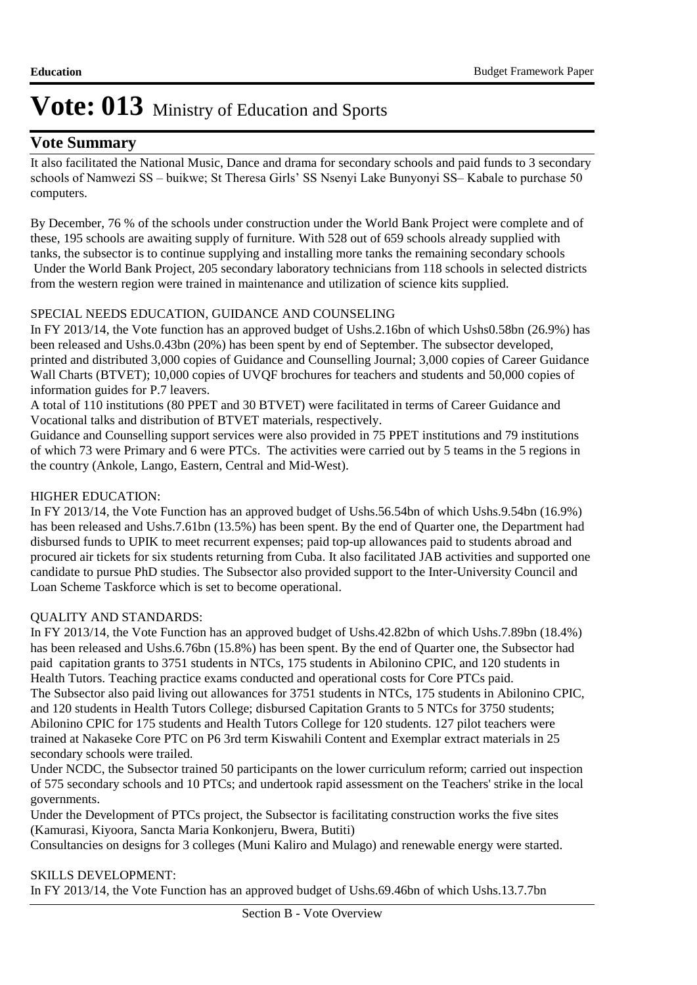### **Vote Summary**

It also facilitated the National Music, Dance and drama for secondary schools and paid funds to 3 secondary schools of Namwezi SS – buikwe; St Theresa Girls' SS Nsenyi Lake Bunyonyi SS– Kabale to purchase 50 computers.

By December, 76 % of the schools under construction under the World Bank Project were complete and of these, 195 schools are awaiting supply of furniture. With 528 out of 659 schools already supplied with tanks, the subsector is to continue supplying and installing more tanks the remaining secondary schools Under the World Bank Project, 205 secondary laboratory technicians from 118 schools in selected districts from the western region were trained in maintenance and utilization of science kits supplied.

### SPECIAL NEEDS EDUCATION, GUIDANCE AND COUNSELING

In FY 2013/14, the Vote function has an approved budget of Ushs.2.16bn of which Ushs0.58bn (26.9%) has been released and Ushs.0.43bn (20%) has been spent by end of September. The subsector developed, printed and distributed 3,000 copies of Guidance and Counselling Journal; 3,000 copies of Career Guidance Wall Charts (BTVET); 10,000 copies of UVQF brochures for teachers and students and 50,000 copies of information guides for P.7 leavers.

A total of 110 institutions (80 PPET and 30 BTVET) were facilitated in terms of Career Guidance and Vocational talks and distribution of BTVET materials, respectively.

Guidance and Counselling support services were also provided in 75 PPET institutions and 79 institutions of which 73 were Primary and 6 were PTCs. The activities were carried out by 5 teams in the 5 regions in the country (Ankole, Lango, Eastern, Central and Mid-West).

### HIGHER EDUCATION:

In FY 2013/14, the Vote Function has an approved budget of Ushs.56.54bn of which Ushs.9.54bn (16.9%) has been released and Ushs.7.61bn (13.5%) has been spent. By the end of Quarter one, the Department had disbursed funds to UPIK to meet recurrent expenses; paid top-up allowances paid to students abroad and procured air tickets for six students returning from Cuba. It also facilitated JAB activities and supported one candidate to pursue PhD studies. The Subsector also provided support to the Inter-University Council and Loan Scheme Taskforce which is set to become operational.

### QUALITY AND STANDARDS:

In FY 2013/14, the Vote Function has an approved budget of Ushs.42.82bn of which Ushs.7.89bn (18.4%) has been released and Ushs.6.76bn (15.8%) has been spent. By the end of Quarter one, the Subsector had paid capitation grants to 3751 students in NTCs, 175 students in Abilonino CPIC, and 120 students in Health Tutors. Teaching practice exams conducted and operational costs for Core PTCs paid. The Subsector also paid living out allowances for 3751 students in NTCs, 175 students in Abilonino CPIC, and 120 students in Health Tutors College; disbursed Capitation Grants to 5 NTCs for 3750 students; Abilonino CPIC for 175 students and Health Tutors College for 120 students. 127 pilot teachers were trained at Nakaseke Core PTC on P6 3rd term Kiswahili Content and Exemplar extract materials in 25 secondary schools were trailed.

Under NCDC, the Subsector trained 50 participants on the lower curriculum reform; carried out inspection of 575 secondary schools and 10 PTCs; and undertook rapid assessment on the Teachers' strike in the local governments.

Under the Development of PTCs project, the Subsector is facilitating construction works the five sites (Kamurasi, Kiyoora, Sancta Maria Konkonjeru, Bwera, Butiti)

Consultancies on designs for 3 colleges (Muni Kaliro and Mulago) and renewable energy were started.

### SKILLS DEVELOPMENT:

In FY 2013/14, the Vote Function has an approved budget of Ushs.69.46bn of which Ushs.13.7.7bn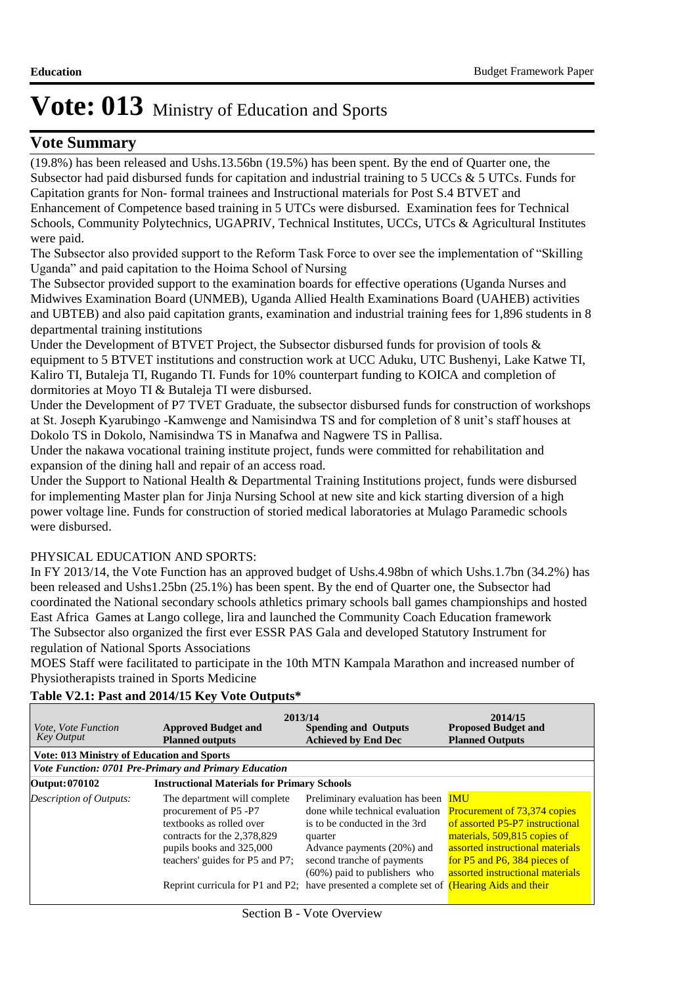### **Vote Summary**

(19.8%) has been released and Ushs.13.56bn (19.5%) has been spent. By the end of Quarter one, the Subsector had paid disbursed funds for capitation and industrial training to 5 UCCs & 5 UTCs. Funds for Capitation grants for Non- formal trainees and Instructional materials for Post S.4 BTVET and Enhancement of Competence based training in 5 UTCs were disbursed. Examination fees for Technical Schools, Community Polytechnics, UGAPRIV, Technical Institutes, UCCs, UTCs & Agricultural Institutes were paid.

The Subsector also provided support to the Reform Task Force to over see the implementation of "Skilling Uganda" and paid capitation to the Hoima School of Nursing

The Subsector provided support to the examination boards for effective operations (Uganda Nurses and Midwives Examination Board (UNMEB), Uganda Allied Health Examinations Board (UAHEB) activities and UBTEB) and also paid capitation grants, examination and industrial training fees for 1,896 students in 8 departmental training institutions

Under the Development of BTVET Project, the Subsector disbursed funds for provision of tools & equipment to 5 BTVET institutions and construction work at UCC Aduku, UTC Bushenyi, Lake Katwe TI, Kaliro TI, Butaleja TI, Rugando TI. Funds for 10% counterpart funding to KOICA and completion of dormitories at Moyo TI & Butaleja TI were disbursed.

Under the Development of P7 TVET Graduate, the subsector disbursed funds for construction of workshops at St. Joseph Kyarubingo -Kamwenge and Namisindwa TS and for completion of 8 unit's staff houses at Dokolo TS in Dokolo, Namisindwa TS in Manafwa and Nagwere TS in Pallisa.

Under the nakawa vocational training institute project, funds were committed for rehabilitation and expansion of the dining hall and repair of an access road.

Under the Support to National Health & Departmental Training Institutions project, funds were disbursed for implementing Master plan for Jinja Nursing School at new site and kick starting diversion of a high power voltage line. Funds for construction of storied medical laboratories at Mulago Paramedic schools were disbursed.

### PHYSICAL EDUCATION AND SPORTS:

In FY 2013/14, the Vote Function has an approved budget of Ushs.4.98bn of which Ushs.1.7bn (34.2%) has been released and Ushs1.25bn (25.1%) has been spent. By the end of Quarter one, the Subsector had coordinated the National secondary schools athletics primary schools ball games championships and hosted East Africa Games at Lango college, lira and launched the Community Coach Education framework The Subsector also organized the first ever ESSR PAS Gala and developed Statutory Instrument for regulation of National Sports Associations

MOES Staff were facilitated to participate in the 10th MTN Kampala Marathon and increased number of Physiotherapists trained in Sports Medicine

| <i>Vote, Vote Function</i><br><b>Key Output</b>   | 2013/14<br><b>Approved Budget and</b><br><b>Planned outputs</b>                                                                                                                 | <b>Spending and Outputs</b><br><b>Achieved by End Dec</b>                                                                                                                                                                                                                                                  | 2014/15<br><b>Proposed Budget and</b><br><b>Planned Outputs</b>                                                                                                                                                       |
|---------------------------------------------------|---------------------------------------------------------------------------------------------------------------------------------------------------------------------------------|------------------------------------------------------------------------------------------------------------------------------------------------------------------------------------------------------------------------------------------------------------------------------------------------------------|-----------------------------------------------------------------------------------------------------------------------------------------------------------------------------------------------------------------------|
| <b>Vote: 013 Ministry of Education and Sports</b> |                                                                                                                                                                                 |                                                                                                                                                                                                                                                                                                            |                                                                                                                                                                                                                       |
|                                                   | Vote Function: 0701 Pre-Primary and Primary Education                                                                                                                           |                                                                                                                                                                                                                                                                                                            |                                                                                                                                                                                                                       |
| Output: 070102                                    | <b>Instructional Materials for Primary Schools</b>                                                                                                                              |                                                                                                                                                                                                                                                                                                            |                                                                                                                                                                                                                       |
| <b>Description of Outputs:</b>                    | The department will complete<br>procurement of P5 -P7<br>textbooks as rolled over<br>contracts for the 2,378,829<br>pupils books and 325,000<br>teachers' guides for P5 and P7; | Preliminary evaluation has been<br>done while technical evaluation<br>is to be conducted in the 3rd<br>quarter<br>Advance payments (20%) and<br>second tranche of payments<br>$(60\%)$ paid to publishers who<br>Reprint curricula for P1 and P2; have presented a complete set of (Hearing Aids and their | <b>IMU</b><br>Procurement of 73,374 copies<br>of assorted P5-P7 instructional<br>materials, 509,815 copies of<br>assorted instructional materials<br>for P5 and P6, 384 pieces of<br>assorted instructional materials |

### **Table V2.1: Past and 2014/15 Key Vote Outputs\***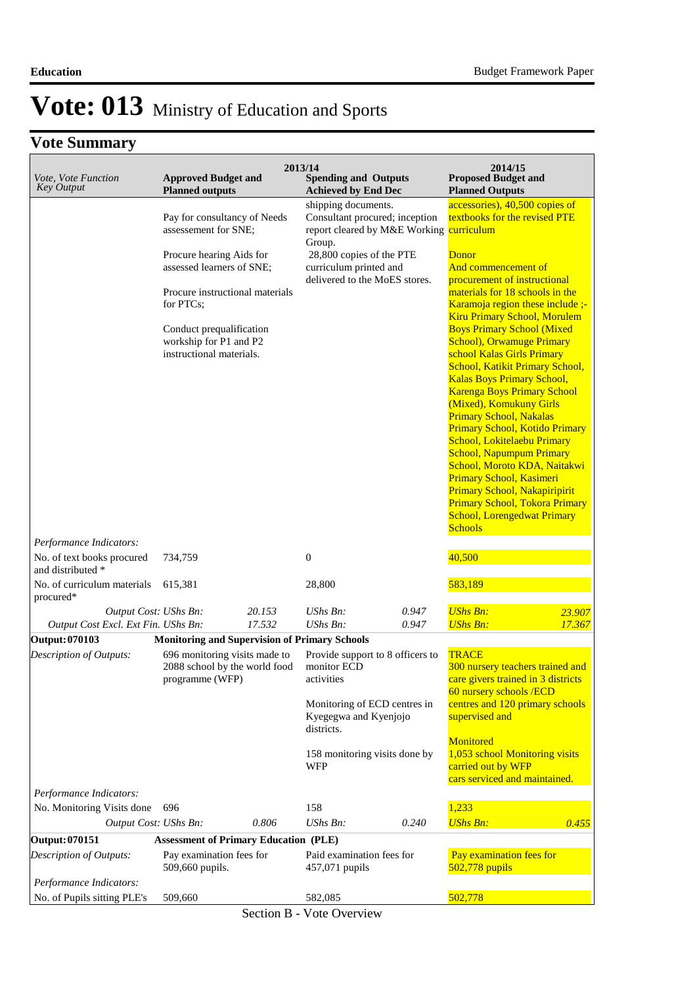### **Vote Summary**

| Vote, Vote Function<br><b>Key Output</b>                                   | <b>Approved Budget and</b><br><b>Planned outputs</b>                                                                                                                                                                                            |        | 2013/14<br><b>Spending and Outputs</b><br><b>Achieved by End Dec</b>                                                                                                                               |       | 2014/15<br><b>Proposed Budget and</b><br><b>Planned Outputs</b>                                                                                                                                                                                                                                                                                                                                                                                                                                                                                                                                                                                                                                                                                                                                                                   |        |
|----------------------------------------------------------------------------|-------------------------------------------------------------------------------------------------------------------------------------------------------------------------------------------------------------------------------------------------|--------|----------------------------------------------------------------------------------------------------------------------------------------------------------------------------------------------------|-------|-----------------------------------------------------------------------------------------------------------------------------------------------------------------------------------------------------------------------------------------------------------------------------------------------------------------------------------------------------------------------------------------------------------------------------------------------------------------------------------------------------------------------------------------------------------------------------------------------------------------------------------------------------------------------------------------------------------------------------------------------------------------------------------------------------------------------------------|--------|
|                                                                            | Pay for consultancy of Needs<br>assessement for SNE;<br>Procure hearing Aids for<br>assessed learners of SNE;<br>Procure instructional materials<br>for PTCs;<br>Conduct prequalification<br>workship for P1 and P2<br>instructional materials. |        | shipping documents.<br>Consultant procured; inception<br>report cleared by M&E Working curriculum<br>Group.<br>28,800 copies of the PTE<br>curriculum printed and<br>delivered to the MoES stores. |       | accessories), 40,500 copies of<br>textbooks for the revised PTE<br>Donor<br>And commencement of<br>procurement of instructional<br>materials for 18 schools in the<br>Karamoja region these include ;-<br><b>Kiru Primary School, Morulem</b><br><b>Boys Primary School (Mixed</b><br><b>School), Orwamuge Primary</b><br>school Kalas Girls Primary<br>School, Katikit Primary School,<br><b>Kalas Boys Primary School,</b><br><b>Karenga Boys Primary School</b><br>(Mixed), Komukuny Girls<br><b>Primary School, Nakalas</b><br>Primary School, Kotido Primary<br>School, Lokitelaebu Primary<br><b>School, Napumpum Primary</b><br>School, Moroto KDA, Naitakwi<br>Primary School, Kasimeri<br>Primary School, Nakapiripirit<br><b>Primary School, Tokora Primary</b><br><b>School, Lorengedwat Primary</b><br><b>Schools</b> |        |
| Performance Indicators:<br>No. of text books procured<br>and distributed * | 734,759                                                                                                                                                                                                                                         |        | $\boldsymbol{0}$                                                                                                                                                                                   |       | 40,500                                                                                                                                                                                                                                                                                                                                                                                                                                                                                                                                                                                                                                                                                                                                                                                                                            |        |
| No. of curriculum materials<br>procured*                                   | 615,381                                                                                                                                                                                                                                         |        | 28,800                                                                                                                                                                                             |       | 583,189                                                                                                                                                                                                                                                                                                                                                                                                                                                                                                                                                                                                                                                                                                                                                                                                                           |        |
| Output Cost: UShs Bn:                                                      |                                                                                                                                                                                                                                                 | 20.153 | UShs Bn:                                                                                                                                                                                           | 0.947 | <b>UShs Bn:</b>                                                                                                                                                                                                                                                                                                                                                                                                                                                                                                                                                                                                                                                                                                                                                                                                                   | 23.907 |
| Output Cost Excl. Ext Fin. UShs Bn:                                        |                                                                                                                                                                                                                                                 | 17.532 | UShs Bn:                                                                                                                                                                                           | 0.947 | <b>UShs Bn:</b>                                                                                                                                                                                                                                                                                                                                                                                                                                                                                                                                                                                                                                                                                                                                                                                                                   | 17.367 |
| Output: 070103                                                             | <b>Monitoring and Supervision of Primary Schools</b>                                                                                                                                                                                            |        |                                                                                                                                                                                                    |       |                                                                                                                                                                                                                                                                                                                                                                                                                                                                                                                                                                                                                                                                                                                                                                                                                                   |        |
| Description of Outputs:                                                    | 696 monitoring visits made to<br>2088 school by the world food<br>programme (WFP)                                                                                                                                                               |        | Provide support to 8 officers to<br>monitor ECD<br>activities<br>Monitoring of ECD centres in<br>Kyegegwa and Kyenjojo<br>districts.                                                               |       | <b>TRACE</b><br>300 nursery teachers trained and<br>care givers trained in 3 districts<br>60 nursery schools /ECD<br>centres and 120 primary schools<br>supervised and                                                                                                                                                                                                                                                                                                                                                                                                                                                                                                                                                                                                                                                            |        |
| Performance Indicators:                                                    |                                                                                                                                                                                                                                                 |        | 158 monitoring visits done by<br>WFP                                                                                                                                                               |       | Monitored<br>1,053 school Monitoring visits<br>carried out by WFP<br>cars serviced and maintained.                                                                                                                                                                                                                                                                                                                                                                                                                                                                                                                                                                                                                                                                                                                                |        |
| No. Monitoring Visits done                                                 | 696                                                                                                                                                                                                                                             |        | 158                                                                                                                                                                                                |       | 1,233                                                                                                                                                                                                                                                                                                                                                                                                                                                                                                                                                                                                                                                                                                                                                                                                                             |        |
| Output Cost: UShs Bn:                                                      |                                                                                                                                                                                                                                                 | 0.806  | UShs Bn:                                                                                                                                                                                           | 0.240 | <b>UShs Bn:</b>                                                                                                                                                                                                                                                                                                                                                                                                                                                                                                                                                                                                                                                                                                                                                                                                                   | 0.455  |
| <b>Output: 070151</b>                                                      | <b>Assessment of Primary Education (PLE)</b>                                                                                                                                                                                                    |        |                                                                                                                                                                                                    |       |                                                                                                                                                                                                                                                                                                                                                                                                                                                                                                                                                                                                                                                                                                                                                                                                                                   |        |
| Description of Outputs:                                                    | Pay examination fees for<br>509,660 pupils.                                                                                                                                                                                                     |        | Paid examination fees for<br>457,071 pupils                                                                                                                                                        |       | Pay examination fees for<br>$502,778$ pupils                                                                                                                                                                                                                                                                                                                                                                                                                                                                                                                                                                                                                                                                                                                                                                                      |        |
| Performance Indicators:                                                    |                                                                                                                                                                                                                                                 |        |                                                                                                                                                                                                    |       | 502,778                                                                                                                                                                                                                                                                                                                                                                                                                                                                                                                                                                                                                                                                                                                                                                                                                           |        |
| No. of Pupils sitting PLE's                                                | 509,660                                                                                                                                                                                                                                         |        | 582,085                                                                                                                                                                                            |       |                                                                                                                                                                                                                                                                                                                                                                                                                                                                                                                                                                                                                                                                                                                                                                                                                                   |        |

Section B - Vote Overview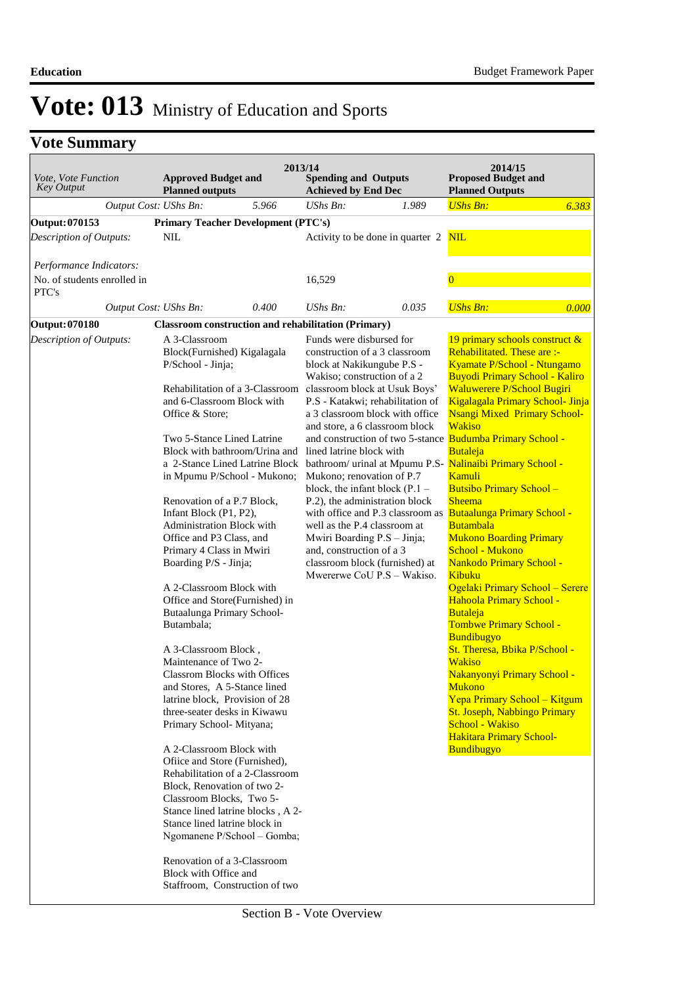| Vote, Vote Function<br><b>Key Output</b> | <b>Approved Budget and</b><br><b>Planned outputs</b>                                                                                                                                                                                                                                                                                                                                                                                                                                                                                                                                                                                                                                                                                                                                                                                 |                                                                                                                                                                                                                                                                                                              | 2013/14<br><b>Spending and Outputs</b><br><b>Achieved by End Dec</b>                                                                                                                                                                                                                                                                                                                                                                                  |                                                                                                                                       | 2014/15<br><b>Proposed Budget and</b><br><b>Planned Outputs</b>                                                                                                                                                                                                                                                                                                                                                                                                                                                                                                                                                                                                                                                                                                                                                                                                                                                                                                                                  |       |
|------------------------------------------|--------------------------------------------------------------------------------------------------------------------------------------------------------------------------------------------------------------------------------------------------------------------------------------------------------------------------------------------------------------------------------------------------------------------------------------------------------------------------------------------------------------------------------------------------------------------------------------------------------------------------------------------------------------------------------------------------------------------------------------------------------------------------------------------------------------------------------------|--------------------------------------------------------------------------------------------------------------------------------------------------------------------------------------------------------------------------------------------------------------------------------------------------------------|-------------------------------------------------------------------------------------------------------------------------------------------------------------------------------------------------------------------------------------------------------------------------------------------------------------------------------------------------------------------------------------------------------------------------------------------------------|---------------------------------------------------------------------------------------------------------------------------------------|--------------------------------------------------------------------------------------------------------------------------------------------------------------------------------------------------------------------------------------------------------------------------------------------------------------------------------------------------------------------------------------------------------------------------------------------------------------------------------------------------------------------------------------------------------------------------------------------------------------------------------------------------------------------------------------------------------------------------------------------------------------------------------------------------------------------------------------------------------------------------------------------------------------------------------------------------------------------------------------------------|-------|
|                                          | Output Cost: UShs Bn:                                                                                                                                                                                                                                                                                                                                                                                                                                                                                                                                                                                                                                                                                                                                                                                                                | 5.966                                                                                                                                                                                                                                                                                                        | UShs Bn:                                                                                                                                                                                                                                                                                                                                                                                                                                              | 1.989                                                                                                                                 | <b>UShs Bn:</b>                                                                                                                                                                                                                                                                                                                                                                                                                                                                                                                                                                                                                                                                                                                                                                                                                                                                                                                                                                                  | 6.383 |
| Output: 070153                           | <b>Primary Teacher Development (PTC's)</b>                                                                                                                                                                                                                                                                                                                                                                                                                                                                                                                                                                                                                                                                                                                                                                                           |                                                                                                                                                                                                                                                                                                              |                                                                                                                                                                                                                                                                                                                                                                                                                                                       |                                                                                                                                       |                                                                                                                                                                                                                                                                                                                                                                                                                                                                                                                                                                                                                                                                                                                                                                                                                                                                                                                                                                                                  |       |
| <b>Description of Outputs:</b>           | <b>NIL</b>                                                                                                                                                                                                                                                                                                                                                                                                                                                                                                                                                                                                                                                                                                                                                                                                                           |                                                                                                                                                                                                                                                                                                              |                                                                                                                                                                                                                                                                                                                                                                                                                                                       | Activity to be done in quarter 2                                                                                                      | <b>NIL</b>                                                                                                                                                                                                                                                                                                                                                                                                                                                                                                                                                                                                                                                                                                                                                                                                                                                                                                                                                                                       |       |
| Performance Indicators:                  |                                                                                                                                                                                                                                                                                                                                                                                                                                                                                                                                                                                                                                                                                                                                                                                                                                      |                                                                                                                                                                                                                                                                                                              |                                                                                                                                                                                                                                                                                                                                                                                                                                                       |                                                                                                                                       |                                                                                                                                                                                                                                                                                                                                                                                                                                                                                                                                                                                                                                                                                                                                                                                                                                                                                                                                                                                                  |       |
| No. of students enrolled in<br>PTC's     |                                                                                                                                                                                                                                                                                                                                                                                                                                                                                                                                                                                                                                                                                                                                                                                                                                      |                                                                                                                                                                                                                                                                                                              | 16,529                                                                                                                                                                                                                                                                                                                                                                                                                                                |                                                                                                                                       | $\overline{0}$                                                                                                                                                                                                                                                                                                                                                                                                                                                                                                                                                                                                                                                                                                                                                                                                                                                                                                                                                                                   |       |
|                                          | Output Cost: UShs Bn:                                                                                                                                                                                                                                                                                                                                                                                                                                                                                                                                                                                                                                                                                                                                                                                                                | 0.400                                                                                                                                                                                                                                                                                                        | $UShs Bn$ :                                                                                                                                                                                                                                                                                                                                                                                                                                           | 0.035                                                                                                                                 | <b>UShs Bn:</b>                                                                                                                                                                                                                                                                                                                                                                                                                                                                                                                                                                                                                                                                                                                                                                                                                                                                                                                                                                                  | 0.000 |
| <b>Output: 070180</b>                    | <b>Classroom construction and rehabilitation (Primary)</b>                                                                                                                                                                                                                                                                                                                                                                                                                                                                                                                                                                                                                                                                                                                                                                           |                                                                                                                                                                                                                                                                                                              |                                                                                                                                                                                                                                                                                                                                                                                                                                                       |                                                                                                                                       |                                                                                                                                                                                                                                                                                                                                                                                                                                                                                                                                                                                                                                                                                                                                                                                                                                                                                                                                                                                                  |       |
| Description of Outputs:                  | A 3-Classroom<br>Block(Furnished) Kigalagala<br>P/School - Jinja;<br>and 6-Classroom Block with<br>Office & Store;<br>Two 5-Stance Lined Latrine<br>Renovation of a P.7 Block,<br>Infant Block (P1, P2),<br>Administration Block with<br>Office and P3 Class, and<br>Primary 4 Class in Mwiri<br>Boarding P/S - Jinja;<br>A 2-Classroom Block with<br>Butaalunga Primary School-<br>Butambala;<br>A 3-Classroom Block,<br>Maintenance of Two 2-<br><b>Classrom Blocks with Offices</b><br>and Stores, A 5-Stance lined<br>latrine block, Provision of 28<br>three-seater desks in Kiwawu<br>Primary School-Mityana;<br>A 2-Classroom Block with<br>Office and Store (Furnished),<br>Block, Renovation of two 2-<br>Classroom Blocks, Two 5-<br>Stance lined latrine block in<br>Renovation of a 3-Classroom<br>Block with Office and | Rehabilitation of a 3-Classroom<br>Block with bathroom/Urina and<br>a 2-Stance Lined Latrine Block<br>in Mpumu P/School - Mukono;<br>Office and Store(Furnished) in<br>Rehabilitation of a 2-Classroom<br>Stance lined latrine blocks, A 2-<br>Ngomanene P/School - Gomba;<br>Staffroom, Construction of two | Funds were disbursed for<br>construction of a 3 classroom<br>block at Nakikungube P.S -<br>Wakiso; construction of a 2<br>classroom block at Usuk Boys'<br>and store, a 6 classroom block<br>lined latrine block with<br>Mukono; renovation of P.7<br>block, the infant block $(P.1 -$<br>P.2), the administration block<br>well as the P.4 classroom at<br>Mwiri Boarding P.S - Jinja;<br>and, construction of a 3<br>classroom block (furnished) at | P.S - Katakwi; rehabilitation of<br>a 3 classroom block with office<br>with office and P.3 classroom as<br>Mwererwe CoU P.S - Wakiso. | 19 primary schools construct &<br>Rehabilitated. These are :-<br>Kyamate P/School - Ntungamo<br><b>Buyodi Primary School - Kaliro</b><br>Waluwerere P/School Bugiri<br>Kigalagala Primary School- Jinja<br><b>Nsangi Mixed Primary School-</b><br><b>Wakiso</b><br>and construction of two 5-stance Budumba Primary School -<br>Butaleja<br>bathroom/ urinal at Mpumu P.S- Nalinaibi Primary School -<br><b>Kamuli</b><br><b>Butsibo Primary School -</b><br><b>Sheema</b><br><b>Butaalunga Primary School -</b><br><b>Butambala</b><br><b>Mukono Boarding Primary</b><br>School - Mukono<br>Nankodo Primary School -<br>Kibuku<br>Ogelaki Primary School - Serere<br>Hahoola Primary School -<br>Butaleja<br>Tombwe Primary School -<br>Bundibugyo<br>St. Theresa, Bbika P/School -<br><b>Wakiso</b><br>Nakanyonyi Primary School -<br><b>Mukono</b><br>Yepa Primary School - Kitgum<br>St. Joseph, Nabbingo Primary<br>School - Wakiso<br><b>Hakitara Primary School-</b><br><b>Bundibugyo</b> |       |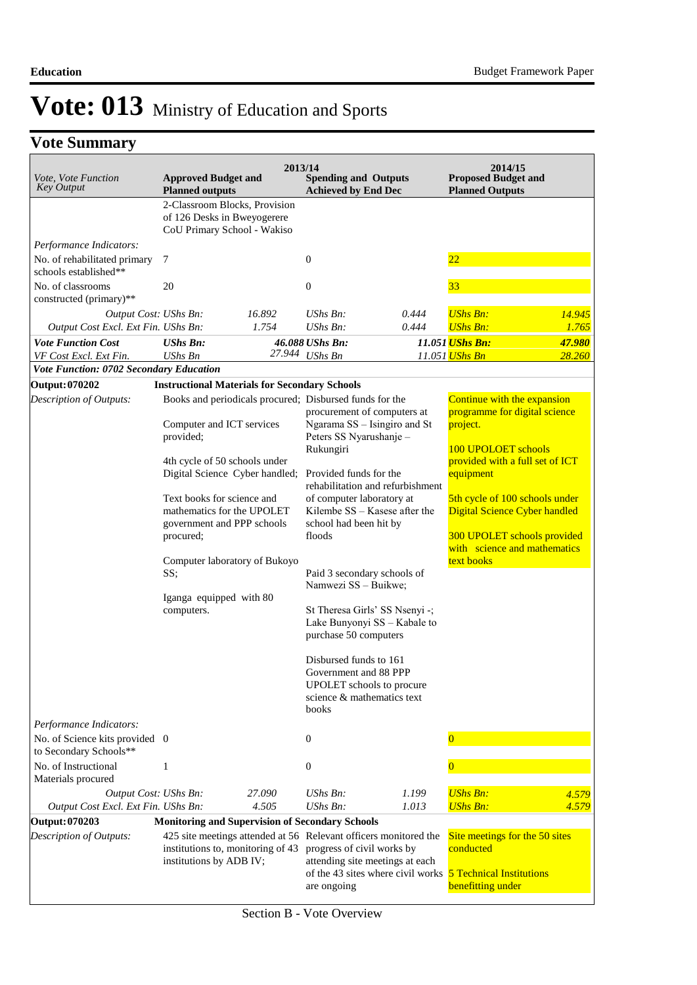### **Vote Summary**

| <i>Vote, Vote Function</i><br><b>Key Output</b>          | <b>Approved Budget and</b><br><b>Planned outputs</b>                                                                                 | 2013/14 | <b>Spending and Outputs</b><br><b>Achieved by End Dec</b>                                                           |                                                                      | 2014/15<br><b>Proposed Budget and</b><br><b>Planned Outputs</b>                |        |
|----------------------------------------------------------|--------------------------------------------------------------------------------------------------------------------------------------|---------|---------------------------------------------------------------------------------------------------------------------|----------------------------------------------------------------------|--------------------------------------------------------------------------------|--------|
|                                                          | 2-Classroom Blocks, Provision<br>of 126 Desks in Bweyogerere<br>CoU Primary School - Wakiso                                          |         |                                                                                                                     |                                                                      |                                                                                |        |
| Performance Indicators:                                  |                                                                                                                                      |         |                                                                                                                     |                                                                      |                                                                                |        |
| No. of rehabilitated primary<br>schools established**    | $\overline{7}$                                                                                                                       |         | $\boldsymbol{0}$                                                                                                    |                                                                      | $\overline{22}$                                                                |        |
| No. of classrooms<br>constructed (primary)**             | 20                                                                                                                                   |         | $\boldsymbol{0}$                                                                                                    |                                                                      | 33                                                                             |        |
| Output Cost: UShs Bn:                                    |                                                                                                                                      | 16.892  | UShs Bn:                                                                                                            | 0.444                                                                | <b>UShs Bn:</b>                                                                | 14.945 |
| Output Cost Excl. Ext Fin. UShs Bn:                      |                                                                                                                                      | 1.754   | UShs Bn:                                                                                                            | 0.444                                                                | <b>UShs Bn:</b>                                                                | 1.765  |
| <b>Vote Function Cost</b>                                | <b>UShs Bn:</b>                                                                                                                      |         | 46.088 UShs Bn:                                                                                                     |                                                                      | 11.051 <i>UShs Bn:</i>                                                         | 47.980 |
| VF Cost Excl. Ext Fin.                                   | <b>UShs Bn</b>                                                                                                                       |         | 27.944 UShs Bn                                                                                                      |                                                                      | 11.051 <mark>UShs Bn</mark>                                                    | 28.260 |
| Vote Function: 0702 Secondary Education                  |                                                                                                                                      |         |                                                                                                                     |                                                                      |                                                                                |        |
| Output: 070202                                           | <b>Instructional Materials for Secondary Schools</b>                                                                                 |         |                                                                                                                     |                                                                      |                                                                                |        |
| Description of Outputs:                                  | Books and periodicals procured; Disbursed funds for the                                                                              |         |                                                                                                                     |                                                                      | Continue with the expansion                                                    |        |
|                                                          | Computer and ICT services<br>provided;                                                                                               |         | procurement of computers at<br>Ngarama SS - Isingiro and St<br>Peters SS Nyarushanje -<br>Rukungiri                 |                                                                      | programme for digital science<br>project.                                      |        |
|                                                          | 4th cycle of 50 schools under<br>Digital Science Cyber handled;                                                                      |         | Provided funds for the                                                                                              | rehabilitation and refurbishment                                     | 100 UPOLOET schools<br>provided with a full set of ICT<br>equipment            |        |
|                                                          | Text books for science and<br>mathematics for the UPOLET<br>government and PPP schools<br>procured;<br>Computer laboratory of Bukoyo |         | of computer laboratory at<br>Kilembe SS - Kasese after the<br>school had been hit by<br>floods                      |                                                                      | 5th cycle of 100 schools under<br>Digital Science Cyber handled                |        |
|                                                          |                                                                                                                                      |         |                                                                                                                     |                                                                      | 300 UPOLET schools provided<br>with science and mathematics<br>text books      |        |
|                                                          | SS;                                                                                                                                  |         | Paid 3 secondary schools of<br>Namwezi SS - Buikwe;                                                                 |                                                                      |                                                                                |        |
|                                                          | Iganga equipped with 80                                                                                                              |         |                                                                                                                     |                                                                      |                                                                                |        |
|                                                          | computers.                                                                                                                           |         | purchase 50 computers                                                                                               | St Theresa Girls' SS Nsenyi -;<br>Lake Bunyonyi SS - Kabale to       |                                                                                |        |
|                                                          |                                                                                                                                      |         | Disbursed funds to 161<br>Government and 88 PPP<br>UPOLET schools to procure<br>science & mathematics text<br>books |                                                                      |                                                                                |        |
| Performance Indicators:                                  |                                                                                                                                      |         |                                                                                                                     |                                                                      |                                                                                |        |
| No. of Science kits provided 0<br>to Secondary Schools** |                                                                                                                                      |         | $\boldsymbol{0}$                                                                                                    |                                                                      |                                                                                |        |
| No. of Instructional                                     | 1                                                                                                                                    |         | $\boldsymbol{0}$                                                                                                    |                                                                      |                                                                                |        |
| Materials procured                                       |                                                                                                                                      |         |                                                                                                                     |                                                                      |                                                                                |        |
| Output Cost: UShs Bn:                                    |                                                                                                                                      | 27.090  | UShs Bn:                                                                                                            | 1.199                                                                | <b>UShs Bn:</b>                                                                | 4.579  |
| Output Cost Excl. Ext Fin. UShs Bn:                      |                                                                                                                                      | 4.505   | $UShs Bn$ :                                                                                                         | 1.013                                                                | <b>UShs Bn:</b>                                                                | 4.579  |
| Output: 070203                                           | <b>Monitoring and Supervision of Secondary Schools</b>                                                                               |         |                                                                                                                     |                                                                      |                                                                                |        |
| Description of Outputs:                                  | 425 site meetings attended at 56 Relevant officers monitored the<br>institutions to, monitoring of 43<br>institutions by ADB IV;     |         | progress of civil works by                                                                                          | attending site meetings at each<br>of the 43 sites where civil works | Site meetings for the 50 sites<br>conducted<br><b>5 Technical Institutions</b> |        |
|                                                          |                                                                                                                                      |         | are ongoing                                                                                                         |                                                                      | benefitting under                                                              |        |

Section B - Vote Overview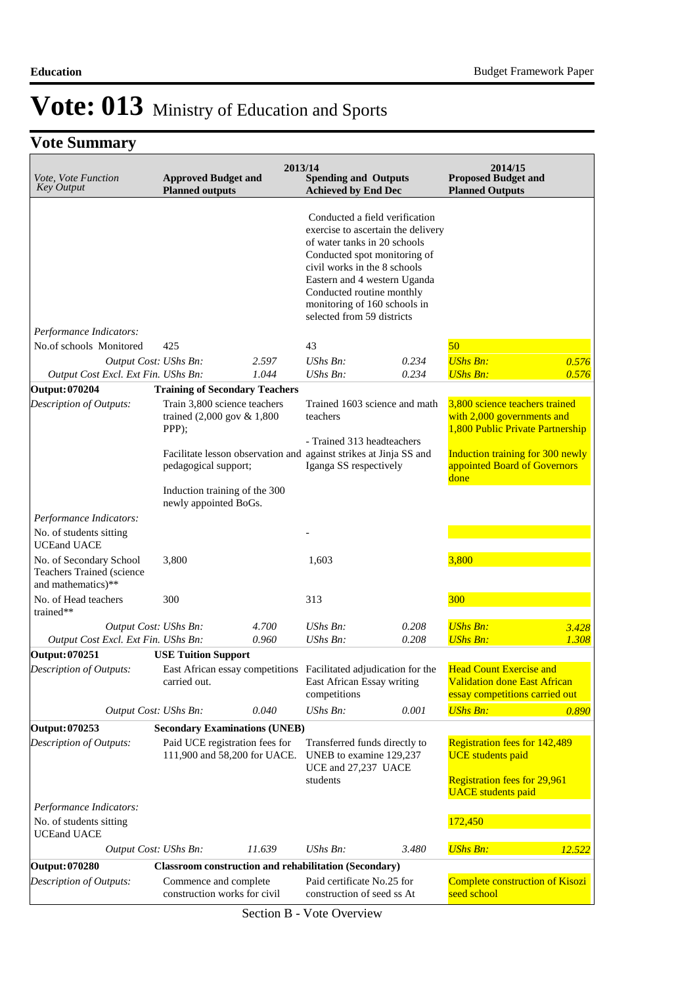| Vote, Vote Function<br><b>Key Output</b>                                   | <b>Approved Budget and</b><br><b>Planned outputs</b>                                                                                                                                              | 2013/14        | <b>Spending and Outputs</b><br><b>Achieved by End Dec</b>                                                                                                                                                                                                                                       |                | 2014/15<br><b>Proposed Budget and</b><br><b>Planned Outputs</b>                                                                                                                     |                |
|----------------------------------------------------------------------------|---------------------------------------------------------------------------------------------------------------------------------------------------------------------------------------------------|----------------|-------------------------------------------------------------------------------------------------------------------------------------------------------------------------------------------------------------------------------------------------------------------------------------------------|----------------|-------------------------------------------------------------------------------------------------------------------------------------------------------------------------------------|----------------|
|                                                                            |                                                                                                                                                                                                   |                | Conducted a field verification<br>exercise to ascertain the delivery<br>of water tanks in 20 schools<br>Conducted spot monitoring of<br>civil works in the 8 schools<br>Eastern and 4 western Uganda<br>Conducted routine monthly<br>monitoring of 160 schools in<br>selected from 59 districts |                |                                                                                                                                                                                     |                |
| Performance Indicators:                                                    |                                                                                                                                                                                                   |                |                                                                                                                                                                                                                                                                                                 |                |                                                                                                                                                                                     |                |
| No.of schools Monitored                                                    | 425                                                                                                                                                                                               |                | 43                                                                                                                                                                                                                                                                                              |                | 50                                                                                                                                                                                  |                |
| Output Cost: UShs Bn:<br>Output Cost Excl. Ext Fin. UShs Bn:               |                                                                                                                                                                                                   | 2.597<br>1.044 | UShs Bn:<br><b>UShs Bn:</b>                                                                                                                                                                                                                                                                     | 0.234<br>0.234 | <b>UShs Bn:</b><br><b>UShs Bn:</b>                                                                                                                                                  | 0.576<br>0.576 |
| <b>Output: 070204</b>                                                      | <b>Training of Secondary Teachers</b>                                                                                                                                                             |                |                                                                                                                                                                                                                                                                                                 |                |                                                                                                                                                                                     |                |
| Description of Outputs:                                                    | Train 3,800 science teachers<br>trained (2,000 gov & 1,800<br>PPP);<br>Facilitate lesson observation and against strikes at Jinja SS and<br>pedagogical support;<br>Induction training of the 300 |                | Trained 1603 science and math<br>teachers<br>- Trained 313 headteachers<br>Iganga SS respectively                                                                                                                                                                                               |                | 3,800 science teachers trained<br>with 2,000 governments and<br>1,800 Public Private Partnership<br><b>Induction training for 300 newly</b><br>appointed Board of Governors<br>done |                |
| Performance Indicators:                                                    | newly appointed BoGs.                                                                                                                                                                             |                |                                                                                                                                                                                                                                                                                                 |                |                                                                                                                                                                                     |                |
| No. of students sitting<br><b>UCEand UACE</b>                              |                                                                                                                                                                                                   |                |                                                                                                                                                                                                                                                                                                 |                |                                                                                                                                                                                     |                |
| No. of Secondary School<br>Teachers Trained (science<br>and mathematics)** | 3,800                                                                                                                                                                                             |                | 1,603                                                                                                                                                                                                                                                                                           |                | 3,800                                                                                                                                                                               |                |
| No. of Head teachers<br>trained**                                          | 300                                                                                                                                                                                               |                | 313                                                                                                                                                                                                                                                                                             |                | 300                                                                                                                                                                                 |                |
| Output Cost: UShs Bn:                                                      |                                                                                                                                                                                                   | 4.700          | UShs Bn:                                                                                                                                                                                                                                                                                        | 0.208          | <b>UShs Bn:</b>                                                                                                                                                                     | 3.428          |
| Output Cost Excl. Ext Fin. UShs Bn:                                        |                                                                                                                                                                                                   | 0.960          | UShs Bn:                                                                                                                                                                                                                                                                                        | 0.208          | <b>UShs Bn:</b>                                                                                                                                                                     | 1.308          |
| Output: 070251<br>Description of Outputs:                                  | <b>USE Tuition Support</b><br>East African essay competitions Facilitated adjudication for the<br>carried out.                                                                                    |                | East African Essay writing<br>competitions                                                                                                                                                                                                                                                      |                | <b>Head Count Exercise and</b><br><b>Validation done East African</b><br>essay competitions carried out                                                                             |                |
| Output Cost: UShs Bn:                                                      |                                                                                                                                                                                                   | 0.040          | UShs Bn:                                                                                                                                                                                                                                                                                        | 0.001          | <b>UShs Bn:</b>                                                                                                                                                                     | 0.890          |
| Output: 070253                                                             | <b>Secondary Examinations (UNEB)</b>                                                                                                                                                              |                |                                                                                                                                                                                                                                                                                                 |                |                                                                                                                                                                                     |                |
| Description of Outputs:                                                    | Paid UCE registration fees for<br>111,900 and 58,200 for UACE.                                                                                                                                    |                | Transferred funds directly to<br>UNEB to examine 129,237<br>UCE and 27,237 UACE<br>students                                                                                                                                                                                                     |                | <b>Registration fees for 142,489</b><br><b>UCE</b> students paid<br><b>Registration fees for 29,961</b><br><b>UACE</b> students paid                                                |                |
| Performance Indicators:                                                    |                                                                                                                                                                                                   |                |                                                                                                                                                                                                                                                                                                 |                |                                                                                                                                                                                     |                |
| No. of students sitting<br><b>UCEand UACE</b>                              |                                                                                                                                                                                                   |                |                                                                                                                                                                                                                                                                                                 |                | 172,450                                                                                                                                                                             |                |
| Output Cost: UShs Bn:                                                      |                                                                                                                                                                                                   | 11.639         | UShs Bn:                                                                                                                                                                                                                                                                                        | 3.480          | <b>UShs Bn:</b>                                                                                                                                                                     | 12.522         |
| <b>Output: 070280</b>                                                      | <b>Classroom construction and rehabilitation (Secondary)</b>                                                                                                                                      |                |                                                                                                                                                                                                                                                                                                 |                |                                                                                                                                                                                     |                |
| Description of Outputs:                                                    | Commence and complete<br>construction works for civil                                                                                                                                             |                | Paid certificate No.25 for<br>construction of seed ss At                                                                                                                                                                                                                                        |                | Complete construction of Kisozi<br>seed school                                                                                                                                      |                |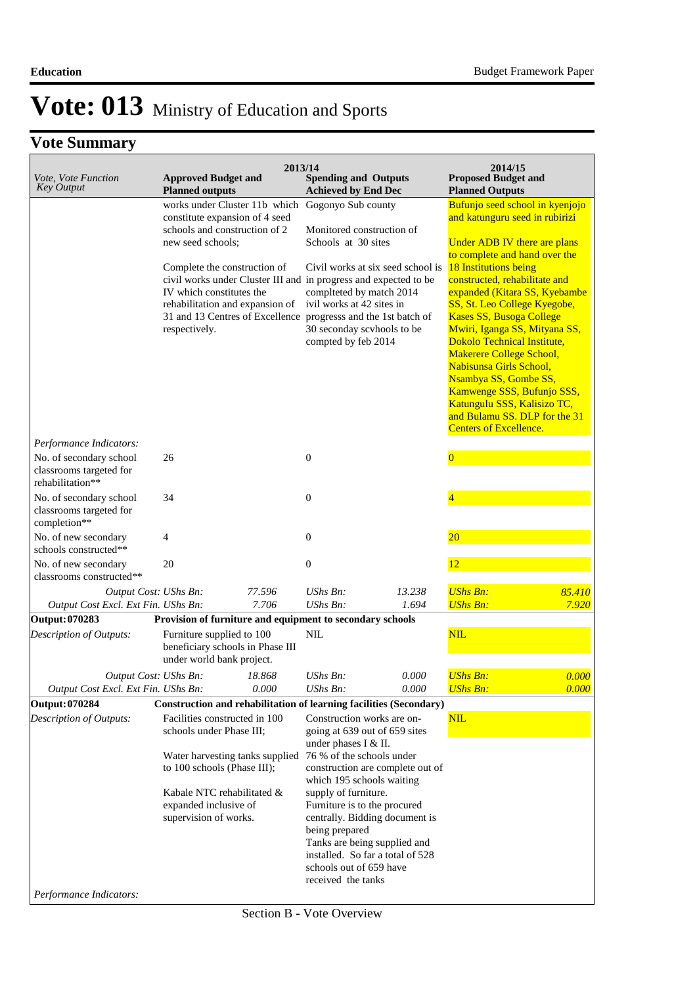| Vote, Vote Function<br><b>Key Output</b>                               | <b>Approved Budget and</b><br><b>Planned outputs</b>                                                                                                                                                                                                                                                                                                                        | 2013/14 | <b>Spending and Outputs</b><br><b>Achieved by End Dec</b>                                                                                                                                                                                                                                                                                                                                                          |                                   | 2014/15<br><b>Proposed Budget and</b><br><b>Planned Outputs</b>                                                                                                                                                                                                                                                                                                                                                                                                                                                                                                                 |        |
|------------------------------------------------------------------------|-----------------------------------------------------------------------------------------------------------------------------------------------------------------------------------------------------------------------------------------------------------------------------------------------------------------------------------------------------------------------------|---------|--------------------------------------------------------------------------------------------------------------------------------------------------------------------------------------------------------------------------------------------------------------------------------------------------------------------------------------------------------------------------------------------------------------------|-----------------------------------|---------------------------------------------------------------------------------------------------------------------------------------------------------------------------------------------------------------------------------------------------------------------------------------------------------------------------------------------------------------------------------------------------------------------------------------------------------------------------------------------------------------------------------------------------------------------------------|--------|
|                                                                        | works under Cluster 11b which<br>constitute expansion of 4 seed<br>schools and construction of 2<br>new seed schools;<br>Complete the construction of<br>civil works under Cluster III and in progress and expected to be<br>IV which constitutes the<br>rehabilitation and expansion of<br>31 and 13 Centres of Excellence progresss and the 1st batch of<br>respectively. |         | Gogonyo Sub county<br>Monitored construction of<br>Schools at 30 sites<br>complteted by match 2014<br>ivil works at 42 sites in<br>30 seconday scyhools to be<br>compted by feb 2014                                                                                                                                                                                                                               | Civil works at six seed school is | Bufunjo seed school in kyenjojo<br>and katunguru seed in rubirizi<br>Under ADB IV there are plans<br>to complete and hand over the<br>18 Institutions being<br>constructed, rehabilitate and<br>expanded (Kitara SS, Kyebambe<br>SS, St. Leo College Kyegobe,<br><b>Kases SS, Busoga College</b><br>Mwiri, Iganga SS, Mityana SS,<br>Dokolo Technical Institute,<br>Makerere College School,<br>Nabisunsa Girls School,<br>Nsambya SS, Gombe SS,<br>Kamwenge SSS, Bufunjo SSS,<br>Katungulu SSS, Kalisizo TC,<br>and Bulamu SS. DLP for the 31<br><b>Centers of Excellence.</b> |        |
| Performance Indicators:                                                |                                                                                                                                                                                                                                                                                                                                                                             |         |                                                                                                                                                                                                                                                                                                                                                                                                                    |                                   |                                                                                                                                                                                                                                                                                                                                                                                                                                                                                                                                                                                 |        |
| No. of secondary school<br>classrooms targeted for<br>rehabilitation** | 26                                                                                                                                                                                                                                                                                                                                                                          |         | $\boldsymbol{0}$                                                                                                                                                                                                                                                                                                                                                                                                   |                                   | $\overline{0}$                                                                                                                                                                                                                                                                                                                                                                                                                                                                                                                                                                  |        |
| No. of secondary school<br>classrooms targeted for<br>completion**     | 34                                                                                                                                                                                                                                                                                                                                                                          |         | $\boldsymbol{0}$                                                                                                                                                                                                                                                                                                                                                                                                   |                                   | $\overline{4}$                                                                                                                                                                                                                                                                                                                                                                                                                                                                                                                                                                  |        |
| No. of new secondary<br>schools constructed**                          | 4                                                                                                                                                                                                                                                                                                                                                                           |         | $\boldsymbol{0}$                                                                                                                                                                                                                                                                                                                                                                                                   |                                   | $20\,$                                                                                                                                                                                                                                                                                                                                                                                                                                                                                                                                                                          |        |
| No. of new secondary<br>classrooms constructed**                       | 20                                                                                                                                                                                                                                                                                                                                                                          |         | $\boldsymbol{0}$                                                                                                                                                                                                                                                                                                                                                                                                   |                                   | 12                                                                                                                                                                                                                                                                                                                                                                                                                                                                                                                                                                              |        |
| Output Cost: UShs Bn:                                                  |                                                                                                                                                                                                                                                                                                                                                                             | 77.596  | $UShs Bn$ :                                                                                                                                                                                                                                                                                                                                                                                                        | 13.238                            | <b>UShs Bn:</b>                                                                                                                                                                                                                                                                                                                                                                                                                                                                                                                                                                 | 85.410 |
| Output Cost Excl. Ext Fin. UShs Bn:                                    |                                                                                                                                                                                                                                                                                                                                                                             | 7.706   | $UShs Bn$ :                                                                                                                                                                                                                                                                                                                                                                                                        | 1.694                             | <b>UShs Bn:</b>                                                                                                                                                                                                                                                                                                                                                                                                                                                                                                                                                                 | 7.920  |
| Output: 070283                                                         | Provision of furniture and equipment to secondary schools                                                                                                                                                                                                                                                                                                                   |         |                                                                                                                                                                                                                                                                                                                                                                                                                    |                                   |                                                                                                                                                                                                                                                                                                                                                                                                                                                                                                                                                                                 |        |
| Description of Outputs:                                                | Furniture supplied to 100<br>beneficiary schools in Phase III<br>under world bank project.                                                                                                                                                                                                                                                                                  |         | <b>NIL</b>                                                                                                                                                                                                                                                                                                                                                                                                         |                                   | NIL                                                                                                                                                                                                                                                                                                                                                                                                                                                                                                                                                                             |        |
| Output Cost: UShs Bn:                                                  |                                                                                                                                                                                                                                                                                                                                                                             | 18.868  | UShs Bn:                                                                                                                                                                                                                                                                                                                                                                                                           | 0.000                             | <b>UShs Bn:</b>                                                                                                                                                                                                                                                                                                                                                                                                                                                                                                                                                                 | 0.000  |
| Output Cost Excl. Ext Fin. UShs Bn:                                    |                                                                                                                                                                                                                                                                                                                                                                             | 0.000   | UShs Bn:                                                                                                                                                                                                                                                                                                                                                                                                           | 0.000                             | <b>UShs Bn:</b>                                                                                                                                                                                                                                                                                                                                                                                                                                                                                                                                                                 | 0.000  |
| Output: 070284                                                         | Construction and rehabilitation of learning facilities (Secondary)                                                                                                                                                                                                                                                                                                          |         |                                                                                                                                                                                                                                                                                                                                                                                                                    |                                   |                                                                                                                                                                                                                                                                                                                                                                                                                                                                                                                                                                                 |        |
| Description of Outputs:                                                | Facilities constructed in 100<br>schools under Phase III;<br>Water harvesting tanks supplied<br>to 100 schools (Phase III);<br>Kabale NTC rehabilitated &<br>expanded inclusive of<br>supervision of works.                                                                                                                                                                 |         | Construction works are on-<br>going at 639 out of 659 sites<br>under phases I & II.<br>76 % of the schools under<br>construction are complete out of<br>which 195 schools waiting<br>supply of furniture.<br>Furniture is to the procured<br>centrally. Bidding document is<br>being prepared<br>Tanks are being supplied and<br>installed. So far a total of 528<br>schools out of 659 have<br>received the tanks |                                   | NIL                                                                                                                                                                                                                                                                                                                                                                                                                                                                                                                                                                             |        |
| Performance Indicators:                                                |                                                                                                                                                                                                                                                                                                                                                                             |         |                                                                                                                                                                                                                                                                                                                                                                                                                    |                                   |                                                                                                                                                                                                                                                                                                                                                                                                                                                                                                                                                                                 |        |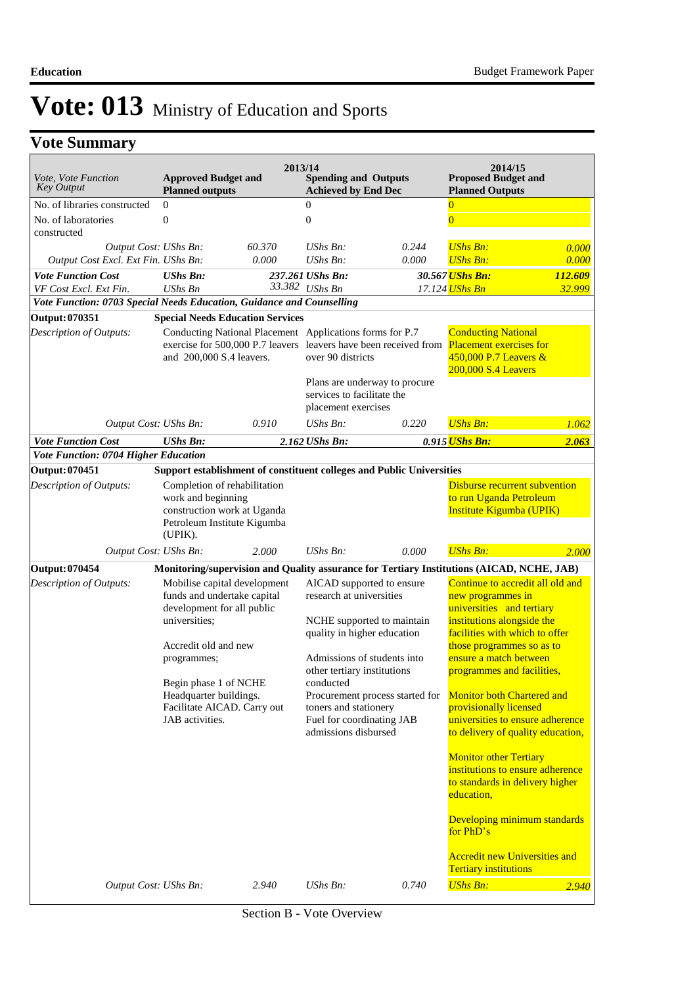| <i>Vote, Vote Function</i><br><b>Key Output</b>                       | <b>Approved Budget and</b><br><b>Planned outputs</b>                                                                               | 2013/14                                                                                             | <b>Spending and Outputs</b><br><b>Achieved by End Dec</b>                                                                                                                                |                                                                                                   | 2014/15<br><b>Proposed Budget and</b><br><b>Planned Outputs</b>                                                                                                                              |                   |
|-----------------------------------------------------------------------|------------------------------------------------------------------------------------------------------------------------------------|-----------------------------------------------------------------------------------------------------|------------------------------------------------------------------------------------------------------------------------------------------------------------------------------------------|---------------------------------------------------------------------------------------------------|----------------------------------------------------------------------------------------------------------------------------------------------------------------------------------------------|-------------------|
| No. of libraries constructed<br>No. of laboratories<br>constructed    | $\mathbf{0}$<br>$\mathbf{0}$                                                                                                       |                                                                                                     | $\overline{0}$<br>$\mathbf{0}$                                                                                                                                                           |                                                                                                   | $\bf{0}$<br>$\overline{0}$                                                                                                                                                                   |                   |
| Output Cost: UShs Bn:<br>Output Cost Excl. Ext Fin. UShs Bn:          |                                                                                                                                    | 60.370<br>0.000                                                                                     | $UShs Bn$ :<br>$UShs Bn$ :                                                                                                                                                               | 0.244<br>0.000                                                                                    | <b>UShs Bn:</b><br><b>UShs Bn:</b>                                                                                                                                                           | 0.000<br>0.000    |
| <b>Vote Function Cost</b><br>VF Cost Excl. Ext Fin.                   | <b>UShs Bn:</b><br><b>UShs Bn</b>                                                                                                  |                                                                                                     | 237.261 UShs Bn:<br>33.382 UShs Bn                                                                                                                                                       |                                                                                                   | 30.567 UShs Bn:<br>17.124 <mark>UShs Bn</mark>                                                                                                                                               | 112.609<br>32.999 |
| Vote Function: 0703 Special Needs Education, Guidance and Counselling |                                                                                                                                    |                                                                                                     |                                                                                                                                                                                          |                                                                                                   |                                                                                                                                                                                              |                   |
| Output: 070351<br>Description of Outputs:                             | and 200,000 S.4 leavers.                                                                                                           | <b>Special Needs Education Services</b><br>Conducting National Placement Applications forms for P.7 | over 90 districts<br>services to facilitate the<br>placement exercises                                                                                                                   | exercise for 500,000 P.7 leavers leavers have been received from<br>Plans are underway to procure | <b>Conducting National</b><br><b>Placement exercises for</b><br>450,000 P.7 Leavers &<br>200,000 S.4 Leavers                                                                                 |                   |
| Output Cost: UShs Bn:                                                 |                                                                                                                                    | 0.910                                                                                               | $UShs Bn$ :                                                                                                                                                                              | 0.220                                                                                             | <b>UShs Bn:</b>                                                                                                                                                                              | 1.062             |
| <b>Vote Function Cost</b>                                             | <b>UShs Bn:</b>                                                                                                                    |                                                                                                     | 2.162 UShs Bn:                                                                                                                                                                           |                                                                                                   | 0.915 <i>UShs Bn:</i>                                                                                                                                                                        | 2.063             |
| Vote Function: 0704 Higher Education                                  |                                                                                                                                    |                                                                                                     |                                                                                                                                                                                          |                                                                                                   |                                                                                                                                                                                              |                   |
| Output: 070451                                                        |                                                                                                                                    |                                                                                                     |                                                                                                                                                                                          | Support establishment of constituent colleges and Public Universities                             |                                                                                                                                                                                              |                   |
| Description of Outputs:                                               | Completion of rehabilitation<br>work and beginning<br>construction work at Uganda<br>Petroleum Institute Kigumba<br>(UPIK).        |                                                                                                     |                                                                                                                                                                                          |                                                                                                   | <b>Disburse recurrent subvention</b><br>to run Uganda Petroleum<br>Institute Kigumba (UPIK)                                                                                                  |                   |
| Output Cost: UShs Bn:                                                 |                                                                                                                                    | 2.000                                                                                               | $UShs Bn$ :                                                                                                                                                                              | 0.000                                                                                             | <b>UShs Bn:</b>                                                                                                                                                                              | 2.000             |
| <b>Output: 070454</b>                                                 |                                                                                                                                    |                                                                                                     |                                                                                                                                                                                          |                                                                                                   | Monitoring/supervision and Quality assurance for Tertiary Institutions (AICAD, NCHE, JAB)                                                                                                    |                   |
| Description of Outputs:                                               | Mobilise capital development<br>funds and undertake capital<br>development for all public<br>universities;<br>Accredit old and new |                                                                                                     | AICAD supported to ensure<br>research at universities<br>quality in higher education                                                                                                     | NCHE supported to maintain                                                                        | Continue to accredit all old and<br>new programmes in<br>universities and tertiary<br>institutions alongside the<br>facilities with which to offer<br>those programmes so as to              |                   |
|                                                                       | programmes;<br>Begin phase 1 of NCHE<br>Headquarter buildings.<br>Facilitate AICAD. Carry out<br>JAB activities.                   |                                                                                                     | Admissions of students into<br>other tertiary institutions<br>conducted<br>Procurement process started for<br>toners and stationery<br>Fuel for coordinating JAB<br>admissions disbursed |                                                                                                   | ensure a match between<br>programmes and facilities,<br><b>Monitor both Chartered and</b><br>provisionally licensed<br>universities to ensure adherence<br>to delivery of quality education, |                   |
|                                                                       |                                                                                                                                    |                                                                                                     |                                                                                                                                                                                          |                                                                                                   | <b>Monitor other Tertiary</b><br>institutions to ensure adherence<br>to standards in delivery higher<br>education,<br>Developing minimum standards                                           |                   |
| Output Cost: UShs Bn:                                                 |                                                                                                                                    | 2.940                                                                                               | UShs Bn:                                                                                                                                                                                 | 0.740                                                                                             | for PhD's<br><b>Accredit new Universities and</b><br><b>Tertiary institutions</b><br><b>UShs Bn:</b>                                                                                         | 2.940             |
|                                                                       |                                                                                                                                    |                                                                                                     |                                                                                                                                                                                          |                                                                                                   |                                                                                                                                                                                              |                   |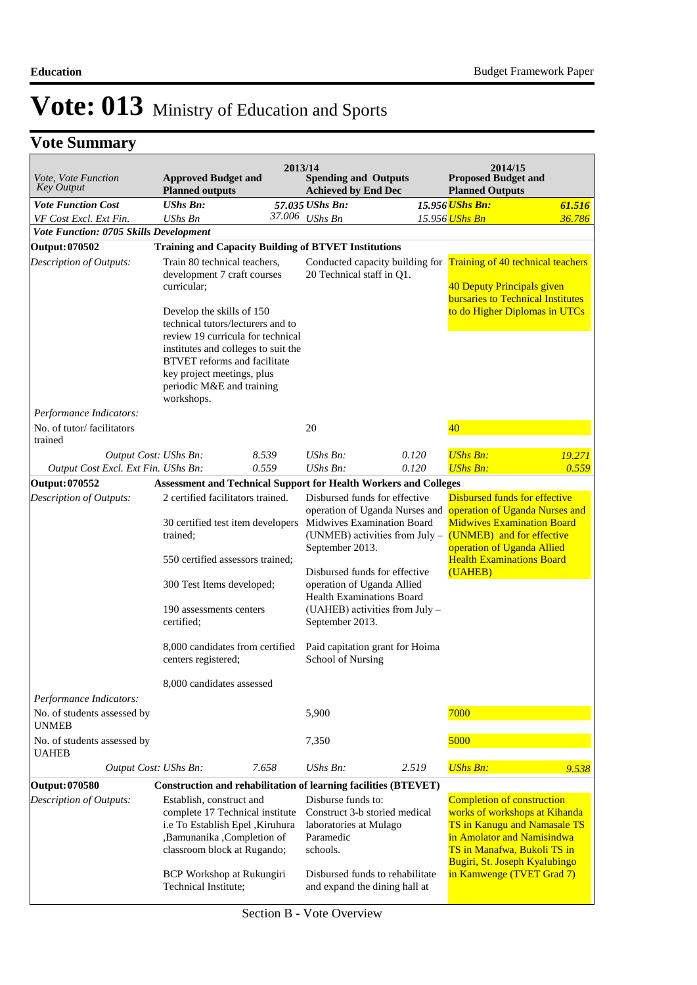| <i>Vote, Vote Function</i><br><b>Key Output</b> | <b>Approved Budget and</b><br><b>Planned outputs</b>                                                                                                                                                                                                                                                                                     |       | 2013/14<br><b>Spending and Outputs</b><br><b>Achieved by End Dec</b>                                                                                                                                                                                                                                                                                               |       | 2014/15<br><b>Proposed Budget and</b><br><b>Planned Outputs</b>                                                                                                                                                |        |
|-------------------------------------------------|------------------------------------------------------------------------------------------------------------------------------------------------------------------------------------------------------------------------------------------------------------------------------------------------------------------------------------------|-------|--------------------------------------------------------------------------------------------------------------------------------------------------------------------------------------------------------------------------------------------------------------------------------------------------------------------------------------------------------------------|-------|----------------------------------------------------------------------------------------------------------------------------------------------------------------------------------------------------------------|--------|
| <b>Vote Function Cost</b>                       | <b>UShs Bn:</b>                                                                                                                                                                                                                                                                                                                          |       | 57.035 UShs Bn:                                                                                                                                                                                                                                                                                                                                                    |       | 15.956 UShs Bn:                                                                                                                                                                                                | 61.516 |
| VF Cost Excl. Ext Fin.                          | <b>UShs Bn</b>                                                                                                                                                                                                                                                                                                                           |       | 37.006 UShs Bn                                                                                                                                                                                                                                                                                                                                                     |       | 15.956 UShs Bn                                                                                                                                                                                                 | 36.786 |
| Vote Function: 0705 Skills Development          |                                                                                                                                                                                                                                                                                                                                          |       |                                                                                                                                                                                                                                                                                                                                                                    |       |                                                                                                                                                                                                                |        |
| <b>Output: 070502</b>                           | <b>Training and Capacity Building of BTVET Institutions</b>                                                                                                                                                                                                                                                                              |       |                                                                                                                                                                                                                                                                                                                                                                    |       |                                                                                                                                                                                                                |        |
| Description of Outputs:                         | Train 80 technical teachers,<br>development 7 craft courses<br>curricular;<br>Develop the skills of 150<br>technical tutors/lecturers and to<br>review 19 curricula for technical<br>institutes and colleges to suit the<br><b>BTVET</b> reforms and facilitate<br>key project meetings, plus<br>periodic M&E and training<br>workshops. |       | Conducted capacity building for<br>20 Technical staff in Q1.                                                                                                                                                                                                                                                                                                       |       | Training of 40 technical teachers<br>40 Deputy Principals given<br><b>bursaries to Technical Institutes</b><br>to do Higher Diplomas in UTCs                                                                   |        |
| Performance Indicators:                         |                                                                                                                                                                                                                                                                                                                                          |       |                                                                                                                                                                                                                                                                                                                                                                    |       |                                                                                                                                                                                                                |        |
| No. of tutor/facilitators<br>trained            |                                                                                                                                                                                                                                                                                                                                          |       | 20                                                                                                                                                                                                                                                                                                                                                                 |       | 40                                                                                                                                                                                                             |        |
| Output Cost: UShs Bn:                           |                                                                                                                                                                                                                                                                                                                                          | 8.539 | UShs Bn:                                                                                                                                                                                                                                                                                                                                                           | 0.120 | <b>UShs Bn:</b>                                                                                                                                                                                                | 19.271 |
| Output Cost Excl. Ext Fin. UShs Bn:             |                                                                                                                                                                                                                                                                                                                                          | 0.559 | UShs Bn:                                                                                                                                                                                                                                                                                                                                                           | 0.120 | <b>UShs Bn:</b>                                                                                                                                                                                                | 0.559  |
| <b>Output:070552</b>                            | <b>Assessment and Technical Support for Health Workers and Colleges</b>                                                                                                                                                                                                                                                                  |       |                                                                                                                                                                                                                                                                                                                                                                    |       |                                                                                                                                                                                                                |        |
| Description of Outputs:                         | 2 certified facilitators trained.<br>30 certified test item developers<br>trained;<br>550 certified assessors trained;<br>300 Test Items developed;<br>190 assessments centers<br>certified;<br>8,000 candidates from certified<br>centers registered;<br>8,000 candidates assessed                                                      |       | Disbursed funds for effective<br>operation of Uganda Nurses and<br>Midwives Examination Board<br>(UNMEB) activities from July -<br>September 2013.<br>Disbursed funds for effective<br>operation of Uganda Allied<br><b>Health Examinations Board</b><br>(UAHEB) activities from July -<br>September 2013.<br>Paid capitation grant for Hoima<br>School of Nursing |       | Disbursed funds for effective<br>operation of Uganda Nurses and<br><b>Midwives Examination Board</b><br>(UNMEB) and for effective<br>operation of Uganda Allied<br><b>Health Examinations Board</b><br>(UAHEB) |        |
| Performance Indicators:                         |                                                                                                                                                                                                                                                                                                                                          |       |                                                                                                                                                                                                                                                                                                                                                                    |       |                                                                                                                                                                                                                |        |
| No. of students assessed by<br><b>UNMEB</b>     |                                                                                                                                                                                                                                                                                                                                          |       | 5,900                                                                                                                                                                                                                                                                                                                                                              |       | 7000                                                                                                                                                                                                           |        |
| No. of students assessed by<br><b>UAHEB</b>     |                                                                                                                                                                                                                                                                                                                                          |       | 7,350                                                                                                                                                                                                                                                                                                                                                              |       | 5000                                                                                                                                                                                                           |        |
| Output Cost: UShs Bn:                           |                                                                                                                                                                                                                                                                                                                                          | 7.658 | $UShs Bn$ :                                                                                                                                                                                                                                                                                                                                                        | 2.519 | <b>UShs Bn:</b>                                                                                                                                                                                                | 9.538  |
| <b>Output: 070580</b>                           | Construction and rehabilitation of learning facilities (BTEVET)                                                                                                                                                                                                                                                                          |       |                                                                                                                                                                                                                                                                                                                                                                    |       |                                                                                                                                                                                                                |        |
| Description of Outputs:                         | Establish, construct and<br>complete 17 Technical institute<br>i.e To Establish Epel , Kiruhura<br>,Bamunanika ,Completion of<br>classroom block at Rugando;                                                                                                                                                                             |       | Disburse funds to:<br>Construct 3-b storied medical<br>laboratories at Mulago<br>Paramedic<br>schools.                                                                                                                                                                                                                                                             |       | <b>Completion of construction</b><br>works of workshops at Kihanda<br>TS in Kanugu and Namasale TS<br>in Amolator and Namisindwa<br>TS in Manafwa, Bukoli TS in<br>Bugiri, St. Joseph Kyalubingo               |        |
|                                                 | BCP Workshop at Rukungiri<br>Technical Institute;                                                                                                                                                                                                                                                                                        |       | Disbursed funds to rehabilitate<br>and expand the dining hall at                                                                                                                                                                                                                                                                                                   |       | in Kamwenge (TVET Grad 7)                                                                                                                                                                                      |        |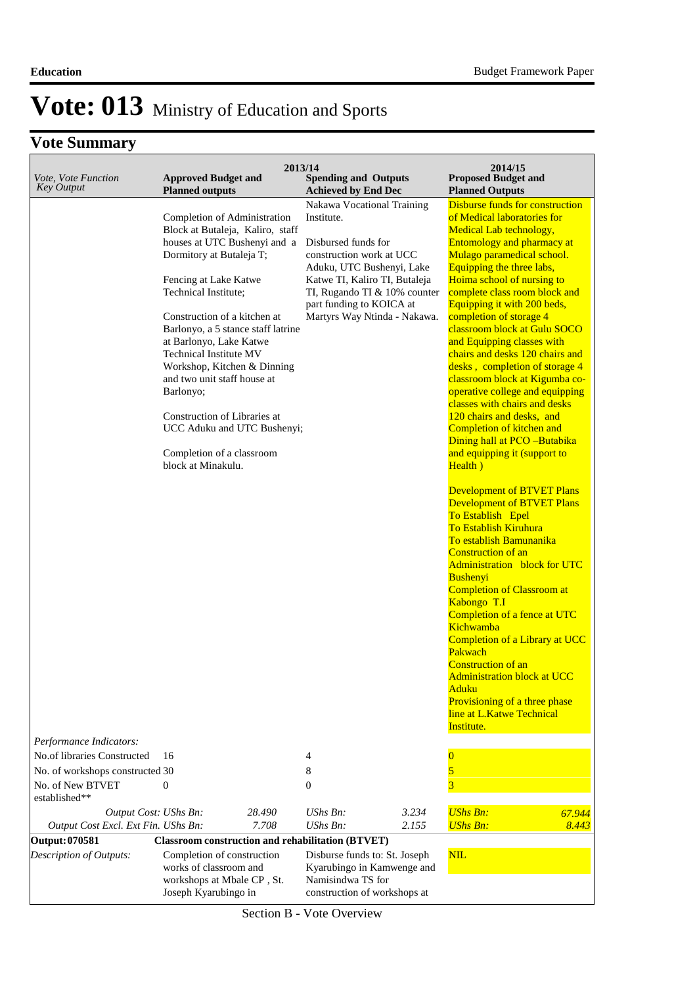### **Vote Summary**

| Vote, Vote Function<br><b>Key Output</b> | <b>Approved Budget and</b><br><b>Planned outputs</b>                               | 2013/14 | <b>Spending and Outputs</b><br><b>Achieved by End Dec</b>                        |       | 2014/15<br><b>Proposed Budget and</b><br><b>Planned Outputs</b> |        |
|------------------------------------------|------------------------------------------------------------------------------------|---------|----------------------------------------------------------------------------------|-------|-----------------------------------------------------------------|--------|
|                                          |                                                                                    |         | Nakawa Vocational Training                                                       |       | <b>Disburse funds for construction</b>                          |        |
|                                          | Completion of Administration                                                       |         | Institute.                                                                       |       | of Medical laboratories for                                     |        |
|                                          | Block at Butaleja, Kaliro, staff                                                   |         |                                                                                  |       | Medical Lab technology,                                         |        |
|                                          | houses at UTC Bushenyi and a                                                       |         | Disbursed funds for<br>construction work at UCC                                  |       | Entomology and pharmacy at                                      |        |
|                                          | Dormitory at Butaleja T;                                                           |         | Aduku, UTC Bushenyi, Lake                                                        |       | Mulago paramedical school.<br>Equipping the three labs,         |        |
|                                          | Fencing at Lake Katwe                                                              |         | Katwe TI, Kaliro TI, Butaleja                                                    |       | Hoima school of nursing to                                      |        |
|                                          | Technical Institute;                                                               |         | TI, Rugando TI & 10% counter                                                     |       | complete class room block and                                   |        |
|                                          |                                                                                    |         | part funding to KOICA at                                                         |       | Equipping it with 200 beds,                                     |        |
|                                          | Construction of a kitchen at                                                       |         | Martyrs Way Ntinda - Nakawa.                                                     |       | completion of storage 4<br>classroom block at Gulu SOCO         |        |
|                                          | Barlonyo, a 5 stance staff latrine<br>at Barlonyo, Lake Katwe                      |         |                                                                                  |       | and Equipping classes with                                      |        |
|                                          | <b>Technical Institute MV</b>                                                      |         |                                                                                  |       | chairs and desks 120 chairs and                                 |        |
|                                          | Workshop, Kitchen & Dinning                                                        |         |                                                                                  |       | desks, completion of storage 4                                  |        |
|                                          | and two unit staff house at                                                        |         |                                                                                  |       | classroom block at Kigumba co-                                  |        |
|                                          | Barlonyo;                                                                          |         |                                                                                  |       | operative college and equipping                                 |        |
|                                          | Construction of Libraries at                                                       |         |                                                                                  |       | classes with chairs and desks<br>120 chairs and desks, and      |        |
|                                          | UCC Aduku and UTC Bushenyi;                                                        |         |                                                                                  |       | Completion of kitchen and                                       |        |
|                                          |                                                                                    |         |                                                                                  |       | Dining hall at PCO -Butabika                                    |        |
|                                          | Completion of a classroom                                                          |         |                                                                                  |       | and equipping it (support to                                    |        |
|                                          | block at Minakulu.                                                                 |         |                                                                                  |       | Health)                                                         |        |
|                                          |                                                                                    |         |                                                                                  |       | <b>Development of BTVET Plans</b>                               |        |
|                                          |                                                                                    |         |                                                                                  |       | <b>Development of BTVET Plans</b>                               |        |
|                                          |                                                                                    |         |                                                                                  |       | To Establish Epel                                               |        |
|                                          |                                                                                    |         |                                                                                  |       | <b>To Establish Kiruhura</b>                                    |        |
|                                          |                                                                                    |         |                                                                                  |       | To establish Bamunanika                                         |        |
|                                          |                                                                                    |         |                                                                                  |       | <b>Construction of an</b><br>Administration block for UTC       |        |
|                                          |                                                                                    |         |                                                                                  |       | Bushenyi                                                        |        |
|                                          |                                                                                    |         |                                                                                  |       | <b>Completion of Classroom at</b>                               |        |
|                                          |                                                                                    |         |                                                                                  |       | Kabongo T.I                                                     |        |
|                                          |                                                                                    |         |                                                                                  |       | Completion of a fence at UTC                                    |        |
|                                          |                                                                                    |         |                                                                                  |       | Kichwamba<br>Completion of a Library at UCC                     |        |
|                                          |                                                                                    |         |                                                                                  |       | Pakwach                                                         |        |
|                                          |                                                                                    |         |                                                                                  |       | <b>Construction of an</b>                                       |        |
|                                          |                                                                                    |         |                                                                                  |       | <b>Administration block at UCC</b>                              |        |
|                                          |                                                                                    |         |                                                                                  |       | Aduku                                                           |        |
|                                          |                                                                                    |         |                                                                                  |       | Provisioning of a three phase<br>line at L.Katwe Technical      |        |
|                                          |                                                                                    |         |                                                                                  |       | Institute.                                                      |        |
| Performance Indicators:                  |                                                                                    |         |                                                                                  |       |                                                                 |        |
| No.of libraries Constructed              | 16                                                                                 |         | 4                                                                                |       | $\bf{0}$                                                        |        |
| No. of workshops constructed 30          |                                                                                    |         | 8                                                                                |       | 5                                                               |        |
| No. of New BTVET<br>established**        | 0                                                                                  |         | $\mathbf{0}$                                                                     |       | $\overline{3}$                                                  |        |
| Output Cost: UShs Bn:                    |                                                                                    | 28.490  | $UShs Bn$ :                                                                      | 3.234 | <b>UShs Bn:</b>                                                 | 67.944 |
| Output Cost Excl. Ext Fin. UShs Bn:      |                                                                                    | 7.708   | $UShs Bn$ :                                                                      | 2.155 | <b>UShs Bn:</b>                                                 | 8.443  |
| Output: 070581                           | <b>Classroom construction and rehabilitation (BTVET)</b>                           |         |                                                                                  |       |                                                                 |        |
| Description of Outputs:                  | Completion of construction<br>works of classroom and<br>workshops at Mbale CP, St. |         | Disburse funds to: St. Joseph<br>Kyarubingo in Kamwenge and<br>Namisindwa TS for |       | <b>NIL</b>                                                      |        |
|                                          | Joseph Kyarubingo in                                                               |         | construction of workshops at                                                     |       |                                                                 |        |

Section B - Vote Overview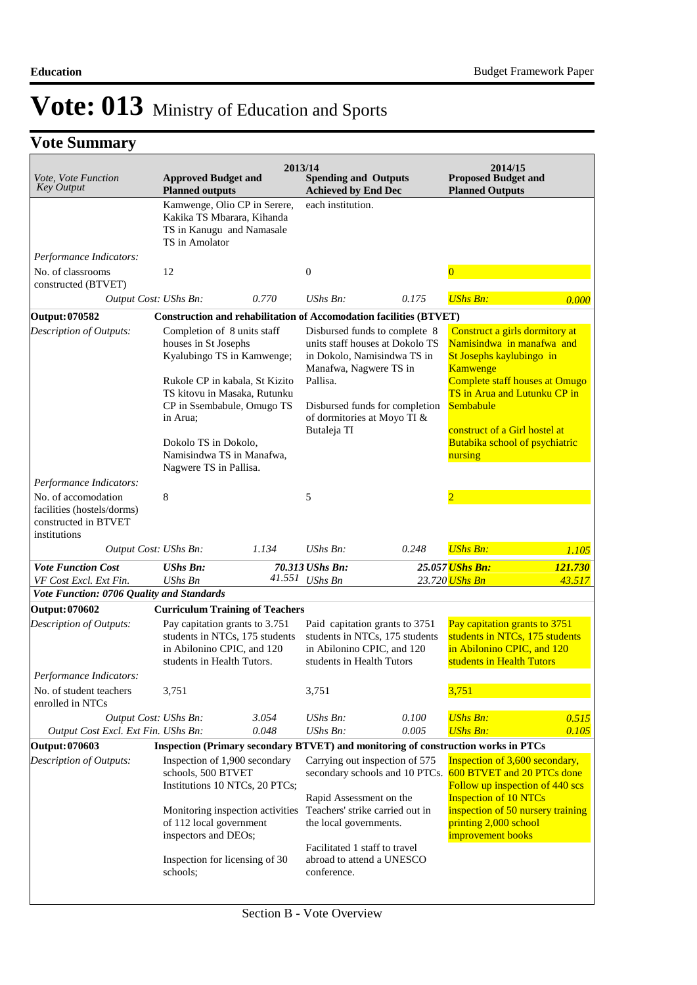| Vote, Vote Function<br><b>Key Output</b>                                                  | <b>Approved Budget and</b><br><b>Planned outputs</b>                                                                                                                                                                                                                         |                                                                    | 2013/14<br><b>Spending and Outputs</b><br><b>Achieved by End Dec</b>                 |                                                                                                                                   | 2014/15<br><b>Proposed Budget and</b><br><b>Planned Outputs</b>                                                                                                                                                                                                         |                   |
|-------------------------------------------------------------------------------------------|------------------------------------------------------------------------------------------------------------------------------------------------------------------------------------------------------------------------------------------------------------------------------|--------------------------------------------------------------------|--------------------------------------------------------------------------------------|-----------------------------------------------------------------------------------------------------------------------------------|-------------------------------------------------------------------------------------------------------------------------------------------------------------------------------------------------------------------------------------------------------------------------|-------------------|
|                                                                                           | Kamwenge, Olio CP in Serere,<br>Kakika TS Mbarara, Kihanda<br>TS in Kanugu and Namasale<br>TS in Amolator                                                                                                                                                                    |                                                                    | each institution.                                                                    |                                                                                                                                   |                                                                                                                                                                                                                                                                         |                   |
| Performance Indicators:<br>No. of classrooms<br>constructed (BTVET)                       | 12                                                                                                                                                                                                                                                                           |                                                                    | $\boldsymbol{0}$                                                                     |                                                                                                                                   | $\overline{0}$                                                                                                                                                                                                                                                          |                   |
|                                                                                           | Output Cost: UShs Bn:                                                                                                                                                                                                                                                        | 0.770                                                              | $UShs Bn$ :                                                                          | 0.175                                                                                                                             | <b>UShs Bn:</b>                                                                                                                                                                                                                                                         | 0.000             |
| Output: 070582                                                                            |                                                                                                                                                                                                                                                                              |                                                                    |                                                                                      | <b>Construction and rehabilitation of Accomodation facilities (BTVET)</b>                                                         |                                                                                                                                                                                                                                                                         |                   |
| Description of Outputs:                                                                   | Completion of 8 units staff<br>houses in St Josephs<br>Kyalubingo TS in Kamwenge;<br>Rukole CP in kabala, St Kizito<br>TS kitovu in Masaka, Rutunku<br>CP in Ssembabule, Omugo TS<br>in Arua;<br>Dokolo TS in Dokolo,<br>Namisindwa TS in Manafwa,<br>Nagwere TS in Pallisa. |                                                                    | Manafwa, Nagwere TS in<br>Pallisa.<br>of dormitories at Moyo TI &<br>Butaleja TI     | Disbursed funds to complete 8<br>units staff houses at Dokolo TS<br>in Dokolo, Namisindwa TS in<br>Disbursed funds for completion | Construct a girls dormitory at<br>Namisindwa in manafwa and<br>St Josephs kaylubingo in<br>Kamwenge<br><b>Complete staff houses at Omugo</b><br>TS in Arua and Lutunku CP in<br>Sembabule<br>construct of a Girl hostel at<br>Butabika school of psychiatric<br>nursing |                   |
| Performance Indicators:                                                                   |                                                                                                                                                                                                                                                                              |                                                                    |                                                                                      |                                                                                                                                   |                                                                                                                                                                                                                                                                         |                   |
| No. of accomodation<br>facilities (hostels/dorms)<br>constructed in BTVET<br>institutions | 8                                                                                                                                                                                                                                                                            |                                                                    | 5                                                                                    |                                                                                                                                   | $\overline{2}$                                                                                                                                                                                                                                                          |                   |
|                                                                                           | Output Cost: UShs Bn:                                                                                                                                                                                                                                                        | 1.134                                                              | $UShs Bn$ :                                                                          | 0.248                                                                                                                             | <b>UShs Bn:</b>                                                                                                                                                                                                                                                         | 1.105             |
| <b>Vote Function Cost</b><br>VF Cost Excl. Ext Fin.                                       | <b>UShs Bn:</b><br><b>UShs Bn</b>                                                                                                                                                                                                                                            |                                                                    | 70.313 UShs Bn:<br>41.551 UShs Bn                                                    |                                                                                                                                   | 25.057 UShs Bn:<br>23.720 <mark>UShs Bn</mark>                                                                                                                                                                                                                          | 121.730<br>43.517 |
| Vote Function: 0706 Quality and Standards                                                 |                                                                                                                                                                                                                                                                              |                                                                    |                                                                                      |                                                                                                                                   |                                                                                                                                                                                                                                                                         |                   |
| Output: 070602                                                                            | <b>Curriculum Training of Teachers</b>                                                                                                                                                                                                                                       |                                                                    |                                                                                      |                                                                                                                                   |                                                                                                                                                                                                                                                                         |                   |
| Description of Outputs:                                                                   | Pay capitation grants to 3.751<br>in Abilonino CPIC, and 120<br>students in Health Tutors.                                                                                                                                                                                   | students in NTCs, 175 students                                     | in Abilonino CPIC, and 120<br>students in Health Tutors                              | Paid capitation grants to 3751<br>students in NTCs, 175 students                                                                  | Pay capitation grants to 3751<br>students in NTCs, 175 students<br>in Abilonino CPIC, and 120<br>students in Health Tutors                                                                                                                                              |                   |
| Performance Indicators:<br>No. of student teachers                                        | 3,751                                                                                                                                                                                                                                                                        |                                                                    | 3,751                                                                                |                                                                                                                                   | 3,751                                                                                                                                                                                                                                                                   |                   |
| enrolled in NTCs                                                                          |                                                                                                                                                                                                                                                                              |                                                                    |                                                                                      |                                                                                                                                   |                                                                                                                                                                                                                                                                         |                   |
| Output Cost Excl. Ext Fin. UShs Bn:                                                       | Output Cost: UShs Bn:                                                                                                                                                                                                                                                        | 3.054<br>0.048                                                     | UShs Bn:<br>UShs Bn:                                                                 | 0.100<br>0.005                                                                                                                    | <b>UShs Bn:</b><br><b>UShs Bn:</b>                                                                                                                                                                                                                                      | 0.515<br>0.105    |
| Output: 070603                                                                            |                                                                                                                                                                                                                                                                              |                                                                    |                                                                                      |                                                                                                                                   | Inspection (Primary secondary BTVET) and monitoring of construction works in PTCs                                                                                                                                                                                       |                   |
| Description of Outputs:                                                                   | Inspection of 1,900 secondary<br>schools, 500 BTVET<br>of 112 local government<br>inspectors and DEOs;                                                                                                                                                                       | Institutions 10 NTCs, 20 PTCs;<br>Monitoring inspection activities | Rapid Assessment on the<br>Teachers' strike carried out in<br>the local governments. | Carrying out inspection of 575                                                                                                    | Inspection of 3,600 secondary,<br>secondary schools and 10 PTCs. 600 BTVET and 20 PTCs done<br>Follow up inspection of 440 scs<br><b>Inspection of 10 NTCs</b><br>inspection of 50 nursery training<br>printing 2,000 school<br>improvement books                       |                   |
|                                                                                           | Inspection for licensing of 30<br>schools;                                                                                                                                                                                                                                   |                                                                    | Facilitated 1 staff to travel<br>abroad to attend a UNESCO<br>conference.            |                                                                                                                                   |                                                                                                                                                                                                                                                                         |                   |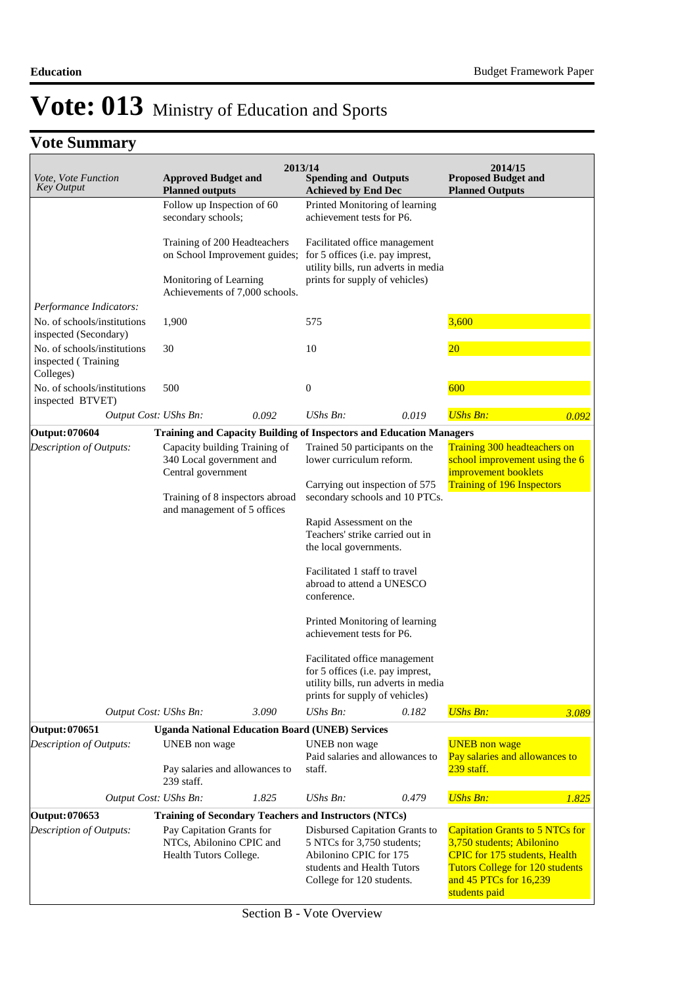| Vote, Vote Function<br><b>Key Output</b>                        | <b>Approved Budget and</b><br><b>Planned outputs</b>                            |                                 | 2013/14<br><b>Spending and Outputs</b><br><b>Achieved by End Dec</b>                                                                       |       | 2014/15<br><b>Proposed Budget and</b><br><b>Planned Outputs</b>                                                                                       |       |
|-----------------------------------------------------------------|---------------------------------------------------------------------------------|---------------------------------|--------------------------------------------------------------------------------------------------------------------------------------------|-------|-------------------------------------------------------------------------------------------------------------------------------------------------------|-------|
|                                                                 | Follow up Inspection of 60<br>secondary schools;                                |                                 | Printed Monitoring of learning<br>achievement tests for P6.                                                                                |       |                                                                                                                                                       |       |
|                                                                 | Training of 200 Headteachers                                                    | on School Improvement guides;   | Facilitated office management<br>for 5 offices (i.e. pay imprest,<br>utility bills, run adverts in media<br>prints for supply of vehicles) |       |                                                                                                                                                       |       |
|                                                                 | Monitoring of Learning                                                          | Achievements of 7,000 schools.  |                                                                                                                                            |       |                                                                                                                                                       |       |
| Performance Indicators:                                         |                                                                                 |                                 |                                                                                                                                            |       |                                                                                                                                                       |       |
| No. of schools/institutions<br>inspected (Secondary)            | 1,900                                                                           |                                 | 575                                                                                                                                        |       | 3,600                                                                                                                                                 |       |
| No. of schools/institutions<br>inspected (Training<br>Colleges) | 30                                                                              |                                 | 10                                                                                                                                         |       | $20\,$                                                                                                                                                |       |
| No. of schools/institutions<br>inspected BTVET)                 | 500                                                                             |                                 | $\boldsymbol{0}$                                                                                                                           |       | 600                                                                                                                                                   |       |
|                                                                 | Output Cost: UShs Bn:                                                           | 0.092                           | $UShs Bn$ :                                                                                                                                | 0.019 | <b>UShs Bn:</b>                                                                                                                                       | 0.092 |
| <b>Output: 070604</b>                                           |                                                                                 |                                 | <b>Training and Capacity Building of Inspectors and Education Managers</b>                                                                 |       |                                                                                                                                                       |       |
| Description of Outputs:                                         | Capacity building Training of<br>340 Local government and                       |                                 | Trained 50 participants on the<br>lower curriculum reform.                                                                                 |       | Training 300 headteachers on<br>school improvement using the 6                                                                                        |       |
|                                                                 | Central government<br>and management of 5 offices                               | Training of 8 inspectors abroad | Carrying out inspection of 575<br>secondary schools and 10 PTCs.                                                                           |       | improvement booklets<br><b>Training of 196 Inspectors</b>                                                                                             |       |
|                                                                 |                                                                                 |                                 | Rapid Assessment on the<br>Teachers' strike carried out in<br>the local governments.                                                       |       |                                                                                                                                                       |       |
|                                                                 |                                                                                 |                                 | Facilitated 1 staff to travel<br>abroad to attend a UNESCO<br>conference.                                                                  |       |                                                                                                                                                       |       |
|                                                                 |                                                                                 |                                 | Printed Monitoring of learning<br>achievement tests for P6.                                                                                |       |                                                                                                                                                       |       |
|                                                                 |                                                                                 |                                 | Facilitated office management<br>for 5 offices (i.e. pay imprest,<br>utility bills, run adverts in media<br>prints for supply of vehicles) |       |                                                                                                                                                       |       |
|                                                                 | Output Cost: UShs Bn:                                                           | 3.090                           | $UShs Bn$ :                                                                                                                                | 0.182 | <b>UShs Bn:</b>                                                                                                                                       | 3.089 |
| Output: 070651                                                  |                                                                                 |                                 | <b>Uganda National Education Board (UNEB) Services</b>                                                                                     |       |                                                                                                                                                       |       |
| Description of Outputs:                                         | UNEB non wage                                                                   |                                 | UNEB non wage<br>Paid salaries and allowances to                                                                                           |       | <b>UNEB</b> non wage<br>Pay salaries and allowances to                                                                                                |       |
|                                                                 | Pay salaries and allowances to<br>239 staff.                                    |                                 | staff.                                                                                                                                     |       | 239 staff.                                                                                                                                            |       |
|                                                                 | Output Cost: UShs Bn:                                                           | 1.825                           | UShs Bn:                                                                                                                                   | 0.479 | <b>UShs Bn:</b>                                                                                                                                       | 1.825 |
| Output: 070653                                                  |                                                                                 |                                 | <b>Training of Secondary Teachers and Instructors (NTCs)</b>                                                                               |       |                                                                                                                                                       |       |
| Description of Outputs:                                         | Pay Capitation Grants for<br>NTCs, Abilonino CPIC and<br>Health Tutors College. |                                 | Disbursed Capitation Grants to<br>5 NTCs for 3,750 students;<br>Abilonino CPIC for 175<br>students and Health Tutors                       |       | <b>Capitation Grants to 5 NTCs for</b><br>3,750 students; Abilonino<br><b>CPIC</b> for 175 students, Health<br><b>Tutors College for 120 students</b> |       |
|                                                                 |                                                                                 |                                 | College for 120 students.                                                                                                                  |       | and 45 PTCs for 16,239<br>students paid                                                                                                               |       |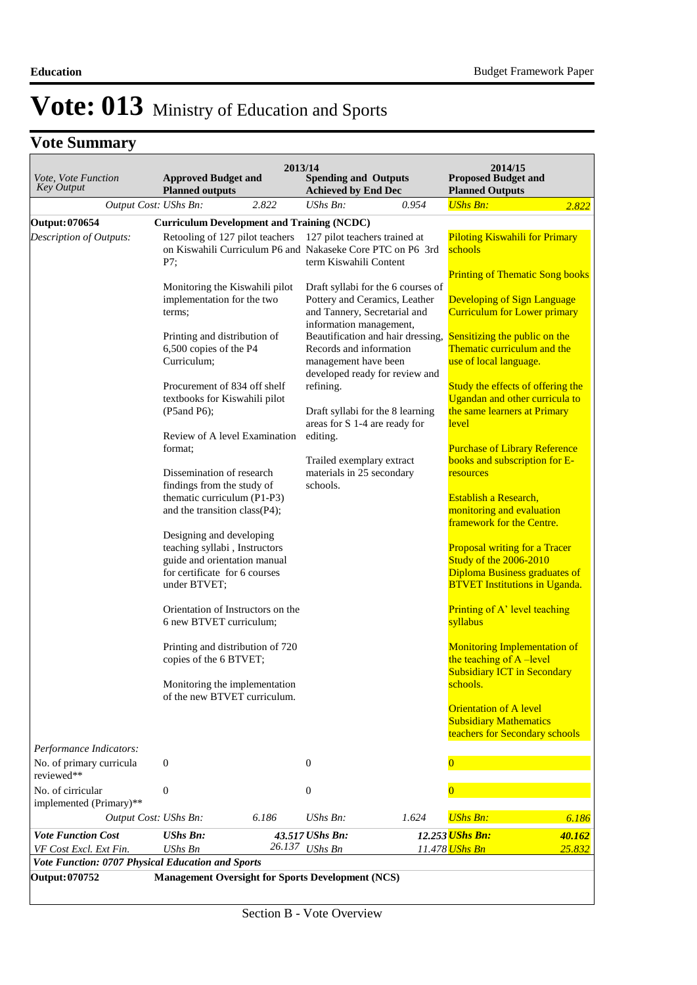| Vote, Vote Function<br><b>Key Output</b>          | <b>Approved Budget and</b><br><b>Planned outputs</b>                                                                                                                                                                                                                                                                                                                                                                                                                                                                                                                                                                                                                                                                                                   | 2013/14 | <b>Spending and Outputs</b><br><b>Achieved by End Dec</b>                                                                                                                                                                                                                                                       |                                                                                                           | 2014/15<br><b>Proposed Budget and</b><br><b>Planned Outputs</b>                                                                                                                                                                                                                                                                                                                                                                                                                                                                                                                                                                                                                                                                                                                                                                                            |        |  |
|---------------------------------------------------|--------------------------------------------------------------------------------------------------------------------------------------------------------------------------------------------------------------------------------------------------------------------------------------------------------------------------------------------------------------------------------------------------------------------------------------------------------------------------------------------------------------------------------------------------------------------------------------------------------------------------------------------------------------------------------------------------------------------------------------------------------|---------|-----------------------------------------------------------------------------------------------------------------------------------------------------------------------------------------------------------------------------------------------------------------------------------------------------------------|-----------------------------------------------------------------------------------------------------------|------------------------------------------------------------------------------------------------------------------------------------------------------------------------------------------------------------------------------------------------------------------------------------------------------------------------------------------------------------------------------------------------------------------------------------------------------------------------------------------------------------------------------------------------------------------------------------------------------------------------------------------------------------------------------------------------------------------------------------------------------------------------------------------------------------------------------------------------------------|--------|--|
| Output Cost: UShs Bn:                             |                                                                                                                                                                                                                                                                                                                                                                                                                                                                                                                                                                                                                                                                                                                                                        | 2.822   | UShs Bn:                                                                                                                                                                                                                                                                                                        | 0.954                                                                                                     | <b>UShs Bn:</b>                                                                                                                                                                                                                                                                                                                                                                                                                                                                                                                                                                                                                                                                                                                                                                                                                                            | 2.822  |  |
| <b>Output: 070654</b>                             | <b>Curriculum Development and Training (NCDC)</b>                                                                                                                                                                                                                                                                                                                                                                                                                                                                                                                                                                                                                                                                                                      |         |                                                                                                                                                                                                                                                                                                                 |                                                                                                           |                                                                                                                                                                                                                                                                                                                                                                                                                                                                                                                                                                                                                                                                                                                                                                                                                                                            |        |  |
| Description of Outputs:                           | Retooling of 127 pilot teachers<br>on Kiswahili Curriculum P6 and Nakaseke Core PTC on P6 3rd<br>P7:                                                                                                                                                                                                                                                                                                                                                                                                                                                                                                                                                                                                                                                   |         | 127 pilot teachers trained at<br>term Kiswahili Content                                                                                                                                                                                                                                                         |                                                                                                           | <b>Piloting Kiswahili for Primary</b><br>schools                                                                                                                                                                                                                                                                                                                                                                                                                                                                                                                                                                                                                                                                                                                                                                                                           |        |  |
|                                                   | Monitoring the Kiswahili pilot<br>implementation for the two<br>terms;<br>Printing and distribution of<br>6,500 copies of the P4<br>Curriculum;<br>Procurement of 834 off shelf<br>textbooks for Kiswahili pilot<br>$(P5and P6)$ ;<br>Review of A level Examination<br>format;<br>Dissemination of research<br>findings from the study of<br>thematic curriculum (P1-P3)<br>and the transition class(P4);<br>Designing and developing<br>teaching syllabi, Instructors<br>guide and orientation manual<br>for certificate for 6 courses<br>under BTVET;<br>Orientation of Instructors on the<br>6 new BTVET curriculum;<br>Printing and distribution of 720<br>copies of the 6 BTVET;<br>Monitoring the implementation<br>of the new BTVET curriculum. |         | Pottery and Ceramics, Leather<br>and Tannery, Secretarial and<br>information management,<br>Records and information<br>management have been<br>refining.<br>Draft syllabi for the 8 learning<br>areas for S 1-4 are ready for<br>editing.<br>Trailed exemplary extract<br>materials in 25 secondary<br>schools. | Draft syllabi for the 6 courses of<br>Beautification and hair dressing,<br>developed ready for review and | <b>Printing of Thematic Song books</b><br><b>Developing of Sign Language</b><br><b>Curriculum for Lower primary</b><br>Sensitizing the public on the<br>Thematic curriculum and the<br>use of local language.<br>Study the effects of offering the<br>Ugandan and other curricula to<br>the same learners at Primary<br>level<br><b>Purchase of Library Reference</b><br>books and subscription for E-<br>resources<br>Establish a Research,<br>monitoring and evaluation<br>framework for the Centre.<br><b>Proposal writing for a Tracer</b><br>Study of the 2006-2010<br><b>Diploma Business graduates of</b><br><b>BTVET Institutions in Uganda.</b><br>Printing of A' level teaching<br>syllabus<br><b>Monitoring Implementation of</b><br>the teaching of A-level<br><b>Subsidiary ICT in Secondary</b><br>schools.<br><b>Orientation of A level</b> |        |  |
| Performance Indicators:                           |                                                                                                                                                                                                                                                                                                                                                                                                                                                                                                                                                                                                                                                                                                                                                        |         |                                                                                                                                                                                                                                                                                                                 |                                                                                                           | <b>Subsidiary Mathematics</b><br>teachers for Secondary schools                                                                                                                                                                                                                                                                                                                                                                                                                                                                                                                                                                                                                                                                                                                                                                                            |        |  |
| No. of primary curricula<br>reviewed**            | 0                                                                                                                                                                                                                                                                                                                                                                                                                                                                                                                                                                                                                                                                                                                                                      |         | $\mathbf{0}$                                                                                                                                                                                                                                                                                                    |                                                                                                           | $\overline{0}$                                                                                                                                                                                                                                                                                                                                                                                                                                                                                                                                                                                                                                                                                                                                                                                                                                             |        |  |
| No. of cirricular<br>implemented (Primary)**      | $\boldsymbol{0}$                                                                                                                                                                                                                                                                                                                                                                                                                                                                                                                                                                                                                                                                                                                                       |         | $\mathbf{0}$                                                                                                                                                                                                                                                                                                    |                                                                                                           | $\Omega$                                                                                                                                                                                                                                                                                                                                                                                                                                                                                                                                                                                                                                                                                                                                                                                                                                                   |        |  |
| Output Cost: UShs Bn:                             |                                                                                                                                                                                                                                                                                                                                                                                                                                                                                                                                                                                                                                                                                                                                                        | 6.186   | UShs Bn:                                                                                                                                                                                                                                                                                                        | 1.624                                                                                                     | <b>UShs Bn:</b>                                                                                                                                                                                                                                                                                                                                                                                                                                                                                                                                                                                                                                                                                                                                                                                                                                            | 6.186  |  |
| <b>Vote Function Cost</b>                         | <b>UShs Bn:</b>                                                                                                                                                                                                                                                                                                                                                                                                                                                                                                                                                                                                                                                                                                                                        |         | 43.517 UShs Bn:                                                                                                                                                                                                                                                                                                 |                                                                                                           | 12.253 UShs Bn:                                                                                                                                                                                                                                                                                                                                                                                                                                                                                                                                                                                                                                                                                                                                                                                                                                            | 40.162 |  |
| VF Cost Excl. Ext Fin.                            | <b>UShs Bn</b>                                                                                                                                                                                                                                                                                                                                                                                                                                                                                                                                                                                                                                                                                                                                         |         | 26.137 UShs Bn                                                                                                                                                                                                                                                                                                  |                                                                                                           | 11.478 <mark>UShs Bn</mark>                                                                                                                                                                                                                                                                                                                                                                                                                                                                                                                                                                                                                                                                                                                                                                                                                                | 25.832 |  |
| Vote Function: 0707 Physical Education and Sports |                                                                                                                                                                                                                                                                                                                                                                                                                                                                                                                                                                                                                                                                                                                                                        |         |                                                                                                                                                                                                                                                                                                                 |                                                                                                           |                                                                                                                                                                                                                                                                                                                                                                                                                                                                                                                                                                                                                                                                                                                                                                                                                                                            |        |  |
| Output: 070752                                    | <b>Management Oversight for Sports Development (NCS)</b>                                                                                                                                                                                                                                                                                                                                                                                                                                                                                                                                                                                                                                                                                               |         |                                                                                                                                                                                                                                                                                                                 |                                                                                                           |                                                                                                                                                                                                                                                                                                                                                                                                                                                                                                                                                                                                                                                                                                                                                                                                                                                            |        |  |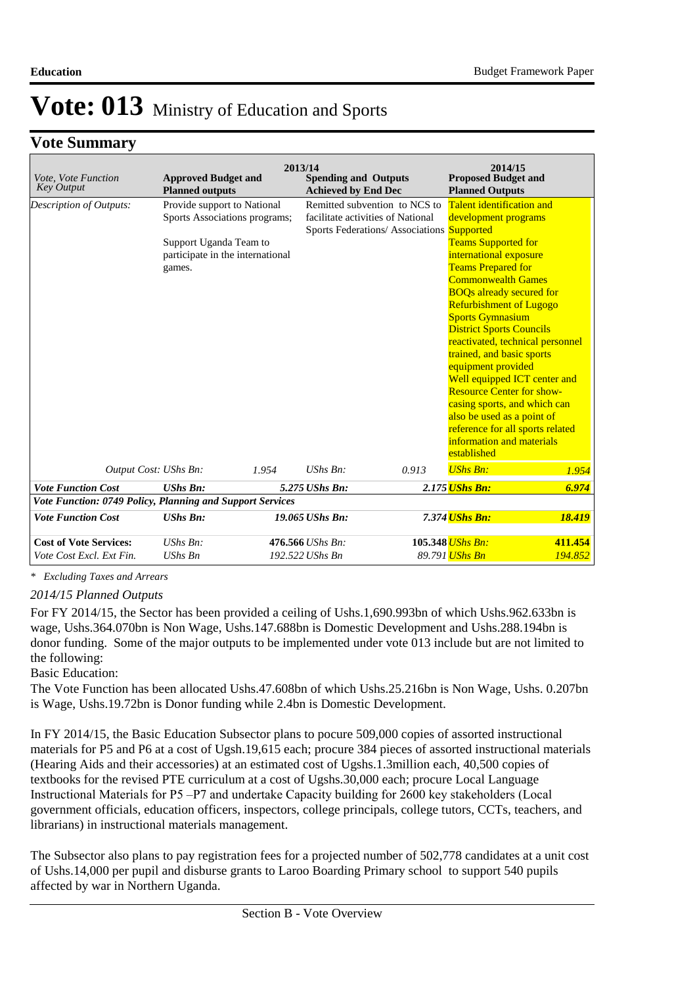### **Vote Summary**

| Vote, Vote Function<br><b>Key Output</b>                  | <b>Approved Budget and</b><br><b>Planned outputs</b>                                                                                 |       | 2013/14<br><b>Spending and Outputs</b><br><b>Achieved by End Dec</b> |                                                                                                                 | 2014/15<br><b>Proposed Budget and</b><br><b>Planned Outputs</b>                                                                                                                                                                                                                                                                                                                                                                                                                          |                                                                                                      |
|-----------------------------------------------------------|--------------------------------------------------------------------------------------------------------------------------------------|-------|----------------------------------------------------------------------|-----------------------------------------------------------------------------------------------------------------|------------------------------------------------------------------------------------------------------------------------------------------------------------------------------------------------------------------------------------------------------------------------------------------------------------------------------------------------------------------------------------------------------------------------------------------------------------------------------------------|------------------------------------------------------------------------------------------------------|
| <b>Description of Outputs:</b>                            | Provide support to National<br>Sports Associations programs;<br>Support Uganda Team to<br>participate in the international<br>games. |       |                                                                      | Remitted subvention to NCS to<br>facilitate activities of National<br>Sports Federations/Associations Supported | Talent identification and<br>development programs<br><b>Teams Supported for</b><br>international exposure<br><b>Teams Prepared for</b><br><b>Commonwealth Games</b><br><b>BOQs already secured for</b><br><b>Refurbishment of Lugogo</b><br><b>Sports Gymnasium</b><br><b>District Sports Councils</b><br>trained, and basic sports<br>equipment provided<br><b>Resource Center for show-</b><br>casing sports, and which can<br>also be used as a point of<br>information and materials | reactivated, technical personnel<br>Well equipped ICT center and<br>reference for all sports related |
|                                                           |                                                                                                                                      |       |                                                                      |                                                                                                                 | established                                                                                                                                                                                                                                                                                                                                                                                                                                                                              |                                                                                                      |
| Output Cost: UShs Bn:                                     |                                                                                                                                      | 1.954 | $UShs Bn$ :                                                          | 0.913                                                                                                           | <b>UShs Bn:</b>                                                                                                                                                                                                                                                                                                                                                                                                                                                                          | 1.954                                                                                                |
| <b>Vote Function Cost</b>                                 | <b>UShs Bn:</b>                                                                                                                      |       | 5.275 UShs Bn:                                                       |                                                                                                                 | 2.175 <mark>UShs Bn:</mark>                                                                                                                                                                                                                                                                                                                                                                                                                                                              | 6.974                                                                                                |
| Vote Function: 0749 Policy, Planning and Support Services |                                                                                                                                      |       |                                                                      |                                                                                                                 |                                                                                                                                                                                                                                                                                                                                                                                                                                                                                          |                                                                                                      |
| <b>Vote Function Cost</b>                                 | <b>UShs Bn:</b>                                                                                                                      |       | 19.065 UShs Bn:                                                      |                                                                                                                 | 7.374 UShs Bn:                                                                                                                                                                                                                                                                                                                                                                                                                                                                           | 18.419                                                                                               |
| <b>Cost of Vote Services:</b><br>Vote Cost Excl. Ext Fin. | $UShs Bn$ :<br><b>UShs Bn</b>                                                                                                        |       | 476.566 UShs Bn:<br>192.522 UShs Bn                                  |                                                                                                                 | 105.348 <i>UShs Bn:</i><br>89.791 <mark>UShs Bn</mark>                                                                                                                                                                                                                                                                                                                                                                                                                                   | 411.454<br>194.852                                                                                   |

*\* Excluding Taxes and Arrears*

*2014/15 Planned Outputs*

For FY 2014/15, the Sector has been provided a ceiling of Ushs.1,690.993bn of which Ushs.962.633bn is wage, Ushs.364.070bn is Non Wage, Ushs.147.688bn is Domestic Development and Ushs.288.194bn is donor funding. Some of the major outputs to be implemented under vote 013 include but are not limited to the following:

#### Basic Education:

The Vote Function has been allocated Ushs.47.608bn of which Ushs.25.216bn is Non Wage, Ushs. 0.207bn is Wage, Ushs.19.72bn is Donor funding while 2.4bn is Domestic Development.

In FY 2014/15, the Basic Education Subsector plans to pocure 509,000 copies of assorted instructional materials for P5 and P6 at a cost of Ugsh.19,615 each; procure 384 pieces of assorted instructional materials (Hearing Aids and their accessories) at an estimated cost of Ugshs.1.3million each, 40,500 copies of textbooks for the revised PTE curriculum at a cost of Ugshs.30,000 each; procure Local Language Instructional Materials for P5 –P7 and undertake Capacity building for 2600 key stakeholders (Local government officials, education officers, inspectors, college principals, college tutors, CCTs, teachers, and librarians) in instructional materials management.

The Subsector also plans to pay registration fees for a projected number of 502,778 candidates at a unit cost of Ushs.14,000 per pupil and disburse grants to Laroo Boarding Primary school to support 540 pupils affected by war in Northern Uganda.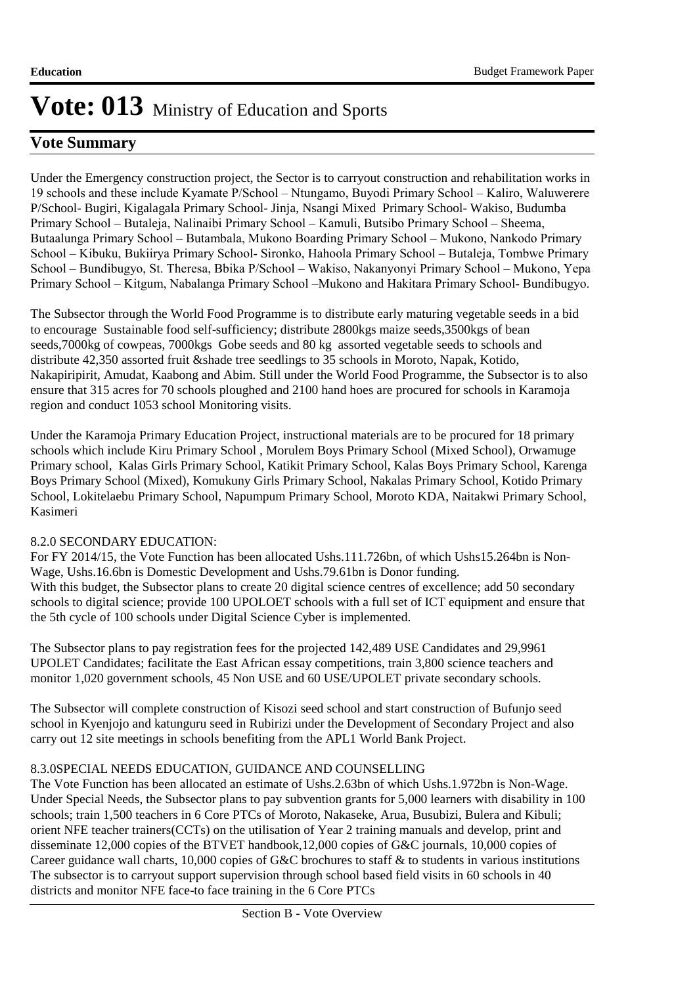### **Vote Summary**

Under the Emergency construction project, the Sector is to carryout construction and rehabilitation works in 19 schools and these include Kyamate P/School – Ntungamo, Buyodi Primary School – Kaliro, Waluwerere P/School- Bugiri, Kigalagala Primary School- Jinja, Nsangi Mixed Primary School- Wakiso, Budumba Primary School – Butaleja, Nalinaibi Primary School – Kamuli, Butsibo Primary School – Sheema, Butaalunga Primary School – Butambala, Mukono Boarding Primary School – Mukono, Nankodo Primary School – Kibuku, Bukiirya Primary School- Sironko, Hahoola Primary School – Butaleja, Tombwe Primary School – Bundibugyo, St. Theresa, Bbika P/School – Wakiso, Nakanyonyi Primary School – Mukono, Yepa Primary School – Kitgum, Nabalanga Primary School –Mukono and Hakitara Primary School- Bundibugyo.

The Subsector through the World Food Programme is to distribute early maturing vegetable seeds in a bid to encourage Sustainable food self-sufficiency; distribute 2800kgs maize seeds,3500kgs of bean seeds,7000kg of cowpeas, 7000kgs Gobe seeds and 80 kg assorted vegetable seeds to schools and distribute 42,350 assorted fruit &shade tree seedlings to 35 schools in Moroto, Napak, Kotido, Nakapiripirit, Amudat, Kaabong and Abim. Still under the World Food Programme, the Subsector is to also ensure that 315 acres for 70 schools ploughed and 2100 hand hoes are procured for schools in Karamoja region and conduct 1053 school Monitoring visits.

Under the Karamoja Primary Education Project, instructional materials are to be procured for 18 primary schools which include Kiru Primary School , Morulem Boys Primary School (Mixed School), Orwamuge Primary school, Kalas Girls Primary School, Katikit Primary School, Kalas Boys Primary School, Karenga Boys Primary School (Mixed), Komukuny Girls Primary School, Nakalas Primary School, Kotido Primary School, Lokitelaebu Primary School, Napumpum Primary School, Moroto KDA, Naitakwi Primary School, Kasimeri

### 8.2.0 SECONDARY EDUCATION:

For FY 2014/15, the Vote Function has been allocated Ushs.111.726bn, of which Ushs15.264bn is Non-Wage, Ushs.16.6bn is Domestic Development and Ushs.79.61bn is Donor funding. With this budget, the Subsector plans to create 20 digital science centres of excellence; add 50 secondary schools to digital science; provide 100 UPOLOET schools with a full set of ICT equipment and ensure that the 5th cycle of 100 schools under Digital Science Cyber is implemented.

The Subsector plans to pay registration fees for the projected 142,489 USE Candidates and 29,9961 UPOLET Candidates; facilitate the East African essay competitions, train 3,800 science teachers and monitor 1,020 government schools, 45 Non USE and 60 USE/UPOLET private secondary schools.

The Subsector will complete construction of Kisozi seed school and start construction of Bufunjo seed school in Kyenjojo and katunguru seed in Rubirizi under the Development of Secondary Project and also carry out 12 site meetings in schools benefiting from the APL1 World Bank Project.

### 8.3.0SPECIAL NEEDS EDUCATION, GUIDANCE AND COUNSELLING

The Vote Function has been allocated an estimate of Ushs.2.63bn of which Ushs.1.972bn is Non-Wage. Under Special Needs, the Subsector plans to pay subvention grants for 5,000 learners with disability in 100 schools; train 1,500 teachers in 6 Core PTCs of Moroto, Nakaseke, Arua, Busubizi, Bulera and Kibuli; orient NFE teacher trainers(CCTs) on the utilisation of Year 2 training manuals and develop, print and disseminate 12,000 copies of the BTVET handbook,12,000 copies of G&C journals, 10,000 copies of Career guidance wall charts, 10,000 copies of G&C brochures to staff & to students in various institutions The subsector is to carryout support supervision through school based field visits in 60 schools in 40 districts and monitor NFE face-to face training in the 6 Core PTCs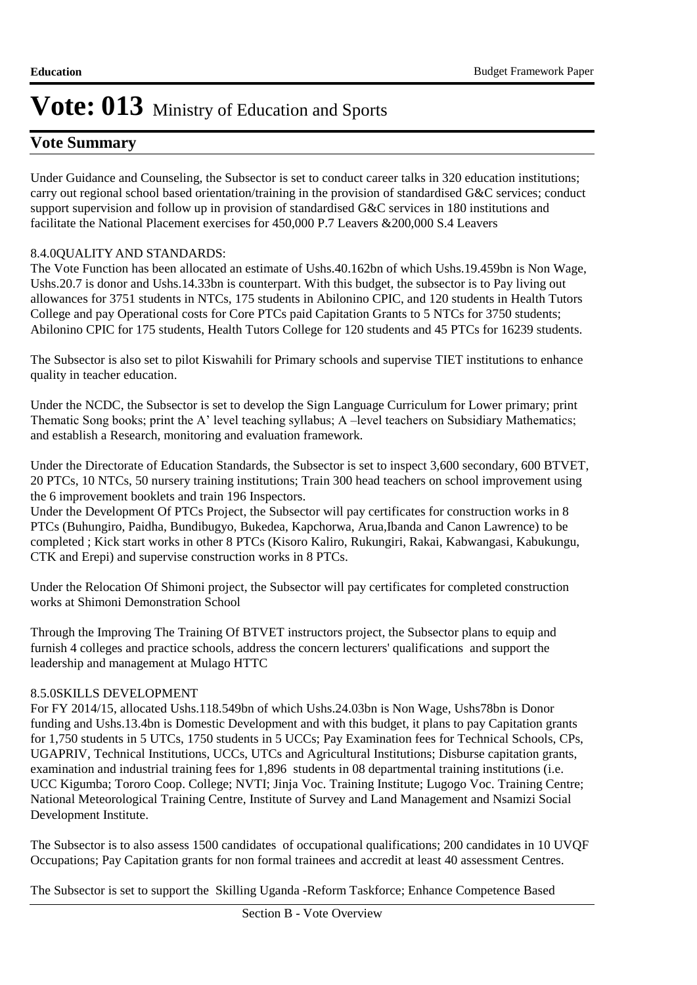### **Vote Summary**

Under Guidance and Counseling, the Subsector is set to conduct career talks in 320 education institutions; carry out regional school based orientation/training in the provision of standardised G&C services; conduct support supervision and follow up in provision of standardised G&C services in 180 institutions and facilitate the National Placement exercises for 450,000 P.7 Leavers &200,000 S.4 Leavers

### 8.4.00UALITY AND STANDARDS:

The Vote Function has been allocated an estimate of Ushs.40.162bn of which Ushs.19.459bn is Non Wage, Ushs.20.7 is donor and Ushs.14.33bn is counterpart. With this budget, the subsector is to Pay living out allowances for 3751 students in NTCs, 175 students in Abilonino CPIC, and 120 students in Health Tutors College and pay Operational costs for Core PTCs paid Capitation Grants to 5 NTCs for 3750 students; Abilonino CPIC for 175 students, Health Tutors College for 120 students and 45 PTCs for 16239 students.

The Subsector is also set to pilot Kiswahili for Primary schools and supervise TIET institutions to enhance quality in teacher education.

Under the NCDC, the Subsector is set to develop the Sign Language Curriculum for Lower primary; print Thematic Song books; print the A' level teaching syllabus; A –level teachers on Subsidiary Mathematics; and establish a Research, monitoring and evaluation framework.

Under the Directorate of Education Standards, the Subsector is set to inspect 3,600 secondary, 600 BTVET, 20 PTCs, 10 NTCs, 50 nursery training institutions; Train 300 head teachers on school improvement using the 6 improvement booklets and train 196 Inspectors.

Under the Development Of PTCs Project, the Subsector will pay certificates for construction works in 8 PTCs (Buhungiro, Paidha, Bundibugyo, Bukedea, Kapchorwa, Arua,Ibanda and Canon Lawrence) to be completed ; Kick start works in other 8 PTCs (Kisoro Kaliro, Rukungiri, Rakai, Kabwangasi, Kabukungu, CTK and Erepi) and supervise construction works in 8 PTCs.

Under the Relocation Of Shimoni project, the Subsector will pay certificates for completed construction works at Shimoni Demonstration School

Through the Improving The Training Of BTVET instructors project, the Subsector plans to equip and furnish 4 colleges and practice schools, address the concern lecturers' qualifications and support the leadership and management at Mulago HTTC

### 8.5.0SKILLS DEVELOPMENT

For FY 2014/15, allocated Ushs.118.549bn of which Ushs.24.03bn is Non Wage, Ushs78bn is Donor funding and Ushs.13.4bn is Domestic Development and with this budget, it plans to pay Capitation grants for 1,750 students in 5 UTCs, 1750 students in 5 UCCs; Pay Examination fees for Technical Schools, CPs, UGAPRIV, Technical Institutions, UCCs, UTCs and Agricultural Institutions; Disburse capitation grants, examination and industrial training fees for 1,896 students in 08 departmental training institutions (i.e. UCC Kigumba; Tororo Coop. College; NVTI; Jinja Voc. Training Institute; Lugogo Voc. Training Centre; National Meteorological Training Centre, Institute of Survey and Land Management and Nsamizi Social Development Institute.

The Subsector is to also assess 1500 candidates of occupational qualifications; 200 candidates in 10 UVQF Occupations; Pay Capitation grants for non formal trainees and accredit at least 40 assessment Centres.

The Subsector is set to support the Skilling Uganda -Reform Taskforce; Enhance Competence Based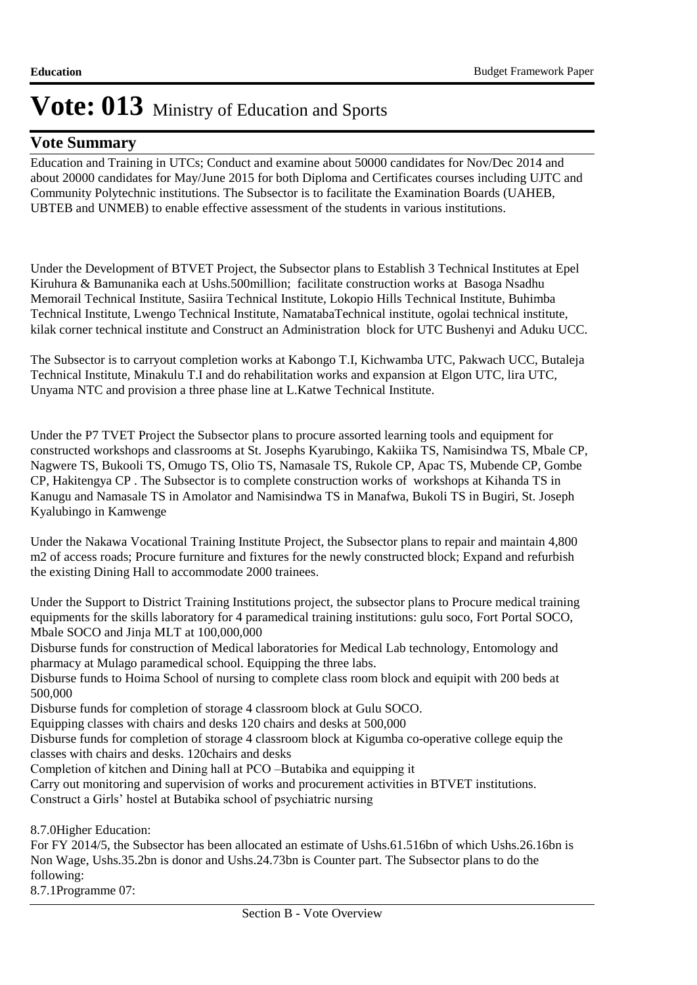### **Vote Summary**

Education and Training in UTCs; Conduct and examine about 50000 candidates for Nov/Dec 2014 and about 20000 candidates for May/June 2015 for both Diploma and Certificates courses including UJTC and Community Polytechnic institutions. The Subsector is to facilitate the Examination Boards (UAHEB, UBTEB and UNMEB) to enable effective assessment of the students in various institutions.

Under the Development of BTVET Project, the Subsector plans to Establish 3 Technical Institutes at Epel Kiruhura & Bamunanika each at Ushs.500million; facilitate construction works at Basoga Nsadhu Memorail Technical Institute, Sasiira Technical Institute, Lokopio Hills Technical Institute, Buhimba Technical Institute, Lwengo Technical Institute, NamatabaTechnical institute, ogolai technical institute, kilak corner technical institute and Construct an Administration block for UTC Bushenyi and Aduku UCC.

The Subsector is to carryout completion works at Kabongo T.I, Kichwamba UTC, Pakwach UCC, Butaleja Technical Institute, Minakulu T.I and do rehabilitation works and expansion at Elgon UTC, lira UTC, Unyama NTC and provision a three phase line at L.Katwe Technical Institute.

Under the P7 TVET Project the Subsector plans to procure assorted learning tools and equipment for constructed workshops and classrooms at St. Josephs Kyarubingo, Kakiika TS, Namisindwa TS, Mbale CP, Nagwere TS, Bukooli TS, Omugo TS, Olio TS, Namasale TS, Rukole CP, Apac TS, Mubende CP, Gombe CP, Hakitengya CP . The Subsector is to complete construction works of workshops at Kihanda TS in Kanugu and Namasale TS in Amolator and Namisindwa TS in Manafwa, Bukoli TS in Bugiri, St. Joseph Kyalubingo in Kamwenge

Under the Nakawa Vocational Training Institute Project, the Subsector plans to repair and maintain 4,800 m2 of access roads; Procure furniture and fixtures for the newly constructed block; Expand and refurbish the existing Dining Hall to accommodate 2000 trainees.

Under the Support to District Training Institutions project, the subsector plans to Procure medical training equipments for the skills laboratory for 4 paramedical training institutions: gulu soco, Fort Portal SOCO, Mbale SOCO and Jinja MLT at 100,000,000

Disburse funds for construction of Medical laboratories for Medical Lab technology, Entomology and pharmacy at Mulago paramedical school. Equipping the three labs.

Disburse funds to Hoima School of nursing to complete class room block and equipit with 200 beds at 500,000

Disburse funds for completion of storage 4 classroom block at Gulu SOCO.

Equipping classes with chairs and desks 120 chairs and desks at 500,000

Disburse funds for completion of storage 4 classroom block at Kigumba co-operative college equip the classes with chairs and desks. 120chairs and desks

Completion of kitchen and Dining hall at PCO –Butabika and equipping it

Carry out monitoring and supervision of works and procurement activities in BTVET institutions. Construct a Girls' hostel at Butabika school of psychiatric nursing

8.7.0Higher Education:

For FY 2014/5, the Subsector has been allocated an estimate of Ushs.61.516bn of which Ushs.26.16bn is Non Wage, Ushs.35.2bn is donor and Ushs.24.73bn is Counter part. The Subsector plans to do the following:

8.7.1Programme 07: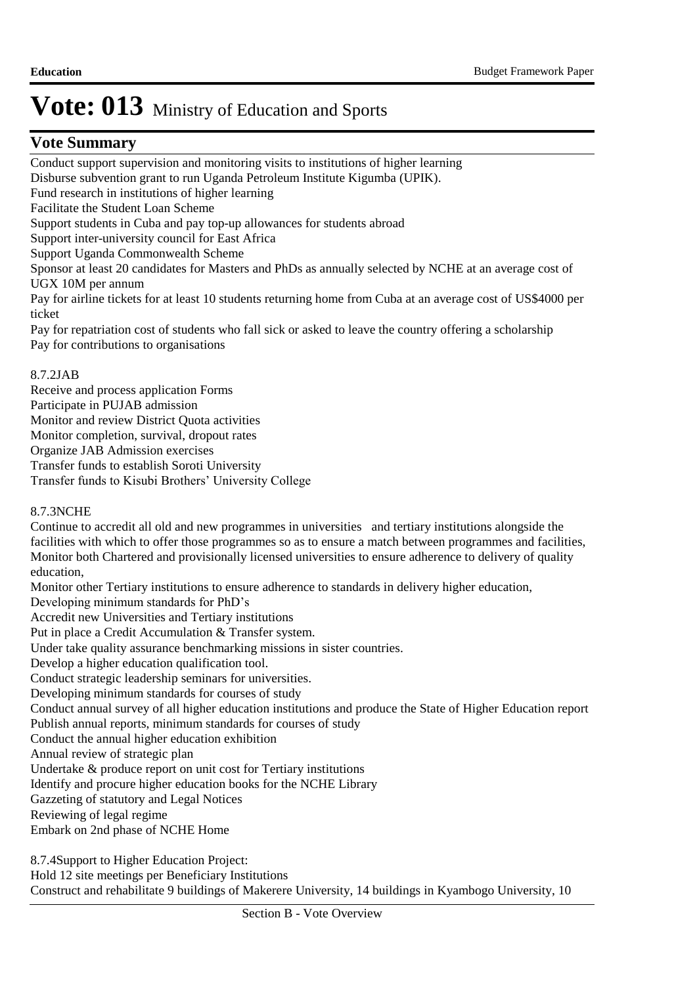### **Vote Summary**

Conduct support supervision and monitoring visits to institutions of higher learning Disburse subvention grant to run Uganda Petroleum Institute Kigumba (UPIK). Fund research in institutions of higher learning Facilitate the Student Loan Scheme Support students in Cuba and pay top-up allowances for students abroad Support inter-university council for East Africa Support Uganda Commonwealth Scheme Sponsor at least 20 candidates for Masters and PhDs as annually selected by NCHE at an average cost of UGX 10M per annum Pay for airline tickets for at least 10 students returning home from Cuba at an average cost of US\$4000 per ticket Pay for repatriation cost of students who fall sick or asked to leave the country offering a scholarship Pay for contributions to organisations

#### 8.7.2 JAB

Receive and process application Forms Participate in PUJAB admission Monitor and review District Quota activities Monitor completion, survival, dropout rates Organize JAB Admission exercises Transfer funds to establish Soroti University Transfer funds to Kisubi Brothers' University College

### 8.7.3 NCHE

Continue to accredit all old and new programmes in universities and tertiary institutions alongside the facilities with which to offer those programmes so as to ensure a match between programmes and facilities, Monitor both Chartered and provisionally licensed universities to ensure adherence to delivery of quality education, Monitor other Tertiary institutions to ensure adherence to standards in delivery higher education, Developing minimum standards for PhD's Accredit new Universities and Tertiary institutions Put in place a Credit Accumulation & Transfer system. Under take quality assurance benchmarking missions in sister countries. Develop a higher education qualification tool. Conduct strategic leadership seminars for universities. Developing minimum standards for courses of study Conduct annual survey of all higher education institutions and produce the State of Higher Education report Publish annual reports, minimum standards for courses of study Conduct the annual higher education exhibition Annual review of strategic plan Undertake & produce report on unit cost for Tertiary institutions Identify and procure higher education books for the NCHE Library Gazzeting of statutory and Legal Notices Reviewing of legal regime Embark on 2nd phase of NCHE Home

8.7.4 Support to Higher Education Project: Hold 12 site meetings per Beneficiary Institutions

Construct and rehabilitate 9 buildings of Makerere University, 14 buildings in Kyambogo University, 10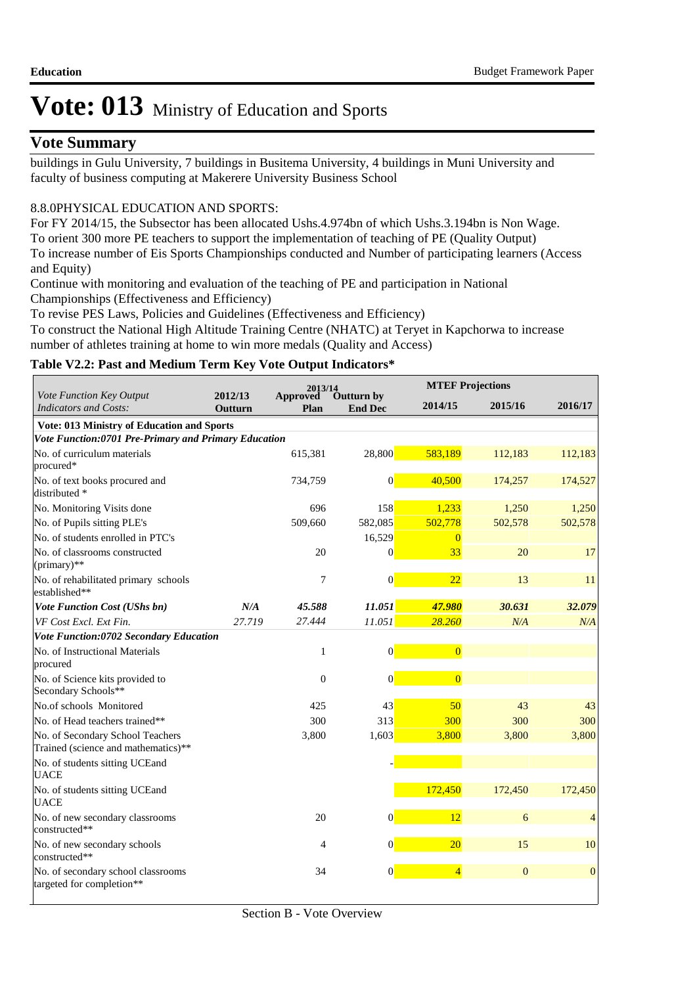### **Vote Summary**

buildings in Gulu University, 7 buildings in Busitema University, 4 buildings in Muni University and faculty of business computing at Makerere University Business School

### 8.8.0PHYSICAL EDUCATION AND SPORTS:

For FY 2014/15, the Subsector has been allocated Ushs.4.974bn of which Ushs.3.194bn is Non Wage. To orient 300 more PE teachers to support the implementation of teaching of PE (Quality Output) To increase number of Eis Sports Championships conducted and Number of participating learners (Access and Equity)

Continue with monitoring and evaluation of the teaching of PE and participation in National Championships (Effectiveness and Efficiency)

To revise PES Laws, Policies and Guidelines (Effectiveness and Efficiency)

To construct the National High Altitude Training Centre (NHATC) at Teryet in Kapchorwa to increase number of athletes training at home to win more medals (Quality and Access)

### **Table V2.2: Past and Medium Term Key Vote Output Indicators\***

|                                                                         |                    | 2013/14                 |                              |                 | <b>MTEF Projections</b> |                |  |
|-------------------------------------------------------------------------|--------------------|-------------------------|------------------------------|-----------------|-------------------------|----------------|--|
| Vote Function Key Output<br><b>Indicators and Costs:</b>                | 2012/13<br>Outturn | <b>Approved</b><br>Plan | Outturn by<br><b>End Dec</b> | 2014/15         | 2015/16                 | 2016/17        |  |
| Vote: 013 Ministry of Education and Sports                              |                    |                         |                              |                 |                         |                |  |
| Vote Function:0701 Pre-Primary and Primary Education                    |                    |                         |                              |                 |                         |                |  |
| No. of curriculum materials<br>procured*                                |                    | 615,381                 | 28,800                       | 583,189         | 112,183                 | 112,183        |  |
| No. of text books procured and<br>distributed *                         |                    | 734,759                 | $\vert 0 \vert$              | 40,500          | 174,257                 | 174,527        |  |
| No. Monitoring Visits done                                              |                    | 696                     | 158                          | 1,233           | 1,250                   | 1,250          |  |
| No. of Pupils sitting PLE's                                             |                    | 509,660                 | 582,085                      | 502,778         | 502,578                 | 502,578        |  |
| No. of students enrolled in PTC's                                       |                    |                         | 16,529                       | $\Omega$        |                         |                |  |
| No. of classrooms constructed<br>(primary)**                            |                    | 20                      | $\vert 0 \vert$              | 33              | 20                      | 17             |  |
| No. of rehabilitated primary schools<br>established**                   |                    | 7                       | $\vert 0 \vert$              | $\overline{22}$ | 13                      | 11             |  |
| <b>Vote Function Cost (UShs bn)</b>                                     | N/A                | 45.588                  | 11.051                       | 47.980          | 30.631                  | 32.079         |  |
| VF Cost Excl. Ext Fin.                                                  | 27.719             | 27.444                  | 11.051                       | 28.260          | N/A                     | N/A            |  |
| Vote Function:0702 Secondary Education                                  |                    |                         |                              |                 |                         |                |  |
| No. of Instructional Materials<br>procured                              |                    | $\mathbf{1}$            | $\vert 0 \vert$              | $\overline{0}$  |                         |                |  |
| No. of Science kits provided to<br>Secondary Schools**                  |                    | $\boldsymbol{0}$        | $\vert 0 \vert$              | $\overline{0}$  |                         |                |  |
| No.of schools Monitored                                                 |                    | 425                     | 43                           | 50              | 43                      | 43             |  |
| No. of Head teachers trained**                                          |                    | 300                     | 313                          | 300             | 300                     | 300            |  |
| No. of Secondary School Teachers<br>Trained (science and mathematics)** |                    | 3,800                   | 1,603                        | 3,800           | 3,800                   | 3,800          |  |
| No. of students sitting UCEand<br><b>UACE</b>                           |                    |                         |                              |                 |                         |                |  |
| No. of students sitting UCEand<br><b>UACE</b>                           |                    |                         |                              | 172,450         | 172,450                 | 172,450        |  |
| No. of new secondary classrooms<br>constructed**                        |                    | 20                      | $\vert 0 \vert$              | 12              | 6                       | $\overline{4}$ |  |
| No. of new secondary schools<br>constructed**                           |                    | 4                       | $\vert 0 \vert$              | 20              | 15                      | 10             |  |
| No. of secondary school classrooms<br>targeted for completion**         |                    | 34                      | $\vert 0 \vert$              | $\overline{4}$  | $\mathbf{0}$            | $\mathbf{0}$   |  |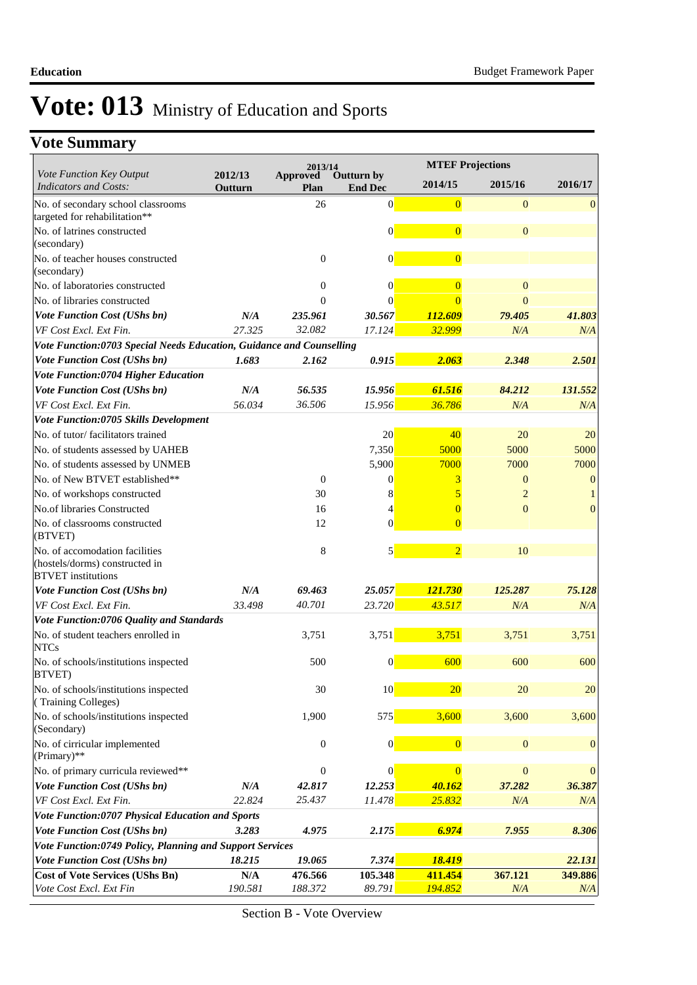|                                                                      |                         | 2013/14                 |                              | <b>MTEF Projections</b> |                  |                |
|----------------------------------------------------------------------|-------------------------|-------------------------|------------------------------|-------------------------|------------------|----------------|
| Vote Function Key Output<br><b>Indicators and Costs:</b>             | 2012/13<br>Outturn      | <b>Approved</b><br>Plan | Outturn by<br><b>End Dec</b> | 2014/15                 | 2015/16          | 2016/17        |
| No. of secondary school classrooms<br>targeted for rehabilitation**  |                         | 26                      | $\vert 0 \vert$              | $\overline{0}$          | $\mathbf{0}$     | $\theta$       |
| No. of latrines constructed<br>(secondary)                           |                         |                         | $\vert 0 \vert$              | $\overline{0}$          | $\mathbf{0}$     |                |
| No. of teacher houses constructed<br>(secondary)                     |                         | $\mathbf{0}$            | $\vert 0 \vert$              | $\overline{0}$          |                  |                |
| No. of laboratories constructed                                      |                         | $\overline{0}$          | $\boldsymbol{0}$             | $\overline{0}$          | $\boldsymbol{0}$ |                |
| No. of libraries constructed                                         |                         | $\theta$                | $\Omega$                     | $\Omega$                | $\overline{0}$   |                |
| <b>Vote Function Cost (UShs bn)</b>                                  | N/A                     | 235.961                 | 30.567                       | 112.609                 | 79.405           | 41.803         |
| VF Cost Excl. Ext Fin.                                               | 27.325                  | 32.082                  | 17.124                       | 32.999                  | N/A              | N/A            |
| Vote Function:0703 Special Needs Education, Guidance and Counselling |                         |                         |                              |                         |                  |                |
| <b>Vote Function Cost (UShs bn)</b>                                  | 1.683                   | 2.162                   | 0.915                        | 2.063                   | 2.348            | 2.501          |
| <b>Vote Function:0704 Higher Education</b>                           |                         |                         |                              |                         |                  |                |
| <b>Vote Function Cost (UShs bn)</b>                                  | N/A                     | 56.535                  | 15.956                       | 61.516                  | 84.212           | 131.552        |
| VF Cost Excl. Ext Fin.                                               | 56.034                  | 36.506                  | 15.956                       | 36.786                  | N/A              | N/A            |
| Vote Function:0705 Skills Development                                |                         |                         |                              |                         |                  |                |
| No. of tutor/facilitators trained                                    |                         |                         | 20                           | 40                      | 20               | 20             |
| No. of students assessed by UAHEB                                    |                         |                         | 7,350                        | 5000                    | 5000             | 5000           |
| No. of students assessed by UNMEB                                    |                         |                         | 5,900                        | 7000                    | 7000             | 7000           |
| No. of New BTVET established**                                       |                         | $\overline{0}$          | $\mathbf{0}$                 | 3                       | $\boldsymbol{0}$ | $\mathbf{0}$   |
| No. of workshops constructed                                         |                         | 30                      | 8                            |                         | $\overline{2}$   |                |
| No.of libraries Constructed                                          |                         | 16                      | 4                            | $\Omega$                | $\overline{0}$   | $\overline{0}$ |
| No. of classrooms constructed                                        |                         | 12                      | $\overline{0}$               | $\overline{0}$          |                  |                |
| (BTVET)                                                              |                         |                         |                              |                         |                  |                |
| No. of accomodation facilities                                       |                         | 8                       | 5                            | $\overline{2}$          | 10               |                |
| (hostels/dorms) constructed in<br><b>BTVET</b> institutions          |                         |                         |                              |                         |                  |                |
| <b>Vote Function Cost (UShs bn)</b>                                  | N/A                     | 69.463                  | 25.057                       | 121.730                 | 125.287          | 75.128         |
| VF Cost Excl. Ext Fin.                                               | 33.498                  | 40.701                  | 23.720                       | 43.517                  | N/A              | N/A            |
| Vote Function:0706 Quality and Standards                             |                         |                         |                              |                         |                  |                |
| No. of student teachers enrolled in<br><b>NTCs</b>                   |                         | 3,751                   | 3,751                        | 3,751                   | 3,751            | 3,751          |
| No. of schools/institutions inspected<br>BTVET)                      |                         | 500                     | $\vert 0 \vert$              | 600                     | 600              | 600            |
| No. of schools/institutions inspected<br>(Training Colleges)         |                         | 30                      | 10 <sup>°</sup>              | 20                      | 20               | 20             |
| No. of schools/institutions inspected<br>(Secondary)                 |                         | 1,900                   | 575                          | 3,600                   | 3,600            | 3,600          |
| No. of cirricular implemented<br>(Primary)**                         |                         | $\boldsymbol{0}$        | $\vert 0 \vert$              | $\overline{0}$          | $\mathbf{0}$     | $\mathbf{0}$   |
| No. of primary curricula reviewed**                                  |                         | $\mathbf{0}$            | $\mathbf{0}$                 | $\overline{0}$          | $\mathbf{0}$     | $\mathbf{0}$   |
| <b>Vote Function Cost (UShs bn)</b>                                  | N/A                     | 42.817                  | 12.253                       | 40.162                  | 37.282           | 36.387         |
| VF Cost Excl. Ext Fin.                                               | 22.824                  | 25.437                  | 11.478                       | 25.832                  | N/A              | N/A            |
| Vote Function:0707 Physical Education and Sports                     |                         |                         |                              |                         |                  |                |
| <b>Vote Function Cost (UShs bn)</b>                                  | 3.283                   | 4.975                   | 2.175                        | 6.974                   | 7.955            | 8.306          |
| Vote Function:0749 Policy, Planning and Support Services             |                         |                         |                              |                         |                  |                |
| <b>Vote Function Cost (UShs bn)</b>                                  | 18.215                  | 19.065                  | 7.374                        | 18.419                  |                  | 22.131         |
| <b>Cost of Vote Services (UShs Bn)</b>                               | $\mathbf{N}/\mathbf{A}$ | 476.566                 | 105.348                      | 411.454                 | 367.121          | 349.886        |
| Vote Cost Excl. Ext Fin                                              | 190.581                 | 188.372                 | 89.791                       | 194.852                 | N/A              | N/A            |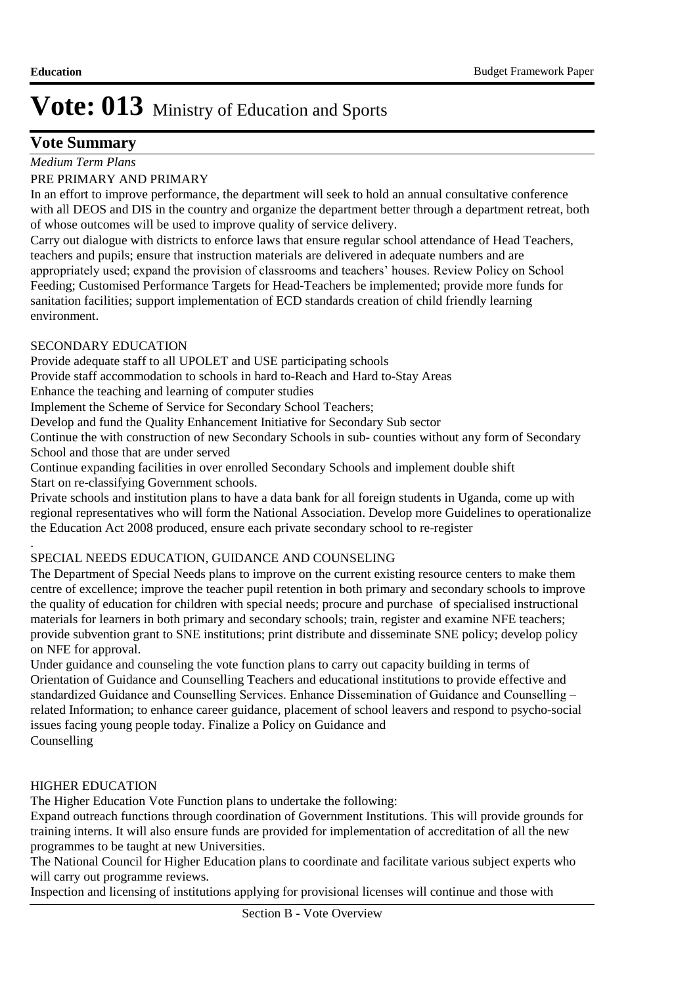### **Vote Summary**

*Medium Term Plans*

#### PRE PRIMARY AND PRIMARY

In an effort to improve performance, the department will seek to hold an annual consultative conference with all DEOS and DIS in the country and organize the department better through a department retreat, both of whose outcomes will be used to improve quality of service delivery.

Carry out dialogue with districts to enforce laws that ensure regular school attendance of Head Teachers, teachers and pupils; ensure that instruction materials are delivered in adequate numbers and are appropriately used; expand the provision of classrooms and teachers' houses. Review Policy on School Feeding; Customised Performance Targets for Head-Teachers be implemented; provide more funds for sanitation facilities; support implementation of ECD standards creation of child friendly learning environment.

### SECONDARY EDUCATION

Provide adequate staff to all UPOLET and USE participating schools

Provide staff accommodation to schools in hard to-Reach and Hard to-Stay Areas

Enhance the teaching and learning of computer studies

Implement the Scheme of Service for Secondary School Teachers;

Develop and fund the Quality Enhancement Initiative for Secondary Sub sector

Continue the with construction of new Secondary Schools in sub- counties without any form of Secondary School and those that are under served

Continue expanding facilities in over enrolled Secondary Schools and implement double shift Start on re-classifying Government schools.

Private schools and institution plans to have a data bank for all foreign students in Uganda, come up with regional representatives who will form the National Association. Develop more Guidelines to operationalize the Education Act 2008 produced, ensure each private secondary school to re-register

### SPECIAL NEEDS EDUCATION, GUIDANCE AND COUNSELING

The Department of Special Needs plans to improve on the current existing resource centers to make them centre of excellence; improve the teacher pupil retention in both primary and secondary schools to improve the quality of education for children with special needs; procure and purchase of specialised instructional materials for learners in both primary and secondary schools; train, register and examine NFE teachers; provide subvention grant to SNE institutions; print distribute and disseminate SNE policy; develop policy on NFE for approval.

Under guidance and counseling the vote function plans to carry out capacity building in terms of Orientation of Guidance and Counselling Teachers and educational institutions to provide effective and standardized Guidance and Counselling Services. Enhance Dissemination of Guidance and Counselling – related Information; to enhance career guidance, placement of school leavers and respond to psycho-social issues facing young people today. Finalize a Policy on Guidance and Counselling

### HIGHER EDUCATION

.

The Higher Education Vote Function plans to undertake the following:

Expand outreach functions through coordination of Government Institutions. This will provide grounds for training interns. It will also ensure funds are provided for implementation of accreditation of all the new programmes to be taught at new Universities.

The National Council for Higher Education plans to coordinate and facilitate various subject experts who will carry out programme reviews.

Inspection and licensing of institutions applying for provisional licenses will continue and those with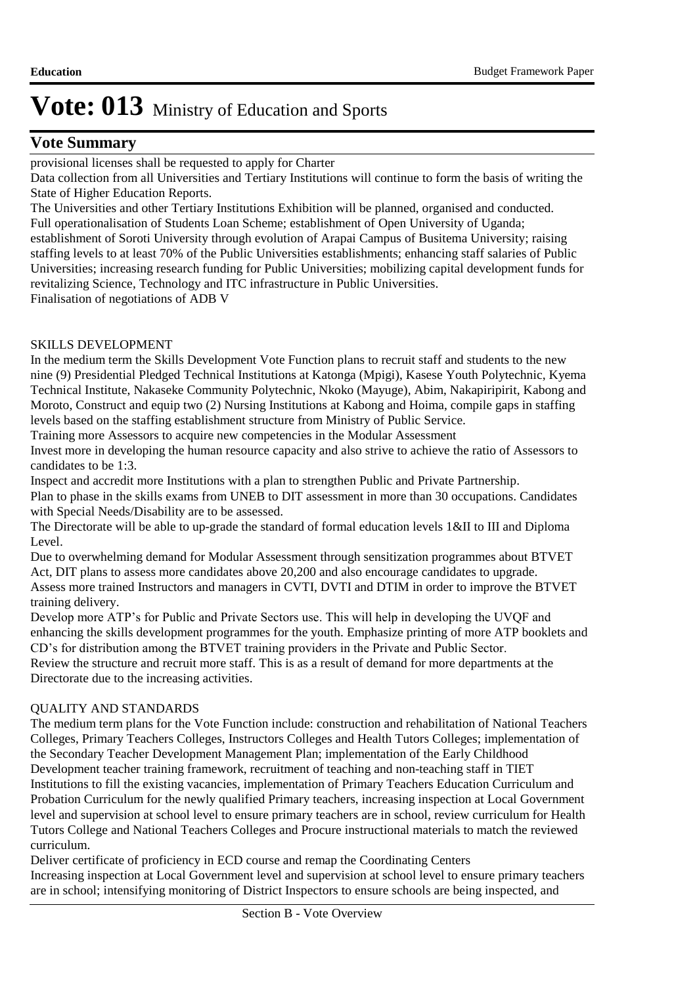### **Vote Summary**

provisional licenses shall be requested to apply for Charter

Data collection from all Universities and Tertiary Institutions will continue to form the basis of writing the State of Higher Education Reports.

The Universities and other Tertiary Institutions Exhibition will be planned, organised and conducted. Full operationalisation of Students Loan Scheme; establishment of Open University of Uganda; establishment of Soroti University through evolution of Arapai Campus of Busitema University; raising staffing levels to at least 70% of the Public Universities establishments; enhancing staff salaries of Public Universities; increasing research funding for Public Universities; mobilizing capital development funds for revitalizing Science, Technology and ITC infrastructure in Public Universities.

Finalisation of negotiations of ADB V

### SKILLS DEVELOPMENT

In the medium term the Skills Development Vote Function plans to recruit staff and students to the new nine (9) Presidential Pledged Technical Institutions at Katonga (Mpigi), Kasese Youth Polytechnic, Kyema Technical Institute, Nakaseke Community Polytechnic, Nkoko (Mayuge), Abim, Nakapiripirit, Kabong and Moroto, Construct and equip two (2) Nursing Institutions at Kabong and Hoima, compile gaps in staffing levels based on the staffing establishment structure from Ministry of Public Service.

Training more Assessors to acquire new competencies in the Modular Assessment

Invest more in developing the human resource capacity and also strive to achieve the ratio of Assessors to candidates to be 1:3.

Inspect and accredit more Institutions with a plan to strengthen Public and Private Partnership.

Plan to phase in the skills exams from UNEB to DIT assessment in more than 30 occupations. Candidates with Special Needs/Disability are to be assessed.

The Directorate will be able to up-grade the standard of formal education levels 1&II to III and Diploma Level.

Due to overwhelming demand for Modular Assessment through sensitization programmes about BTVET Act, DIT plans to assess more candidates above 20,200 and also encourage candidates to upgrade. Assess more trained Instructors and managers in CVTI, DVTI and DTIM in order to improve the BTVET training delivery.

Develop more ATP's for Public and Private Sectors use. This will help in developing the UVQF and enhancing the skills development programmes for the youth. Emphasize printing of more ATP booklets and CD's for distribution among the BTVET training providers in the Private and Public Sector.

Review the structure and recruit more staff. This is as a result of demand for more departments at the Directorate due to the increasing activities.

### QUALITY AND STANDARDS

The medium term plans for the Vote Function include: construction and rehabilitation of National Teachers Colleges, Primary Teachers Colleges, Instructors Colleges and Health Tutors Colleges; implementation of the Secondary Teacher Development Management Plan; implementation of the Early Childhood Development teacher training framework, recruitment of teaching and non-teaching staff in TIET Institutions to fill the existing vacancies, implementation of Primary Teachers Education Curriculum and Probation Curriculum for the newly qualified Primary teachers, increasing inspection at Local Government level and supervision at school level to ensure primary teachers are in school, review curriculum for Health Tutors College and National Teachers Colleges and Procure instructional materials to match the reviewed curriculum.

Deliver certificate of proficiency in ECD course and remap the Coordinating Centers Increasing inspection at Local Government level and supervision at school level to ensure primary teachers are in school; intensifying monitoring of District Inspectors to ensure schools are being inspected, and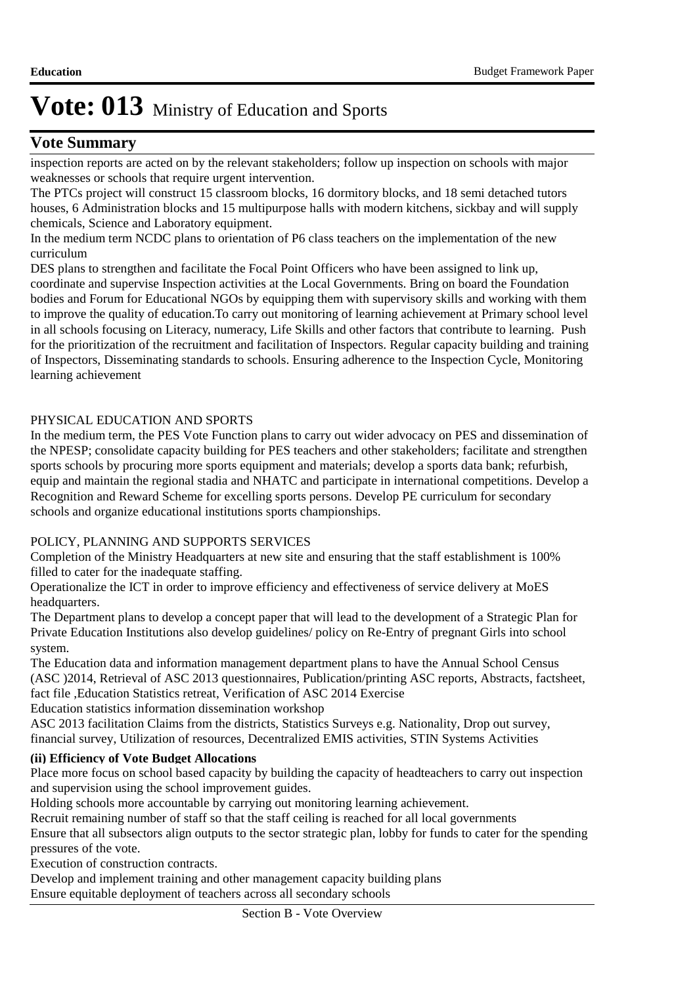### **Vote Summary**

inspection reports are acted on by the relevant stakeholders; follow up inspection on schools with major weaknesses or schools that require urgent intervention.

The PTCs project will construct 15 classroom blocks, 16 dormitory blocks, and 18 semi detached tutors houses, 6 Administration blocks and 15 multipurpose halls with modern kitchens, sickbay and will supply chemicals, Science and Laboratory equipment.

In the medium term NCDC plans to orientation of P6 class teachers on the implementation of the new curriculum

DES plans to strengthen and facilitate the Focal Point Officers who have been assigned to link up, coordinate and supervise Inspection activities at the Local Governments. Bring on board the Foundation bodies and Forum for Educational NGOs by equipping them with supervisory skills and working with them to improve the quality of education. To carry out monitoring of learning achievement at Primary school level in all schools focusing on Literacy, numeracy, Life Skills and other factors that contribute to learning. Push for the prioritization of the recruitment and facilitation of Inspectors. Regular capacity building and training of Inspectors, Disseminating standards to schools. Ensuring adherence to the Inspection Cycle, Monitoring learning achievement

### PHYSICAL EDUCATION AND SPORTS

In the medium term, the PES Vote Function plans to carry out wider advocacy on PES and dissemination of the NPESP; consolidate capacity building for PES teachers and other stakeholders; facilitate and strengthen sports schools by procuring more sports equipment and materials; develop a sports data bank; refurbish, equip and maintain the regional stadia and NHATC and participate in international competitions. Develop a Recognition and Reward Scheme for excelling sports persons. Develop PE curriculum for secondary schools and organize educational institutions sports championships.

### POLICY, PLANNING AND SUPPORTS SERVICES

Completion of the Ministry Headquarters at new site and ensuring that the staff establishment is 100% filled to cater for the inadequate staffing.

Operationalize the ICT in order to improve efficiency and effectiveness of service delivery at MoES headquarters.

The Department plans to develop a concept paper that will lead to the development of a Strategic Plan for Private Education Institutions also develop guidelines/ policy on Re-Entry of pregnant Girls into school system.

The Education data and information management department plans to have the Annual School Census (ASC )2014, Retrieval of ASC 2013 questionnaires, Publication/printing ASC reports, Abstracts, factsheet, fact file ,Education Statistics retreat, Verification of ASC 2014 Exercise

Education statistics information dissemination workshop

ASC 2013 facilitation Claims from the districts, Statistics Surveys e.g. Nationality, Drop out survey, financial survey, Utilization of resources, Decentralized EMIS activities, STIN Systems Activities

### **(ii) Efficiency of Vote Budget Allocations**

Place more focus on school based capacity by building the capacity of headteachers to carry out inspection and supervision using the school improvement guides.

Holding schools more accountable by carrying out monitoring learning achievement.

Recruit remaining number of staff so that the staff ceiling is reached for all local governments

Ensure that all subsectors align outputs to the sector strategic plan, lobby for funds to cater for the spending pressures of the vote.

Execution of construction contracts.

Develop and implement training and other management capacity building plans Ensure equitable deployment of teachers across all secondary schools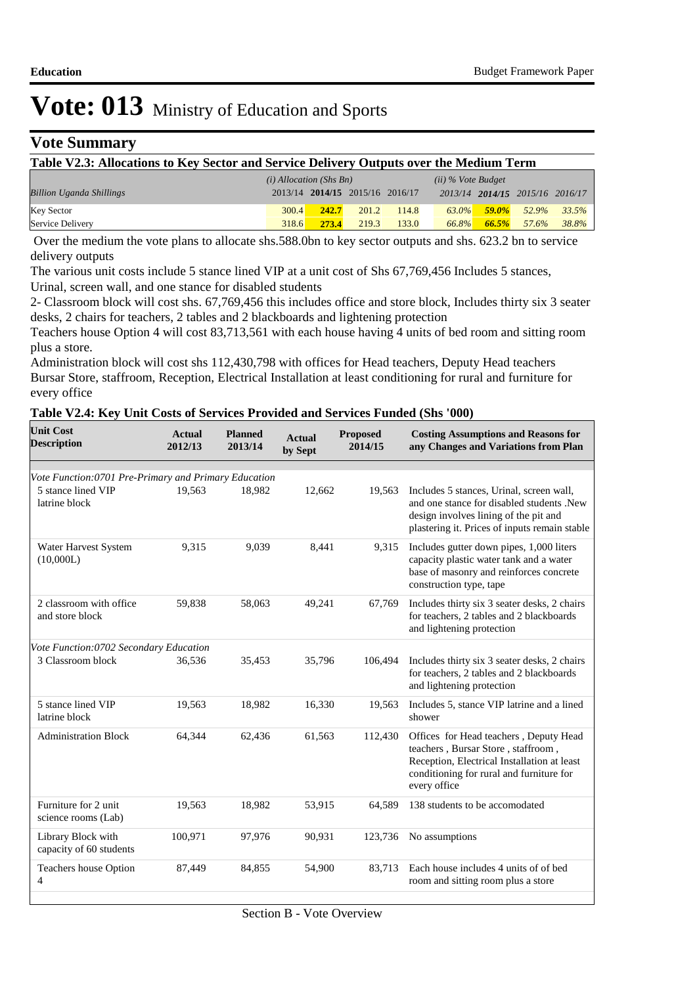### **Vote Summary**

#### **Table V2.3: Allocations to Key Sector and Service Delivery Outputs over the Medium Term**

|                                 | $(i)$ Allocation (Shs Bn) |       |                                 |       | $(ii)$ % Vote Budget |          |                                 |       |
|---------------------------------|---------------------------|-------|---------------------------------|-------|----------------------|----------|---------------------------------|-------|
| <b>Billion Uganda Shillings</b> |                           |       | 2013/14 2014/15 2015/16 2016/17 |       |                      |          | 2013/14 2014/15 2015/16 2016/17 |       |
| <b>Key Sector</b>               | 300.4                     | 242.7 | 201.2                           | 114.8 | 63.0%                | $59.0\%$ | 52.9%                           | 33.5% |
| Service Delivery                | 318.6                     | 273.4 | 219.3                           | 133.0 | 66.8%                | 66.5%    | 57.6%                           | 38.8% |

 Over the medium the vote plans to allocate shs.588.0bn to key sector outputs and shs. 623.2 bn to service delivery outputs

The various unit costs include 5 stance lined VIP at a unit cost of Shs 67,769,456 Includes 5 stances, Urinal, screen wall, and one stance for disabled students

2- Classroom block will cost shs. 67,769,456 this includes office and store block, Includes thirty six 3 seater desks, 2 chairs for teachers, 2 tables and 2 blackboards and lightening protection

Teachers house Option 4 will cost 83,713,561 with each house having 4 units of bed room and sitting room plus a store.

Administration block will cost shs 112,430,798 with offices for Head teachers, Deputy Head teachers Bursar Store, staffroom, Reception, Electrical Installation at least conditioning for rural and furniture for every office

#### **Table V2.4: Key Unit Costs of Services Provided and Services Funded (Shs '000)**

| <b>Unit Cost</b><br><b>Description</b>               | <b>Actual</b><br>2012/13 | <b>Planned</b><br>2013/14 | <b>Actual</b><br>by Sept | <b>Proposed</b><br>2014/15 | <b>Costing Assumptions and Reasons for</b><br>any Changes and Variations from Plan                                                                                                      |
|------------------------------------------------------|--------------------------|---------------------------|--------------------------|----------------------------|-----------------------------------------------------------------------------------------------------------------------------------------------------------------------------------------|
| Vote Function:0701 Pre-Primary and Primary Education |                          |                           |                          |                            |                                                                                                                                                                                         |
| 5 stance lined VIP<br>latrine block                  | 19.563                   | 18.982                    | 12,662                   | 19,563                     | Includes 5 stances, Urinal, screen wall,<br>and one stance for disabled students .New<br>design involves lining of the pit and<br>plastering it. Prices of inputs remain stable         |
| Water Harvest System<br>(10,000L)                    | 9,315                    | 9,039                     | 8,441                    | 9,315                      | Includes gutter down pipes, 1,000 liters<br>capacity plastic water tank and a water<br>base of masonry and reinforces concrete<br>construction type, tape                               |
| 2 classroom with office<br>and store block           | 59,838                   | 58,063                    | 49,241                   | 67,769                     | Includes thirty six 3 seater desks, 2 chairs<br>for teachers, 2 tables and 2 blackboards<br>and lightening protection                                                                   |
| Vote Function:0702 Secondary Education               |                          |                           |                          |                            |                                                                                                                                                                                         |
| 3 Classroom block                                    | 36,536                   | 35,453                    | 35,796                   | 106,494                    | Includes thirty six 3 seater desks, 2 chairs<br>for teachers, 2 tables and 2 blackboards<br>and lightening protection                                                                   |
| 5 stance lined VIP<br>latrine block                  | 19,563                   | 18,982                    | 16,330                   | 19,563                     | Includes 5, stance VIP latrine and a lined<br>shower                                                                                                                                    |
| <b>Administration Block</b>                          | 64,344                   | 62,436                    | 61,563                   | 112,430                    | Offices for Head teachers, Deputy Head<br>teachers, Bursar Store, staffroom,<br>Reception, Electrical Installation at least<br>conditioning for rural and furniture for<br>every office |
| Furniture for 2 unit<br>science rooms (Lab)          | 19,563                   | 18,982                    | 53,915                   | 64.589                     | 138 students to be accomodated                                                                                                                                                          |
| Library Block with<br>capacity of 60 students        | 100,971                  | 97,976                    | 90,931                   | 123,736                    | No assumptions                                                                                                                                                                          |
| <b>Teachers house Option</b><br>4                    | 87,449                   | 84,855                    | 54,900                   | 83,713                     | Each house includes 4 units of of bed<br>room and sitting room plus a store                                                                                                             |
|                                                      |                          |                           |                          |                            |                                                                                                                                                                                         |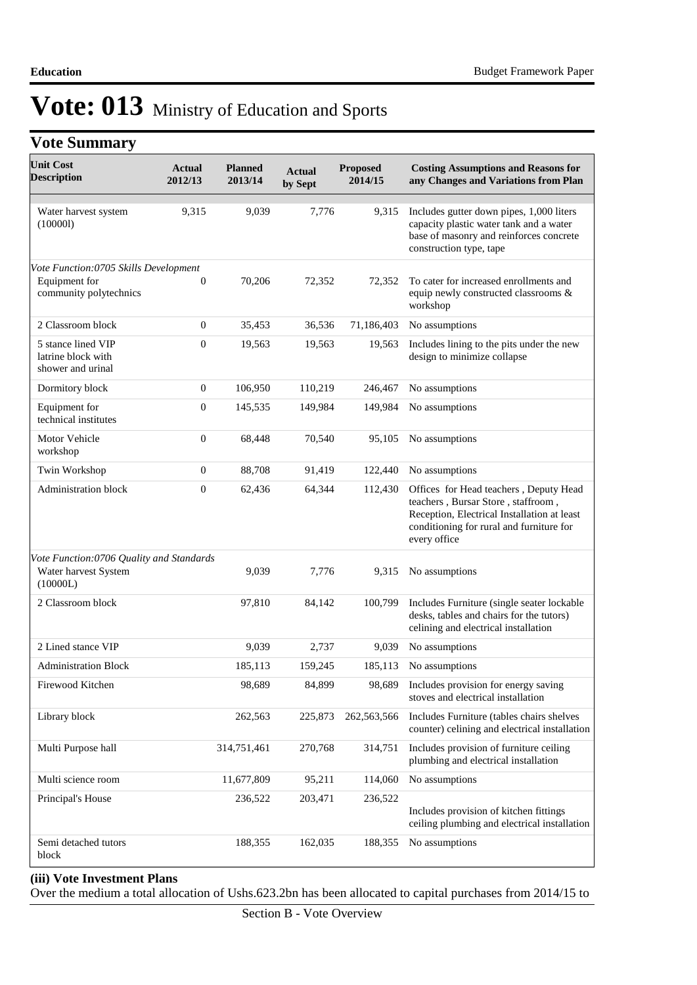### **Vote Summary**

| <b>Unit Cost</b><br><b>Description</b>                                           | <b>Actual</b><br>2012/13 | <b>Planned</b><br>2013/14 | <b>Actual</b><br>by Sept | <b>Proposed</b><br>2014/15 | <b>Costing Assumptions and Reasons for</b><br>any Changes and Variations from Plan                                                                                                      |
|----------------------------------------------------------------------------------|--------------------------|---------------------------|--------------------------|----------------------------|-----------------------------------------------------------------------------------------------------------------------------------------------------------------------------------------|
| Water harvest system<br>(100001)                                                 | 9,315                    | 9,039                     | 7,776                    | 9,315                      | Includes gutter down pipes, 1,000 liters<br>capacity plastic water tank and a water<br>base of masonry and reinforces concrete<br>construction type, tape                               |
| Vote Function:0705 Skills Development<br>Equipment for<br>community polytechnics | $\boldsymbol{0}$         | 70,206                    | 72,352                   | 72,352                     | To cater for increased enrollments and<br>equip newly constructed classrooms &                                                                                                          |
|                                                                                  |                          |                           |                          |                            | workshop                                                                                                                                                                                |
| 2 Classroom block                                                                | $\mathbf{0}$             | 35,453                    | 36,536                   | 71,186,403                 | No assumptions                                                                                                                                                                          |
| 5 stance lined VIP<br>latrine block with<br>shower and urinal                    | $\overline{0}$           | 19,563                    | 19,563                   | 19,563                     | Includes lining to the pits under the new<br>design to minimize collapse                                                                                                                |
| Dormitory block                                                                  | $\mathbf{0}$             | 106,950                   | 110,219                  | 246,467                    | No assumptions                                                                                                                                                                          |
| Equipment for<br>technical institutes                                            | $\overline{0}$           | 145,535                   | 149,984                  | 149,984                    | No assumptions                                                                                                                                                                          |
| Motor Vehicle<br>workshop                                                        | $\boldsymbol{0}$         | 68,448                    | 70,540                   | 95,105                     | No assumptions                                                                                                                                                                          |
| Twin Workshop                                                                    | $\boldsymbol{0}$         | 88,708                    | 91,419                   | 122,440                    | No assumptions                                                                                                                                                                          |
| <b>Administration block</b>                                                      | $\boldsymbol{0}$         | 62,436                    | 64,344                   | 112,430                    | Offices for Head teachers, Deputy Head<br>teachers, Bursar Store, staffroom,<br>Reception, Electrical Installation at least<br>conditioning for rural and furniture for<br>every office |
| Vote Function:0706 Quality and Standards<br>Water harvest System<br>(10000L)     |                          | 9,039                     | 7,776                    | 9,315                      | No assumptions                                                                                                                                                                          |
| 2 Classroom block                                                                |                          | 97,810                    | 84,142                   | 100,799                    | Includes Furniture (single seater lockable<br>desks, tables and chairs for the tutors)<br>celining and electrical installation                                                          |
| 2 Lined stance VIP                                                               |                          | 9,039                     | 2,737                    | 9,039                      | No assumptions                                                                                                                                                                          |
| <b>Administration Block</b>                                                      |                          | 185,113                   | 159,245                  | 185,113                    | No assumptions                                                                                                                                                                          |
| Firewood Kitchen                                                                 |                          | 98,689                    | 84,899                   | 98,689                     | Includes provision for energy saving<br>stoves and electrical installation                                                                                                              |
| Library block                                                                    |                          | 262,563                   | 225,873                  | 262,563,566                | Includes Furniture (tables chairs shelves<br>counter) celining and electrical installation                                                                                              |
| Multi Purpose hall                                                               |                          | 314,751,461               | 270,768                  | 314,751                    | Includes provision of furniture ceiling<br>plumbing and electrical installation                                                                                                         |
| Multi science room                                                               |                          | 11,677,809                | 95,211                   | 114,060                    | No assumptions                                                                                                                                                                          |
| Principal's House                                                                |                          | 236,522                   | 203,471                  | 236,522                    | Includes provision of kitchen fittings<br>ceiling plumbing and electrical installation                                                                                                  |
| Semi detached tutors<br>block                                                    |                          | 188,355                   | 162,035                  | 188,355                    | No assumptions                                                                                                                                                                          |

#### **(iii) Vote Investment Plans**

Over the medium a total allocation of Ushs.623.2bn has been allocated to capital purchases from 2014/15 to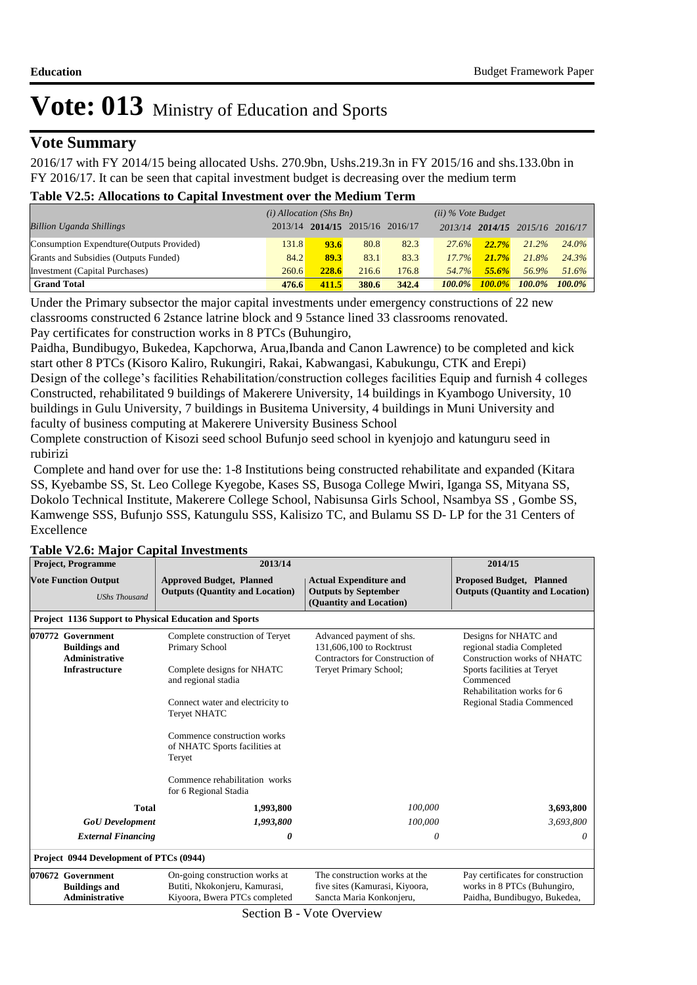### **Vote Summary**

2016/17 with FY 2014/15 being allocated Ushs. 270.9bn, Ushs.219.3n in FY 2015/16 and shs.133.0bn in FY 2016/17. It can be seen that capital investment budget is decreasing over the medium term

#### **Table V2.5: Allocations to Capital Investment over the Medium Term**

|                                           | $(i)$ Allocation (Shs Bn) |                                 |       |       | $(ii)$ % Vote Budget |           |                         |           |
|-------------------------------------------|---------------------------|---------------------------------|-------|-------|----------------------|-----------|-------------------------|-----------|
| <b>Billion Uganda Shillings</b>           |                           | 2013/14 2014/15 2015/16 2016/17 |       |       |                      |           | 2013/14 2014/15 2015/16 | 2016/17   |
| Consumption Expendture (Outputs Provided) | 131.8                     | 93.6                            | 80.8  | 82.3  | 27.6%                | 22.7%     | 21.2%                   | 24.0%     |
| Grants and Subsidies (Outputs Funded)     | 84.2                      | 89.3                            | 83.1  | 83.3  | $17.7\%$             | 21.7%     | 21.8%                   | 24.3%     |
| Investment (Capital Purchases)            | 260.6                     | 228.6                           | 216.6 | 176.8 | 54.7%                | $55.6\%$  | 56.9%                   | 51.6%     |
| <b>Grand Total</b>                        | 476.6                     | 411.5                           | 380.6 | 342.4 | $100.0\%$            | $100.0\%$ | $100.0\%$               | $100.0\%$ |

Under the Primary subsector the major capital investments under emergency constructions of 22 new classrooms constructed 6 2stance latrine block and 9 5stance lined 33 classrooms renovated. Pay certificates for construction works in 8 PTCs (Buhungiro,

Paidha, Bundibugyo, Bukedea, Kapchorwa, Arua,Ibanda and Canon Lawrence) to be completed and kick start other 8 PTCs (Kisoro Kaliro, Rukungiri, Rakai, Kabwangasi, Kabukungu, CTK and Erepi) Design of the college's facilities Rehabilitation/construction colleges facilities Equip and furnish 4 colleges Constructed, rehabilitated 9 buildings of Makerere University, 14 buildings in Kyambogo University, 10 buildings in Gulu University, 7 buildings in Busitema University, 4 buildings in Muni University and faculty of business computing at Makerere University Business School

Complete construction of Kisozi seed school Bufunjo seed school in kyenjojo and katunguru seed in rubirizi

 Complete and hand over for use the: 1-8 Institutions being constructed rehabilitate and expanded (Kitara SS, Kyebambe SS, St. Leo College Kyegobe, Kases SS, Busoga College Mwiri, Iganga SS, Mityana SS, Dokolo Technical Institute, Makerere College School, Nabisunsa Girls School, Nsambya SS , Gombe SS, Kamwenge SSS, Bufunjo SSS, Katungulu SSS, Kalisizo TC, and Bulamu SS D- LP for the 31 Centers of Excellence

| 2013/14                                                                                          |                                                                                             | 2014/15                                                                                          |  |  |
|--------------------------------------------------------------------------------------------------|---------------------------------------------------------------------------------------------|--------------------------------------------------------------------------------------------------|--|--|
| <b>Approved Budget, Planned</b><br><b>Outputs (Quantity and Location)</b>                        | <b>Actual Expenditure and</b><br><b>Outputs by September</b><br>(Quantity and Location)     | <b>Proposed Budget, Planned</b><br><b>Outputs (Quantity and Location)</b>                        |  |  |
| <b>Project 1136 Support to Physical Education and Sports</b>                                     |                                                                                             |                                                                                                  |  |  |
| Complete construction of Teryet<br>Primary School                                                | Advanced payment of shs.<br>131,606,100 to Rocktrust<br>Contractors for Construction of     | Designs for NHATC and<br>regional stadia Completed<br>Construction works of NHATC                |  |  |
| and regional stadia                                                                              |                                                                                             | Sports facilities at Teryet<br>Commenced<br>Rehabilitation works for 6                           |  |  |
| <b>Tervet NHATC</b>                                                                              |                                                                                             | Regional Stadia Commenced                                                                        |  |  |
| Commence construction works<br>of NHATC Sports facilities at<br>Teryet                           |                                                                                             |                                                                                                  |  |  |
| Commence rehabilitation works<br>for 6 Regional Stadia                                           |                                                                                             |                                                                                                  |  |  |
| 1,993,800                                                                                        | 100,000                                                                                     | 3,693,800                                                                                        |  |  |
| 1,993,800                                                                                        | 100,000                                                                                     | 3,693,800                                                                                        |  |  |
| 0                                                                                                | 0                                                                                           | 0                                                                                                |  |  |
| Project 0944 Development of PTCs (0944)                                                          |                                                                                             |                                                                                                  |  |  |
| On-going construction works at<br>Butiti, Nkokonjeru, Kamurasi,<br>Kiyoora, Bwera PTCs completed | The construction works at the<br>five sites (Kamurasi, Kiyoora,<br>Sancta Maria Konkonjeru, | Pay certificates for construction<br>works in 8 PTCs (Buhungiro,<br>Paidha, Bundibugyo, Bukedea, |  |  |
|                                                                                                  | Complete designs for NHATC<br>Connect water and electricity to                              | Teryet Primary School;                                                                           |  |  |

#### **Table V2.6: Major Capital Investments**

Section B - Vote Overview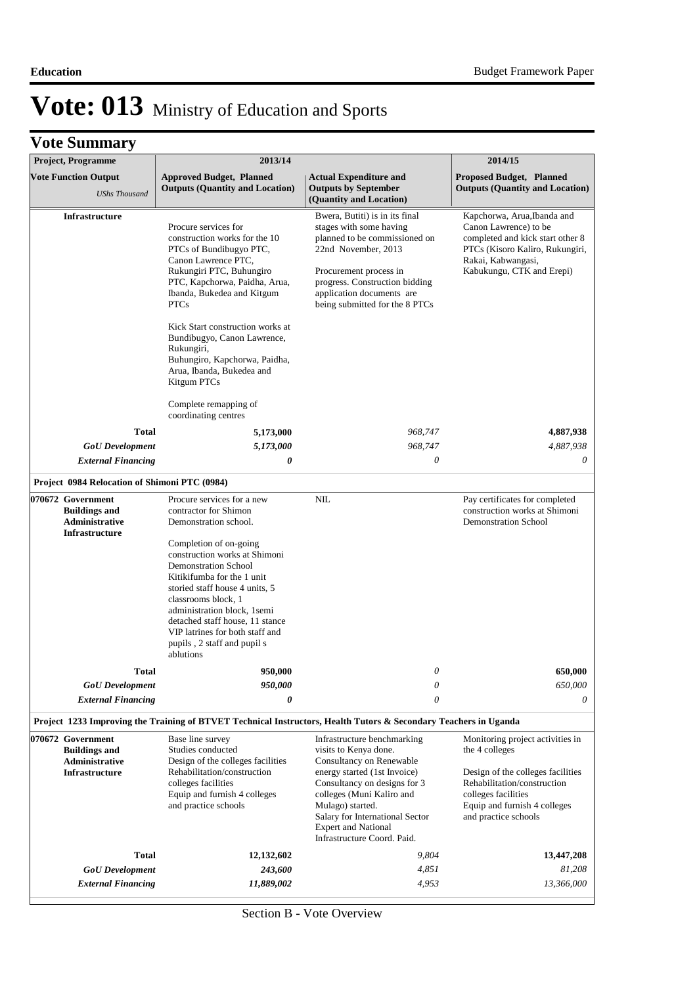| Project, Programme                                                                   | 2013/14                                                                                                                                                                                                                                                                                                                                                                                                        |                                                                                                                                                                                                                                                                                                   | 2014/15                                                                                                                                                                                               |
|--------------------------------------------------------------------------------------|----------------------------------------------------------------------------------------------------------------------------------------------------------------------------------------------------------------------------------------------------------------------------------------------------------------------------------------------------------------------------------------------------------------|---------------------------------------------------------------------------------------------------------------------------------------------------------------------------------------------------------------------------------------------------------------------------------------------------|-------------------------------------------------------------------------------------------------------------------------------------------------------------------------------------------------------|
| <b>Vote Function Output</b><br><b>UShs Thousand</b>                                  | <b>Approved Budget, Planned</b><br><b>Outputs (Quantity and Location)</b>                                                                                                                                                                                                                                                                                                                                      | <b>Actual Expenditure and</b><br><b>Outputs by September</b><br>(Quantity and Location)                                                                                                                                                                                                           | Proposed Budget, Planned<br><b>Outputs (Quantity and Location)</b>                                                                                                                                    |
| <b>Infrastructure</b>                                                                | Procure services for<br>construction works for the 10<br>PTCs of Bundibugyo PTC,<br>Canon Lawrence PTC,<br>Rukungiri PTC, Buhungiro<br>PTC, Kapchorwa, Paidha, Arua,<br>Ibanda, Bukedea and Kitgum<br><b>PTCs</b><br>Kick Start construction works at<br>Bundibugyo, Canon Lawrence,<br>Rukungiri,<br>Buhungiro, Kapchorwa, Paidha,<br>Arua, Ibanda, Bukedea and<br>Kitgum PTCs<br>Complete remapping of       | Bwera, Butiti) is in its final<br>stages with some having<br>planned to be commissioned on<br>22nd November, 2013<br>Procurement process in<br>progress. Construction bidding<br>application documents are<br>being submitted for the 8 PTCs                                                      | Kapchorwa, Arua, Ibanda and<br>Canon Lawrence) to be<br>completed and kick start other 8<br>PTCs (Kisoro Kaliro, Rukungiri,<br>Rakai, Kabwangasi,<br>Kabukungu, CTK and Erepi)                        |
|                                                                                      | coordinating centres                                                                                                                                                                                                                                                                                                                                                                                           |                                                                                                                                                                                                                                                                                                   |                                                                                                                                                                                                       |
| <b>Total</b>                                                                         | 5,173,000                                                                                                                                                                                                                                                                                                                                                                                                      | 968,747                                                                                                                                                                                                                                                                                           | 4,887,938                                                                                                                                                                                             |
| <b>GoU</b> Development                                                               | 5,173,000                                                                                                                                                                                                                                                                                                                                                                                                      | 968,747                                                                                                                                                                                                                                                                                           | 4,887,938                                                                                                                                                                                             |
| <b>External Financing</b>                                                            | 0                                                                                                                                                                                                                                                                                                                                                                                                              | $\boldsymbol{\mathit{0}}$                                                                                                                                                                                                                                                                         | 0                                                                                                                                                                                                     |
| Project 0984 Relocation of Shimoni PTC (0984)                                        |                                                                                                                                                                                                                                                                                                                                                                                                                |                                                                                                                                                                                                                                                                                                   |                                                                                                                                                                                                       |
| 070672 Government<br><b>Buildings and</b><br>Administrative<br>Infrastructure        | Procure services for a new<br>contractor for Shimon<br>Demonstration school.<br>Completion of on-going<br>construction works at Shimoni<br><b>Demonstration School</b><br>Kitikifumba for the 1 unit<br>storied staff house 4 units, 5<br>classrooms block, 1<br>administration block, 1semi<br>detached staff house, 11 stance<br>VIP latrines for both staff and<br>pupils, 2 staff and pupil s<br>ablutions | NIL                                                                                                                                                                                                                                                                                               | Pay certificates for completed<br>construction works at Shimoni<br><b>Demonstration School</b>                                                                                                        |
| <b>Total</b>                                                                         | 950,000                                                                                                                                                                                                                                                                                                                                                                                                        | $\theta$                                                                                                                                                                                                                                                                                          | 650,000                                                                                                                                                                                               |
| <b>GoU</b> Development                                                               | 950,000<br>0                                                                                                                                                                                                                                                                                                                                                                                                   | $\boldsymbol{\mathit{0}}$<br>$\theta$                                                                                                                                                                                                                                                             | 650,000<br>0                                                                                                                                                                                          |
| <b>External Financing</b>                                                            |                                                                                                                                                                                                                                                                                                                                                                                                                |                                                                                                                                                                                                                                                                                                   |                                                                                                                                                                                                       |
|                                                                                      | Project 1233 Improving the Training of BTVET Technical Instructors, Health Tutors & Secondary Teachers in Uganda                                                                                                                                                                                                                                                                                               |                                                                                                                                                                                                                                                                                                   |                                                                                                                                                                                                       |
| 070672 Government<br><b>Buildings and</b><br>Administrative<br><b>Infrastructure</b> | Base line survey<br>Studies conducted<br>Design of the colleges facilities<br>Rehabilitation/construction<br>colleges facilities<br>Equip and furnish 4 colleges<br>and practice schools                                                                                                                                                                                                                       | Infrastructure benchmarking<br>visits to Kenya done.<br>Consultancy on Renewable<br>energy started (1st Invoice)<br>Consultancy on designs for 3<br>colleges (Muni Kaliro and<br>Mulago) started.<br>Salary for International Sector<br><b>Expert and National</b><br>Infrastructure Coord. Paid. | Monitoring project activities in<br>the 4 colleges<br>Design of the colleges facilities<br>Rehabilitation/construction<br>colleges facilities<br>Equip and furnish 4 colleges<br>and practice schools |
| <b>Total</b>                                                                         | 12, 132, 602                                                                                                                                                                                                                                                                                                                                                                                                   | 9,804                                                                                                                                                                                                                                                                                             | 13,447,208                                                                                                                                                                                            |
| <b>GoU</b> Development                                                               | 243,600                                                                                                                                                                                                                                                                                                                                                                                                        | 4,851                                                                                                                                                                                                                                                                                             | 81,208                                                                                                                                                                                                |
| <b>External Financing</b>                                                            | 11,889,002                                                                                                                                                                                                                                                                                                                                                                                                     | 4,953                                                                                                                                                                                                                                                                                             | 13,366,000                                                                                                                                                                                            |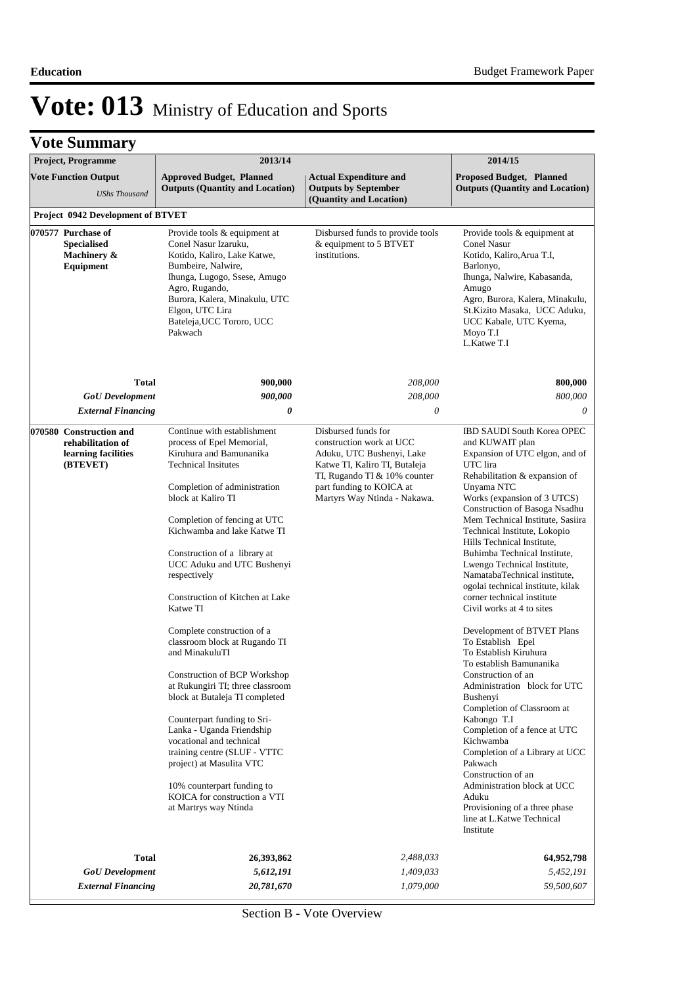|  | <b>Vote Summary</b> |  |
|--|---------------------|--|
|--|---------------------|--|

| <b>Project, Programme</b>                                                       | 2013/14                                                                                                                                                                                                                                                                                                                                                                                                                        |                                                                                                                                                                                                           | 2014/15                                                                                                                                                                                                                                                                                                                                                                                                                                                                                                            |
|---------------------------------------------------------------------------------|--------------------------------------------------------------------------------------------------------------------------------------------------------------------------------------------------------------------------------------------------------------------------------------------------------------------------------------------------------------------------------------------------------------------------------|-----------------------------------------------------------------------------------------------------------------------------------------------------------------------------------------------------------|--------------------------------------------------------------------------------------------------------------------------------------------------------------------------------------------------------------------------------------------------------------------------------------------------------------------------------------------------------------------------------------------------------------------------------------------------------------------------------------------------------------------|
| <b>Vote Function Output</b><br><b>UShs Thousand</b>                             | <b>Approved Budget, Planned</b><br><b>Outputs (Quantity and Location)</b>                                                                                                                                                                                                                                                                                                                                                      | <b>Actual Expenditure and</b><br><b>Outputs by September</b><br>(Quantity and Location)                                                                                                                   | <b>Proposed Budget, Planned</b><br><b>Outputs (Quantity and Location)</b>                                                                                                                                                                                                                                                                                                                                                                                                                                          |
| <b>Project 0942 Development of BTVET</b>                                        |                                                                                                                                                                                                                                                                                                                                                                                                                                |                                                                                                                                                                                                           |                                                                                                                                                                                                                                                                                                                                                                                                                                                                                                                    |
| 070577 Purchase of<br><b>Specialised</b><br>Machinery &<br>Equipment            | Provide tools & equipment at<br>Conel Nasur Izaruku,<br>Kotido, Kaliro, Lake Katwe,<br>Bumbeire, Nalwire,<br>Ihunga, Lugogo, Ssese, Amugo<br>Agro, Rugando,<br>Burora, Kalera, Minakulu, UTC<br>Elgon, UTC Lira<br>Bateleja, UCC Tororo, UCC<br>Pakwach                                                                                                                                                                        | Disbursed funds to provide tools<br>& equipment to 5 BTVET<br>institutions.                                                                                                                               | Provide tools & equipment at<br>Conel Nasur<br>Kotido, Kaliro, Arua T.I,<br>Barlonyo,<br>Ihunga, Nalwire, Kabasanda,<br>Amugo<br>Agro, Burora, Kalera, Minakulu,<br>St.Kizito Masaka, UCC Aduku,<br>UCC Kabale, UTC Kyema,<br>Moyo T.I<br>L.Katwe T.I                                                                                                                                                                                                                                                              |
| <b>Total</b>                                                                    | 900,000                                                                                                                                                                                                                                                                                                                                                                                                                        | 208,000                                                                                                                                                                                                   | 800,000                                                                                                                                                                                                                                                                                                                                                                                                                                                                                                            |
| <b>GoU</b> Development                                                          | 900,000                                                                                                                                                                                                                                                                                                                                                                                                                        | 208,000                                                                                                                                                                                                   | 800,000                                                                                                                                                                                                                                                                                                                                                                                                                                                                                                            |
| <b>External Financing</b>                                                       | 0                                                                                                                                                                                                                                                                                                                                                                                                                              | 0                                                                                                                                                                                                         | 0                                                                                                                                                                                                                                                                                                                                                                                                                                                                                                                  |
| 070580 Construction and<br>rehabilitation of<br>learning facilities<br>(BTEVET) | Continue with establishment<br>process of Epel Memorial,<br>Kiruhura and Bamunanika<br><b>Technical Insitutes</b><br>Completion of administration<br>block at Kaliro TI<br>Completion of fencing at UTC<br>Kichwamba and lake Katwe TI<br>Construction of a library at<br>UCC Aduku and UTC Bushenyi<br>respectively<br>Construction of Kitchen at Lake<br>Katwe TI                                                            | Disbursed funds for<br>construction work at UCC<br>Aduku, UTC Bushenyi, Lake<br>Katwe TI, Kaliro TI, Butaleja<br>TI, Rugando TI & 10% counter<br>part funding to KOICA at<br>Martyrs Way Ntinda - Nakawa. | <b>IBD SAUDI South Korea OPEC</b><br>and KUWAIT plan<br>Expansion of UTC elgon, and of<br>UTC lira<br>Rehabilitation & expansion of<br>Unyama NTC<br>Works (expansion of 3 UTCS)<br>Construction of Basoga Nsadhu<br>Mem Technical Institute, Sasiira<br>Technical Institute, Lokopio<br>Hills Technical Institute,<br>Buhimba Technical Institute,<br>Lwengo Technical Institute,<br>NamatabaTechnical institute,<br>ogolai technical institute, kilak<br>corner technical institute<br>Civil works at 4 to sites |
|                                                                                 | Complete construction of a<br>classroom block at Rugando TI<br>and MinakuluTI<br>Construction of BCP Workshop<br>at Rukungiri TI; three classroom<br>block at Butaleja TI completed<br>Counterpart funding to Sri-<br>Lanka - Uganda Friendship<br>vocational and technical<br>training centre (SLUF - VTTC<br>project) at Masulita VTC<br>10% counterpart funding to<br>KOICA for construction a VTI<br>at Martrys way Ntinda |                                                                                                                                                                                                           | Development of BTVET Plans<br>To Establish Epel<br>To Establish Kiruhura<br>To establish Bamunanika<br>Construction of an<br>Administration block for UTC<br>Bushenyi<br>Completion of Classroom at<br>Kabongo T.I<br>Completion of a fence at UTC<br>Kichwamba<br>Completion of a Library at UCC<br>Pakwach<br>Construction of an<br>Administration block at UCC<br>Aduku<br>Provisioning of a three phase<br>line at L.Katwe Technical<br>Institute                                                              |
| <b>Total</b>                                                                    | 26,393,862                                                                                                                                                                                                                                                                                                                                                                                                                     | 2,488,033                                                                                                                                                                                                 | 64,952,798                                                                                                                                                                                                                                                                                                                                                                                                                                                                                                         |
| <b>GoU</b> Development                                                          | 5,612,191                                                                                                                                                                                                                                                                                                                                                                                                                      | 1,409,033                                                                                                                                                                                                 | 5,452,191                                                                                                                                                                                                                                                                                                                                                                                                                                                                                                          |
| <b>External Financing</b>                                                       | 20,781,670                                                                                                                                                                                                                                                                                                                                                                                                                     | 1,079,000                                                                                                                                                                                                 | 59,500,607                                                                                                                                                                                                                                                                                                                                                                                                                                                                                                         |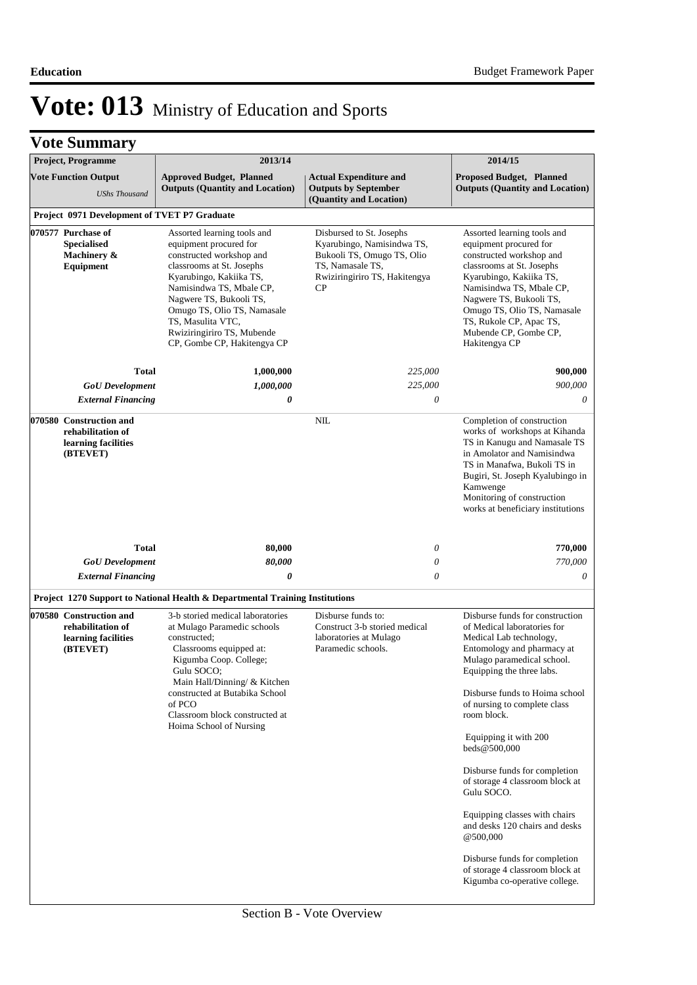| <b>Project, Programme</b>                                                       | 2013/14                                                                                                                                                                                                                                                                                                           |                                                                                                                                                 | 2014/15                                                                                                                                                                                                                                                                                              |
|---------------------------------------------------------------------------------|-------------------------------------------------------------------------------------------------------------------------------------------------------------------------------------------------------------------------------------------------------------------------------------------------------------------|-------------------------------------------------------------------------------------------------------------------------------------------------|------------------------------------------------------------------------------------------------------------------------------------------------------------------------------------------------------------------------------------------------------------------------------------------------------|
| <b>Vote Function Output</b><br><b>UShs Thousand</b>                             | <b>Approved Budget, Planned</b><br><b>Outputs (Quantity and Location)</b>                                                                                                                                                                                                                                         | <b>Actual Expenditure and</b><br><b>Outputs by September</b><br>(Quantity and Location)                                                         | <b>Proposed Budget, Planned</b><br><b>Outputs (Quantity and Location)</b>                                                                                                                                                                                                                            |
| Project 0971 Development of TVET P7 Graduate                                    |                                                                                                                                                                                                                                                                                                                   |                                                                                                                                                 |                                                                                                                                                                                                                                                                                                      |
| 070577 Purchase of<br><b>Specialised</b><br>Machinery &<br>Equipment            | Assorted learning tools and<br>equipment procured for<br>constructed workshop and<br>classrooms at St. Josephs<br>Kyarubingo, Kakiika TS,<br>Namisindwa TS, Mbale CP,<br>Nagwere TS, Bukooli TS,<br>Omugo TS, Olio TS, Namasale<br>TS, Masulita VTC,<br>Rwiziringiriro TS, Mubende<br>CP, Gombe CP, Hakitengya CP | Disbursed to St. Josephs<br>Kyarubingo, Namisindwa TS,<br>Bukooli TS, Omugo TS, Olio<br>TS, Namasale TS,<br>Rwiziringiriro TS, Hakitengya<br>CP | Assorted learning tools and<br>equipment procured for<br>constructed workshop and<br>classrooms at St. Josephs<br>Kyarubingo, Kakiika TS,<br>Namisindwa TS, Mbale CP,<br>Nagwere TS, Bukooli TS,<br>Omugo TS, Olio TS, Namasale<br>TS, Rukole CP, Apac TS,<br>Mubende CP, Gombe CP,<br>Hakitengya CP |
| <b>Total</b>                                                                    | 1,000,000                                                                                                                                                                                                                                                                                                         | 225,000                                                                                                                                         | 900,000                                                                                                                                                                                                                                                                                              |
| <b>GoU</b> Development                                                          | 1,000,000                                                                                                                                                                                                                                                                                                         | 225,000                                                                                                                                         | 900,000                                                                                                                                                                                                                                                                                              |
| <b>External Financing</b>                                                       | 0                                                                                                                                                                                                                                                                                                                 | 0                                                                                                                                               | $\theta$                                                                                                                                                                                                                                                                                             |
| 070580 Construction and<br>rehabilitation of<br>learning facilities<br>(BTEVET) |                                                                                                                                                                                                                                                                                                                   | NIL                                                                                                                                             | Completion of construction<br>works of workshops at Kihanda<br>TS in Kanugu and Namasale TS<br>in Amolator and Namisindwa<br>TS in Manafwa, Bukoli TS in<br>Bugiri, St. Joseph Kyalubingo in<br>Kamwenge<br>Monitoring of construction<br>works at beneficiary institutions                          |
| <b>Total</b>                                                                    | 80,000                                                                                                                                                                                                                                                                                                            | $\theta$                                                                                                                                        | 770,000                                                                                                                                                                                                                                                                                              |
| <b>GoU</b> Development                                                          | 80,000                                                                                                                                                                                                                                                                                                            | 0                                                                                                                                               | 770,000                                                                                                                                                                                                                                                                                              |
| <b>External Financing</b>                                                       | $\boldsymbol{\theta}$                                                                                                                                                                                                                                                                                             | $\theta$                                                                                                                                        | 0                                                                                                                                                                                                                                                                                                    |
|                                                                                 | Project 1270 Support to National Health & Departmental Training Institutions                                                                                                                                                                                                                                      |                                                                                                                                                 |                                                                                                                                                                                                                                                                                                      |
| 070580 Construction and<br>rehabilitation of<br>learning facilities<br>(BTEVET) | 3-b storied medical laboratories<br>at Mulago Paramedic schools<br>constructed;<br>Classrooms equipped at:<br>Kigumba Coop. College;<br>Gulu SOCO;<br>Main Hall/Dinning/ & Kitchen<br>constructed at Butabika School<br>of PCO<br>Classroom block constructed at<br>Hoima School of Nursing                       | Disburse funds to:<br>Construct 3-b storied medical<br>laboratories at Mulago<br>Paramedic schools.                                             | Disburse funds for construction<br>of Medical laboratories for<br>Medical Lab technology,<br>Entomology and pharmacy at<br>Mulago paramedical school.<br>Equipping the three labs.<br>Disburse funds to Hoima school<br>of nursing to complete class<br>room block.                                  |
|                                                                                 |                                                                                                                                                                                                                                                                                                                   |                                                                                                                                                 | Equipping it with 200<br>beds@500,000<br>Disburse funds for completion<br>of storage 4 classroom block at<br>Gulu SOCO.<br>Equipping classes with chairs<br>and desks 120 chairs and desks<br>@500,000                                                                                               |
|                                                                                 |                                                                                                                                                                                                                                                                                                                   |                                                                                                                                                 | Disburse funds for completion<br>of storage 4 classroom block at<br>Kigumba co-operative college.                                                                                                                                                                                                    |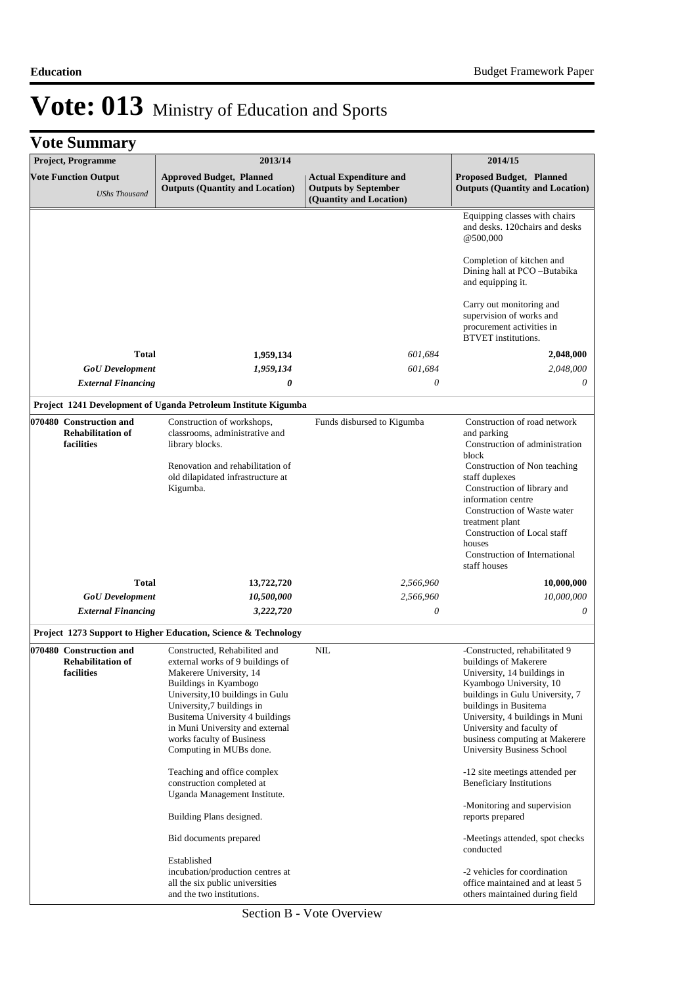| <b>Project, Programme</b>                                         | 2013/14                                                                                                                                                                                                                                                                                                             |                                                                                         | 2014/15                                                                                                                                                                                                                                                                                                                                   |
|-------------------------------------------------------------------|---------------------------------------------------------------------------------------------------------------------------------------------------------------------------------------------------------------------------------------------------------------------------------------------------------------------|-----------------------------------------------------------------------------------------|-------------------------------------------------------------------------------------------------------------------------------------------------------------------------------------------------------------------------------------------------------------------------------------------------------------------------------------------|
| <b>Vote Function Output</b><br><b>UShs Thousand</b>               | <b>Approved Budget, Planned</b><br><b>Outputs (Quantity and Location)</b>                                                                                                                                                                                                                                           | <b>Actual Expenditure and</b><br><b>Outputs by September</b><br>(Quantity and Location) | <b>Proposed Budget, Planned</b><br><b>Outputs (Quantity and Location)</b>                                                                                                                                                                                                                                                                 |
|                                                                   |                                                                                                                                                                                                                                                                                                                     |                                                                                         | Equipping classes with chairs<br>and desks. 120 chairs and desks<br>@500,000                                                                                                                                                                                                                                                              |
|                                                                   |                                                                                                                                                                                                                                                                                                                     |                                                                                         | Completion of kitchen and<br>Dining hall at PCO-Butabika<br>and equipping it.                                                                                                                                                                                                                                                             |
|                                                                   |                                                                                                                                                                                                                                                                                                                     |                                                                                         | Carry out monitoring and<br>supervision of works and<br>procurement activities in<br><b>BTVET</b> institutions.                                                                                                                                                                                                                           |
| <b>Total</b>                                                      | 1,959,134                                                                                                                                                                                                                                                                                                           | 601,684                                                                                 | 2,048,000                                                                                                                                                                                                                                                                                                                                 |
| <b>GoU</b> Development                                            | 1,959,134                                                                                                                                                                                                                                                                                                           | 601,684                                                                                 | 2,048,000                                                                                                                                                                                                                                                                                                                                 |
| <b>External Financing</b>                                         | 0                                                                                                                                                                                                                                                                                                                   | $\theta$                                                                                | 0                                                                                                                                                                                                                                                                                                                                         |
|                                                                   | Project 1241 Development of Uganda Petroleum Institute Kigumba                                                                                                                                                                                                                                                      |                                                                                         |                                                                                                                                                                                                                                                                                                                                           |
| 070480 Construction and<br><b>Rehabilitation of</b><br>facilities | Construction of workshops,<br>classrooms, administrative and<br>library blocks.<br>Renovation and rehabilitation of<br>old dilapidated infrastructure at<br>Kigumba.                                                                                                                                                | Funds disbursed to Kigumba                                                              | Construction of road network<br>and parking<br>Construction of administration<br>block<br>Construction of Non teaching<br>staff duplexes<br>Construction of library and<br>information centre<br>Construction of Waste water<br>treatment plant<br>Construction of Local staff<br>houses<br>Construction of International<br>staff houses |
| <b>Total</b>                                                      | 13,722,720                                                                                                                                                                                                                                                                                                          | 2,566,960                                                                               | 10,000,000                                                                                                                                                                                                                                                                                                                                |
| <b>GoU</b> Development                                            | 10,500,000                                                                                                                                                                                                                                                                                                          | 2,566,960                                                                               | 10,000,000                                                                                                                                                                                                                                                                                                                                |
| <b>External Financing</b>                                         | 3,222,720                                                                                                                                                                                                                                                                                                           | 0                                                                                       | 0                                                                                                                                                                                                                                                                                                                                         |
|                                                                   | Project 1273 Support to Higher Education, Science & Technology                                                                                                                                                                                                                                                      |                                                                                         |                                                                                                                                                                                                                                                                                                                                           |
| 070480 Construction and<br><b>Rehabilitation of</b><br>facilities | Constructed, Rehabilited and<br>external works of 9 buildings of<br>Makerere University, 14<br>Buildings in Kyambogo<br>University, 10 buildings in Gulu<br>University,7 buildings in<br>Busitema University 4 buildings<br>in Muni University and external<br>works faculty of Business<br>Computing in MUBs done. | NIL                                                                                     | -Constructed, rehabilitated 9<br>buildings of Makerere<br>University, 14 buildings in<br>Kyambogo University, 10<br>buildings in Gulu University, 7<br>buildings in Busitema<br>University, 4 buildings in Muni<br>University and faculty of<br>business computing at Makerere<br>University Business School                              |
|                                                                   | Teaching and office complex<br>construction completed at<br>Uganda Management Institute.                                                                                                                                                                                                                            |                                                                                         | -12 site meetings attended per<br><b>Beneficiary Institutions</b>                                                                                                                                                                                                                                                                         |
|                                                                   | Building Plans designed.                                                                                                                                                                                                                                                                                            |                                                                                         | -Monitoring and supervision<br>reports prepared                                                                                                                                                                                                                                                                                           |
|                                                                   | Bid documents prepared                                                                                                                                                                                                                                                                                              |                                                                                         | -Meetings attended, spot checks<br>conducted                                                                                                                                                                                                                                                                                              |
|                                                                   | Established                                                                                                                                                                                                                                                                                                         |                                                                                         |                                                                                                                                                                                                                                                                                                                                           |
|                                                                   | incubation/production centres at<br>all the six public universities<br>and the two institutions.                                                                                                                                                                                                                    |                                                                                         | -2 vehicles for coordination<br>office maintained and at least 5<br>others maintained during field                                                                                                                                                                                                                                        |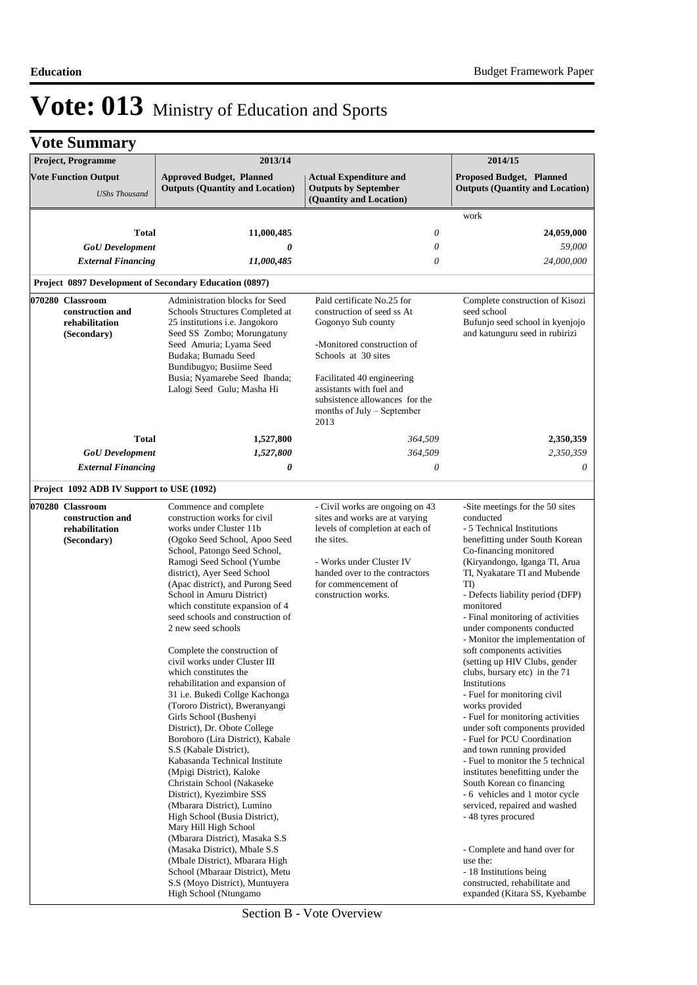| <b>Project, Programme</b>                                             | 2013/14                                                                                                                                                                                                                                                                                                                                                                                                                                                                                                                                                                                                                                                                                                                                                                                                                                                                                                                                                 |                                                                                                                                                                                                                                                                       | 2014/15                                                                                                                                                                                                                                                                                                                                                                                                                                                                                                                                                                                                                                                                                                                                                                                                                                                                 |
|-----------------------------------------------------------------------|---------------------------------------------------------------------------------------------------------------------------------------------------------------------------------------------------------------------------------------------------------------------------------------------------------------------------------------------------------------------------------------------------------------------------------------------------------------------------------------------------------------------------------------------------------------------------------------------------------------------------------------------------------------------------------------------------------------------------------------------------------------------------------------------------------------------------------------------------------------------------------------------------------------------------------------------------------|-----------------------------------------------------------------------------------------------------------------------------------------------------------------------------------------------------------------------------------------------------------------------|-------------------------------------------------------------------------------------------------------------------------------------------------------------------------------------------------------------------------------------------------------------------------------------------------------------------------------------------------------------------------------------------------------------------------------------------------------------------------------------------------------------------------------------------------------------------------------------------------------------------------------------------------------------------------------------------------------------------------------------------------------------------------------------------------------------------------------------------------------------------------|
| <b>Vote Function Output</b><br><b>UShs Thousand</b>                   | <b>Approved Budget, Planned</b><br><b>Outputs (Quantity and Location)</b>                                                                                                                                                                                                                                                                                                                                                                                                                                                                                                                                                                                                                                                                                                                                                                                                                                                                               | <b>Actual Expenditure and</b><br><b>Outputs by September</b><br>(Quantity and Location)                                                                                                                                                                               | <b>Proposed Budget, Planned</b><br><b>Outputs (Quantity and Location)</b>                                                                                                                                                                                                                                                                                                                                                                                                                                                                                                                                                                                                                                                                                                                                                                                               |
|                                                                       |                                                                                                                                                                                                                                                                                                                                                                                                                                                                                                                                                                                                                                                                                                                                                                                                                                                                                                                                                         |                                                                                                                                                                                                                                                                       | work                                                                                                                                                                                                                                                                                                                                                                                                                                                                                                                                                                                                                                                                                                                                                                                                                                                                    |
| <b>Total</b>                                                          | 11,000,485                                                                                                                                                                                                                                                                                                                                                                                                                                                                                                                                                                                                                                                                                                                                                                                                                                                                                                                                              | $\theta$                                                                                                                                                                                                                                                              | 24,059,000                                                                                                                                                                                                                                                                                                                                                                                                                                                                                                                                                                                                                                                                                                                                                                                                                                                              |
| <b>GoU</b> Development                                                | 0                                                                                                                                                                                                                                                                                                                                                                                                                                                                                                                                                                                                                                                                                                                                                                                                                                                                                                                                                       | $\theta$                                                                                                                                                                                                                                                              | 59,000                                                                                                                                                                                                                                                                                                                                                                                                                                                                                                                                                                                                                                                                                                                                                                                                                                                                  |
| <b>External Financing</b>                                             | 11,000,485                                                                                                                                                                                                                                                                                                                                                                                                                                                                                                                                                                                                                                                                                                                                                                                                                                                                                                                                              | $\theta$                                                                                                                                                                                                                                                              | 24,000,000                                                                                                                                                                                                                                                                                                                                                                                                                                                                                                                                                                                                                                                                                                                                                                                                                                                              |
|                                                                       |                                                                                                                                                                                                                                                                                                                                                                                                                                                                                                                                                                                                                                                                                                                                                                                                                                                                                                                                                         |                                                                                                                                                                                                                                                                       |                                                                                                                                                                                                                                                                                                                                                                                                                                                                                                                                                                                                                                                                                                                                                                                                                                                                         |
| Project 0897 Development of Secondary Education (0897)                |                                                                                                                                                                                                                                                                                                                                                                                                                                                                                                                                                                                                                                                                                                                                                                                                                                                                                                                                                         |                                                                                                                                                                                                                                                                       |                                                                                                                                                                                                                                                                                                                                                                                                                                                                                                                                                                                                                                                                                                                                                                                                                                                                         |
| 070280 Classroom<br>construction and<br>rehabilitation<br>(Secondary) | Administration blocks for Seed<br>Schools Structures Completed at<br>25 institutions i.e. Jangokoro<br>Seed SS Zombo; Morungatuny<br>Seed Amuria; Lyama Seed<br>Budaka; Bumadu Seed<br>Bundibugyo; Busiime Seed<br>Busia; Nyamarebe Seed Ibanda;<br>Lalogi Seed Gulu; Masha Hi                                                                                                                                                                                                                                                                                                                                                                                                                                                                                                                                                                                                                                                                          | Paid certificate No.25 for<br>construction of seed ss At<br>Gogonyo Sub county<br>-Monitored construction of<br>Schools at 30 sites<br>Facilitated 40 engineering<br>assistants with fuel and<br>subsistence allowances for the<br>months of July - September<br>2013 | Complete construction of Kisozi<br>seed school<br>Bufunjo seed school in kyenjojo<br>and katunguru seed in rubirizi                                                                                                                                                                                                                                                                                                                                                                                                                                                                                                                                                                                                                                                                                                                                                     |
| <b>Total</b>                                                          | 1,527,800                                                                                                                                                                                                                                                                                                                                                                                                                                                                                                                                                                                                                                                                                                                                                                                                                                                                                                                                               | 364,509                                                                                                                                                                                                                                                               | 2,350,359                                                                                                                                                                                                                                                                                                                                                                                                                                                                                                                                                                                                                                                                                                                                                                                                                                                               |
| <b>GoU</b> Development                                                | 1,527,800                                                                                                                                                                                                                                                                                                                                                                                                                                                                                                                                                                                                                                                                                                                                                                                                                                                                                                                                               | 364,509                                                                                                                                                                                                                                                               | 2,350,359                                                                                                                                                                                                                                                                                                                                                                                                                                                                                                                                                                                                                                                                                                                                                                                                                                                               |
| <b>External Financing</b>                                             | 0                                                                                                                                                                                                                                                                                                                                                                                                                                                                                                                                                                                                                                                                                                                                                                                                                                                                                                                                                       | $\theta$                                                                                                                                                                                                                                                              | 0                                                                                                                                                                                                                                                                                                                                                                                                                                                                                                                                                                                                                                                                                                                                                                                                                                                                       |
| Project 1092 ADB IV Support to USE (1092)                             |                                                                                                                                                                                                                                                                                                                                                                                                                                                                                                                                                                                                                                                                                                                                                                                                                                                                                                                                                         |                                                                                                                                                                                                                                                                       |                                                                                                                                                                                                                                                                                                                                                                                                                                                                                                                                                                                                                                                                                                                                                                                                                                                                         |
| 070280 Classroom<br>construction and<br>rehabilitation<br>(Secondary) | Commence and complete<br>construction works for civil<br>works under Cluster 11b<br>(Ogoko Seed School, Apoo Seed<br>School, Patongo Seed School,<br>Ramogi Seed School (Yumbe<br>district), Ayer Seed School<br>(Apac district), and Purong Seed<br>School in Amuru District)<br>which constitute expansion of 4<br>seed schools and construction of<br>2 new seed schools<br>Complete the construction of<br>civil works under Cluster III<br>which constitutes the<br>rehabilitation and expansion of<br>31 i.e. Bukedi Collge Kachonga<br>(Tororo District), Bweranyangi<br>Girls School (Bushenyi<br>District), Dr. Obote College<br>Boroboro (Lira District), Kabale<br>S.S (Kabale District),<br>Kabasanda Technical Institute<br>(Mpigi District), Kaloke<br>Christain School (Nakaseke<br>District), Kyezimbire SSS<br>(Mbarara District), Lumino<br>High School (Busia District),<br>Mary Hill High School<br>(Mbarara District), Masaka S.S. | - Civil works are ongoing on 43<br>sites and works are at varying<br>levels of completion at each of<br>the sites.<br>- Works under Cluster IV<br>handed over to the contractors<br>for commencement of<br>construction works.                                        | -Site meetings for the 50 sites<br>conducted<br>- 5 Technical Institutions<br>benefitting under South Korean<br>Co-financing monitored<br>(Kiryandongo, Iganga TI, Arua<br>TI, Nyakatare TI and Mubende<br>TI)<br>- Defects liability period (DFP)<br>monitored<br>- Final monitoring of activities<br>under components conducted<br>- Monitor the implementation of<br>soft components activities<br>(setting up HIV Clubs, gender<br>clubs, bursary etc) in the 71<br>Institutions<br>- Fuel for monitoring civil<br>works provided<br>- Fuel for monitoring activities<br>under soft components provided<br>- Fuel for PCU Coordination<br>and town running provided<br>- Fuel to monitor the 5 technical<br>institutes benefitting under the<br>South Korean co financing<br>- 6 vehicles and 1 motor cycle<br>serviced, repaired and washed<br>- 48 tyres procured |
|                                                                       | (Masaka District), Mbale S.S.<br>(Mbale District), Mbarara High<br>School (Mbaraar District), Metu<br>S.S (Moyo District), Muntuyera<br>High School (Ntungamo                                                                                                                                                                                                                                                                                                                                                                                                                                                                                                                                                                                                                                                                                                                                                                                           |                                                                                                                                                                                                                                                                       | - Complete and hand over for<br>use the:<br>- 18 Institutions being<br>constructed, rehabilitate and<br>expanded (Kitara SS, Kyebambe                                                                                                                                                                                                                                                                                                                                                                                                                                                                                                                                                                                                                                                                                                                                   |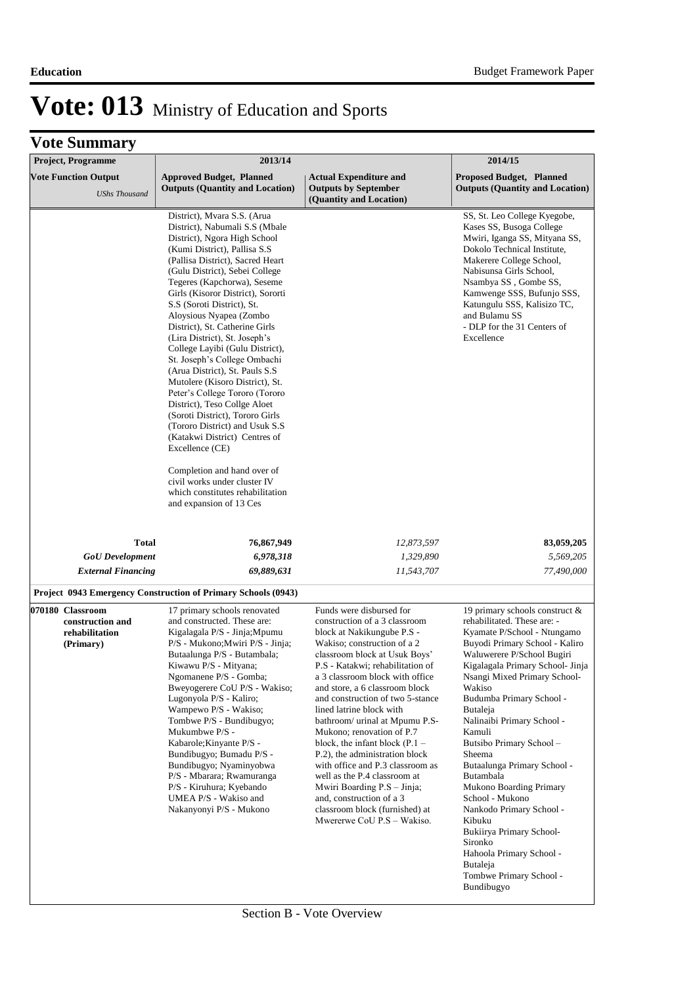| <b>Project, Programme</b>                                           | 2013/14                                                                                                                                                                                                                                                                                                                                                                                                                                                                                                                                                                                                                                                                                                                                                                                                                                                                 |                                                                                                                                                                                                                                                                                                                                                                                                                                                                                                                                                                                                                                                                      | 2014/15                                                                                                                                                                                                                                                                                                                                                                                                                                                                                                                                                                                                                        |
|---------------------------------------------------------------------|-------------------------------------------------------------------------------------------------------------------------------------------------------------------------------------------------------------------------------------------------------------------------------------------------------------------------------------------------------------------------------------------------------------------------------------------------------------------------------------------------------------------------------------------------------------------------------------------------------------------------------------------------------------------------------------------------------------------------------------------------------------------------------------------------------------------------------------------------------------------------|----------------------------------------------------------------------------------------------------------------------------------------------------------------------------------------------------------------------------------------------------------------------------------------------------------------------------------------------------------------------------------------------------------------------------------------------------------------------------------------------------------------------------------------------------------------------------------------------------------------------------------------------------------------------|--------------------------------------------------------------------------------------------------------------------------------------------------------------------------------------------------------------------------------------------------------------------------------------------------------------------------------------------------------------------------------------------------------------------------------------------------------------------------------------------------------------------------------------------------------------------------------------------------------------------------------|
| <b>Vote Function Output</b><br><b>UShs Thousand</b>                 | <b>Approved Budget, Planned</b><br><b>Outputs (Quantity and Location)</b>                                                                                                                                                                                                                                                                                                                                                                                                                                                                                                                                                                                                                                                                                                                                                                                               | <b>Actual Expenditure and</b><br><b>Outputs by September</b><br>(Quantity and Location)                                                                                                                                                                                                                                                                                                                                                                                                                                                                                                                                                                              | <b>Proposed Budget, Planned</b><br><b>Outputs (Quantity and Location)</b>                                                                                                                                                                                                                                                                                                                                                                                                                                                                                                                                                      |
|                                                                     | District), Mvara S.S. (Arua<br>District), Nabumali S.S (Mbale<br>District), Ngora High School<br>(Kumi District), Pallisa S.S.<br>(Pallisa District), Sacred Heart<br>(Gulu District), Sebei College<br>Tegeres (Kapchorwa), Seseme<br>Girls (Kisoror District), Sororti<br>S.S (Soroti District), St.<br>Aloysious Nyapea (Zombo<br>District), St. Catherine Girls<br>(Lira District), St. Joseph's<br>College Layibi (Gulu District),<br>St. Joseph's College Ombachi<br>(Arua District), St. Pauls S.S.<br>Mutolere (Kisoro District), St.<br>Peter's College Tororo (Tororo<br>District), Teso Collge Aloet<br>(Soroti District), Tororo Girls<br>(Tororo District) and Usuk S.S.<br>(Katakwi District) Centres of<br>Excellence (CE)<br>Completion and hand over of<br>civil works under cluster IV<br>which constitutes rehabilitation<br>and expansion of 13 Ces |                                                                                                                                                                                                                                                                                                                                                                                                                                                                                                                                                                                                                                                                      | SS, St. Leo College Kyegobe,<br>Kases SS, Busoga College<br>Mwiri, Iganga SS, Mityana SS,<br>Dokolo Technical Institute,<br>Makerere College School,<br>Nabisunsa Girls School,<br>Nsambya SS, Gombe SS,<br>Kamwenge SSS, Bufunjo SSS,<br>Katungulu SSS, Kalisizo TC,<br>and Bulamu SS<br>- DLP for the 31 Centers of<br>Excellence                                                                                                                                                                                                                                                                                            |
| <b>Total</b>                                                        | 76,867,949                                                                                                                                                                                                                                                                                                                                                                                                                                                                                                                                                                                                                                                                                                                                                                                                                                                              | 12,873,597                                                                                                                                                                                                                                                                                                                                                                                                                                                                                                                                                                                                                                                           | 83,059,205                                                                                                                                                                                                                                                                                                                                                                                                                                                                                                                                                                                                                     |
| <b>GoU</b> Development                                              | 6,978,318                                                                                                                                                                                                                                                                                                                                                                                                                                                                                                                                                                                                                                                                                                                                                                                                                                                               | 1,329,890                                                                                                                                                                                                                                                                                                                                                                                                                                                                                                                                                                                                                                                            | 5,569,205                                                                                                                                                                                                                                                                                                                                                                                                                                                                                                                                                                                                                      |
| <b>External Financing</b>                                           | 69,889,631                                                                                                                                                                                                                                                                                                                                                                                                                                                                                                                                                                                                                                                                                                                                                                                                                                                              | 11,543,707                                                                                                                                                                                                                                                                                                                                                                                                                                                                                                                                                                                                                                                           | 77,490,000                                                                                                                                                                                                                                                                                                                                                                                                                                                                                                                                                                                                                     |
|                                                                     | Project 0943 Emergency Construction of Primary Schools (0943)                                                                                                                                                                                                                                                                                                                                                                                                                                                                                                                                                                                                                                                                                                                                                                                                           |                                                                                                                                                                                                                                                                                                                                                                                                                                                                                                                                                                                                                                                                      |                                                                                                                                                                                                                                                                                                                                                                                                                                                                                                                                                                                                                                |
| 070180 Classroom<br>construction and<br>rehabilitation<br>(Primary) | 17 primary schools renovated<br>and constructed. These are:<br>Kigalagala P/S - Jinja;Mpumu<br>P/S - Mukono; Mwiri P/S - Jinja;<br>Butaalunga P/S - Butambala;<br>Kiwawu P/S - Mityana;<br>Ngomanene P/S - Gomba;<br>Bweyogerere CoU P/S - Wakiso;<br>Lugonyola P/S - Kaliro;<br>Wampewo P/S - Wakiso;<br>Tombwe P/S - Bundibugyo;<br>Mukumbwe P/S -<br>Kabarole; Kinyante P/S -<br>Bundibugyo; Bumadu P/S -<br>Bundibugyo; Nyaminyobwa<br>P/S - Mbarara; Rwamuranga<br>P/S - Kiruhura; Kyebando<br>UMEA P/S - Wakiso and<br>Nakanyonyi P/S - Mukono                                                                                                                                                                                                                                                                                                                    | Funds were disbursed for<br>construction of a 3 classroom<br>block at Nakikungube P.S -<br>Wakiso; construction of a 2<br>classroom block at Usuk Boys'<br>P.S - Katakwi; rehabilitation of<br>a 3 classroom block with office<br>and store, a 6 classroom block<br>and construction of two 5-stance<br>lined latrine block with<br>bathroom/ urinal at Mpumu P.S-<br>Mukono; renovation of P.7<br>block, the infant block $(P.1 -$<br>P.2), the administration block<br>with office and P.3 classroom as<br>well as the P.4 classroom at<br>Mwiri Boarding P.S – Jinja;<br>and, construction of a 3<br>classroom block (furnished) at<br>Mwererwe CoU P.S - Wakiso. | 19 primary schools construct &<br>rehabilitated. These are: -<br>Kyamate P/School - Ntungamo<br>Buyodi Primary School - Kaliro<br>Waluwerere P/School Bugiri<br>Kigalagala Primary School- Jinja<br>Nsangi Mixed Primary School-<br>Wakiso<br>Budumba Primary School -<br>Butaleja<br>Nalinaibi Primary School -<br>Kamuli<br>Butsibo Primary School-<br>Sheema<br>Butaalunga Primary School -<br>Butambala<br>Mukono Boarding Primary<br>School - Mukono<br>Nankodo Primary School -<br>Kibuku<br>Bukiirya Primary School-<br>Sironko<br>Hahoola Primary School -<br><b>Butaleja</b><br>Tombwe Primary School -<br>Bundibugyo |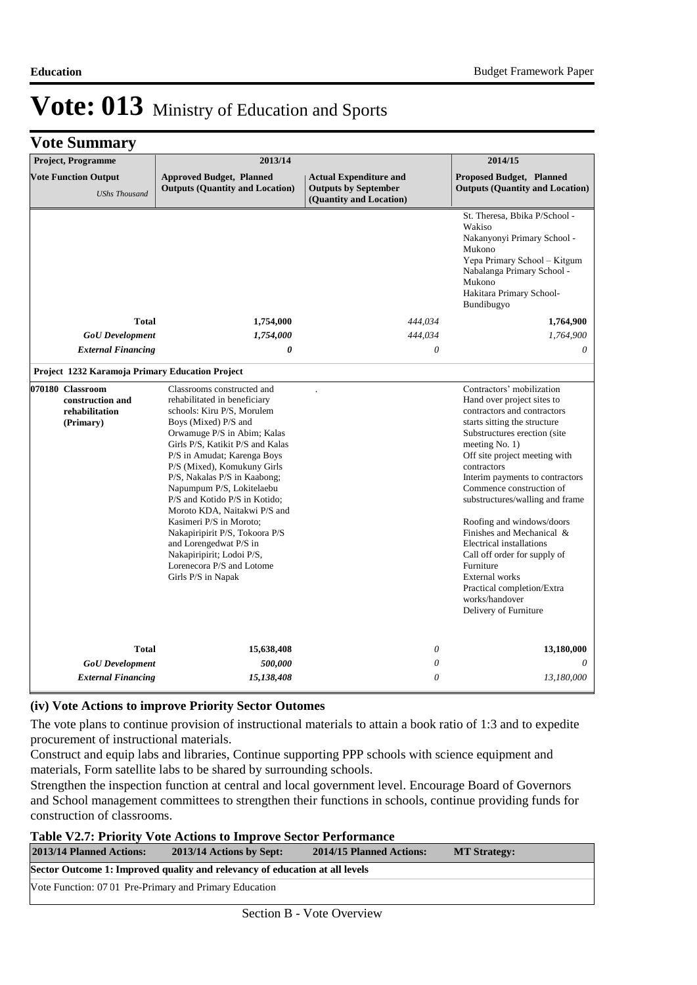### **Vote Summary**

| <b>Project, Programme</b>                                           | 2013/14                                                                                                                                                                                                                                                                                                                                                                                                                                                                                                                                                |                                                                                         | 2014/15                                                                                                                                                                                                                                                                                                                                                                                                                                                                                                                                                    |
|---------------------------------------------------------------------|--------------------------------------------------------------------------------------------------------------------------------------------------------------------------------------------------------------------------------------------------------------------------------------------------------------------------------------------------------------------------------------------------------------------------------------------------------------------------------------------------------------------------------------------------------|-----------------------------------------------------------------------------------------|------------------------------------------------------------------------------------------------------------------------------------------------------------------------------------------------------------------------------------------------------------------------------------------------------------------------------------------------------------------------------------------------------------------------------------------------------------------------------------------------------------------------------------------------------------|
| <b>Vote Function Output</b><br><b>UShs Thousand</b>                 | <b>Approved Budget, Planned</b><br><b>Outputs (Quantity and Location)</b>                                                                                                                                                                                                                                                                                                                                                                                                                                                                              | <b>Actual Expenditure and</b><br><b>Outputs by September</b><br>(Quantity and Location) | <b>Proposed Budget, Planned</b><br><b>Outputs (Quantity and Location)</b>                                                                                                                                                                                                                                                                                                                                                                                                                                                                                  |
|                                                                     |                                                                                                                                                                                                                                                                                                                                                                                                                                                                                                                                                        |                                                                                         | St. Theresa, Bbika P/School -<br>Wakiso<br>Nakanyonyi Primary School -<br>Mukono<br>Yepa Primary School - Kitgum<br>Nabalanga Primary School -<br>Mukono<br>Hakitara Primary School-<br>Bundibugyo                                                                                                                                                                                                                                                                                                                                                         |
| <b>Total</b>                                                        | 1,754,000                                                                                                                                                                                                                                                                                                                                                                                                                                                                                                                                              | 444,034                                                                                 | 1,764,900                                                                                                                                                                                                                                                                                                                                                                                                                                                                                                                                                  |
| <b>GoU</b> Development                                              | 1,754,000                                                                                                                                                                                                                                                                                                                                                                                                                                                                                                                                              | 444,034                                                                                 | 1,764,900                                                                                                                                                                                                                                                                                                                                                                                                                                                                                                                                                  |
| <b>External Financing</b>                                           | 0                                                                                                                                                                                                                                                                                                                                                                                                                                                                                                                                                      | $\theta$                                                                                | $\theta$                                                                                                                                                                                                                                                                                                                                                                                                                                                                                                                                                   |
| Project 1232 Karamoja Primary Education Project                     |                                                                                                                                                                                                                                                                                                                                                                                                                                                                                                                                                        |                                                                                         |                                                                                                                                                                                                                                                                                                                                                                                                                                                                                                                                                            |
| 070180 Classroom<br>construction and<br>rehabilitation<br>(Primary) | Classrooms constructed and<br>rehabilitated in beneficiary<br>schools: Kiru P/S, Morulem<br>Boys (Mixed) P/S and<br>Orwamuge P/S in Abim; Kalas<br>Girls P/S, Katikit P/S and Kalas<br>P/S in Amudat; Karenga Boys<br>P/S (Mixed), Komukuny Girls<br>P/S, Nakalas P/S in Kaabong;<br>Napumpum P/S, Lokitelaebu<br>P/S and Kotido P/S in Kotido;<br>Moroto KDA, Naitakwi P/S and<br>Kasimeri P/S in Moroto;<br>Nakapiripirit P/S, Tokoora P/S<br>and Lorengedwat P/S in<br>Nakapiripirit; Lodoi P/S,<br>Lorenecora P/S and Lotome<br>Girls P/S in Napak |                                                                                         | Contractors' mobilization<br>Hand over project sites to<br>contractors and contractors<br>starts sitting the structure<br>Substructures erection (site<br>meeting $No. 1)$<br>Off site project meeting with<br>contractors<br>Interim payments to contractors<br>Commence construction of<br>substructures/walling and frame<br>Roofing and windows/doors<br>Finishes and Mechanical &<br>Electrical installations<br>Call off order for supply of<br>Furniture<br>External works<br>Practical completion/Extra<br>works/handover<br>Delivery of Furniture |
| <b>Total</b>                                                        | 15,638,408                                                                                                                                                                                                                                                                                                                                                                                                                                                                                                                                             | 0                                                                                       | 13,180,000                                                                                                                                                                                                                                                                                                                                                                                                                                                                                                                                                 |
| <b>GoU</b> Development                                              | 500,000                                                                                                                                                                                                                                                                                                                                                                                                                                                                                                                                                | 0                                                                                       |                                                                                                                                                                                                                                                                                                                                                                                                                                                                                                                                                            |
| <b>External Financing</b>                                           | 15,138,408                                                                                                                                                                                                                                                                                                                                                                                                                                                                                                                                             | 0                                                                                       | 13,180,000                                                                                                                                                                                                                                                                                                                                                                                                                                                                                                                                                 |

#### **(iv) Vote Actions to improve Priority Sector Outomes**

The vote plans to continue provision of instructional materials to attain a book ratio of 1:3 and to expedite procurement of instructional materials.

Construct and equip labs and libraries, Continue supporting PPP schools with science equipment and materials, Form satellite labs to be shared by surrounding schools.

Strengthen the inspection function at central and local government level. Encourage Board of Governors and School management committees to strengthen their functions in schools, continue providing funds for construction of classrooms.

| <b>Table V2.7: Priority Vote Actions to Improve Sector Performance</b>      |                          |                          |                     |  |  |
|-----------------------------------------------------------------------------|--------------------------|--------------------------|---------------------|--|--|
| <b>2013/14 Planned Actions:</b>                                             | 2013/14 Actions by Sept: | 2014/15 Planned Actions: | <b>MT Strategy:</b> |  |  |
| Sector Outcome 1: Improved quality and relevancy of education at all levels |                          |                          |                     |  |  |
| Vote Function: 07 01 Pre-Primary and Primary Education                      |                          |                          |                     |  |  |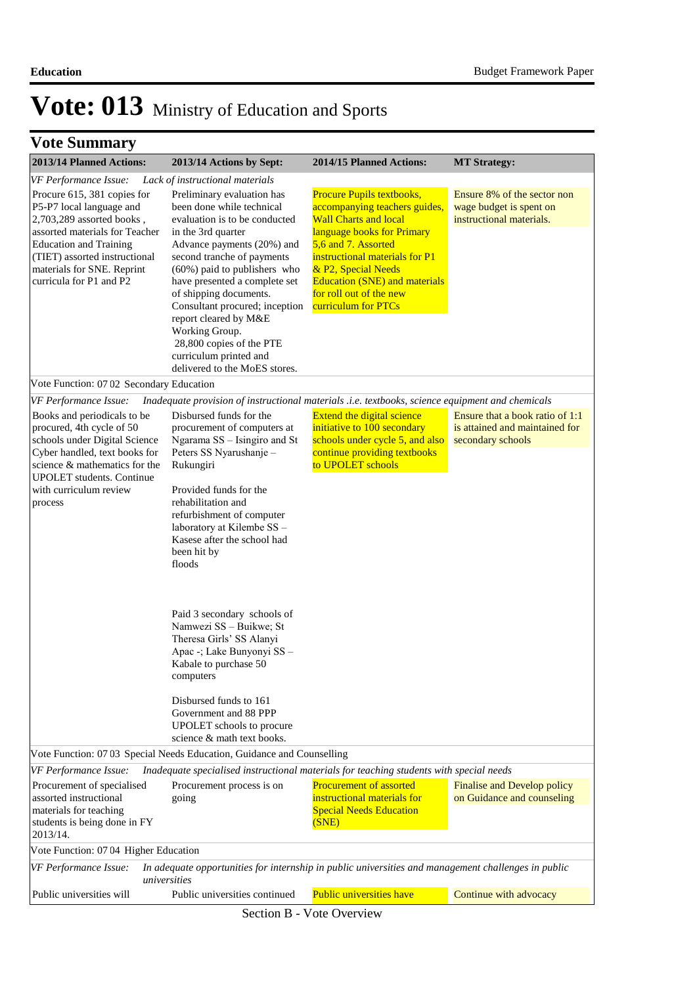|  | <b>Vote Summary</b> |  |
|--|---------------------|--|
|--|---------------------|--|

| 2013/14 Planned Actions:                                                                                                                                                                                                                          | 2013/14 Actions by Sept:                                                                                                                                                                                                                                                                                                                                                                                                                                                                                                                                                 | 2014/15 Planned Actions:                                                                                                                                                                                                                                                                           | <b>MT Strategy:</b>                                                                    |
|---------------------------------------------------------------------------------------------------------------------------------------------------------------------------------------------------------------------------------------------------|--------------------------------------------------------------------------------------------------------------------------------------------------------------------------------------------------------------------------------------------------------------------------------------------------------------------------------------------------------------------------------------------------------------------------------------------------------------------------------------------------------------------------------------------------------------------------|----------------------------------------------------------------------------------------------------------------------------------------------------------------------------------------------------------------------------------------------------------------------------------------------------|----------------------------------------------------------------------------------------|
| VF Performance Issue:                                                                                                                                                                                                                             | Lack of instructional materials                                                                                                                                                                                                                                                                                                                                                                                                                                                                                                                                          |                                                                                                                                                                                                                                                                                                    |                                                                                        |
| Procure 615, 381 copies for<br>P5-P7 local language and<br>2,703,289 assorted books,<br>assorted materials for Teacher<br><b>Education and Training</b><br>(TIET) assorted instructional<br>materials for SNE. Reprint<br>curricula for P1 and P2 | Preliminary evaluation has<br>been done while technical<br>evaluation is to be conducted<br>in the 3rd quarter<br>Advance payments (20%) and<br>second tranche of payments<br>(60%) paid to publishers who<br>have presented a complete set<br>of shipping documents.<br>Consultant procured; inception<br>report cleared by M&E<br>Working Group.<br>28,800 copies of the PTE<br>curriculum printed and<br>delivered to the MoES stores.                                                                                                                                | Procure Pupils textbooks,<br>accompanying teachers guides,<br><b>Wall Charts and local</b><br>language books for Primary<br>5,6 and 7. Assorted<br>instructional materials for P1<br>& P2, Special Needs<br><b>Education (SNE) and materials</b><br>for roll out of the new<br>curriculum for PTCs | Ensure 8% of the sector non<br>wage budget is spent on<br>instructional materials.     |
| Vote Function: 07 02 Secondary Education                                                                                                                                                                                                          |                                                                                                                                                                                                                                                                                                                                                                                                                                                                                                                                                                          |                                                                                                                                                                                                                                                                                                    |                                                                                        |
| VF Performance Issue:                                                                                                                                                                                                                             | Inadequate provision of instructional materials .i.e. textbooks, science equipment and chemicals                                                                                                                                                                                                                                                                                                                                                                                                                                                                         |                                                                                                                                                                                                                                                                                                    |                                                                                        |
| Books and periodicals to be<br>procured, 4th cycle of 50<br>schools under Digital Science<br>Cyber handled, text books for<br>science & mathematics for the<br><b>UPOLET</b> students. Continue<br>with curriculum review<br>process              | Disbursed funds for the<br>procurement of computers at<br>Ngarama SS - Isingiro and St<br>Peters SS Nyarushanje -<br>Rukungiri<br>Provided funds for the<br>rehabilitation and<br>refurbishment of computer<br>laboratory at Kilembe SS-<br>Kasese after the school had<br>been hit by<br>floods<br>Paid 3 secondary schools of<br>Namwezi SS - Buikwe; St<br>Theresa Girls' SS Alanyi<br>Apac -; Lake Bunyonyi SS -<br>Kabale to purchase 50<br>computers<br>Disbursed funds to 161<br>Government and 88 PPP<br>UPOLET schools to procure<br>science & math text books. | <b>Extend the digital science</b><br>initiative to 100 secondary<br>schools under cycle 5, and also<br>continue providing textbooks<br>to UPOLET schools                                                                                                                                           | Ensure that a book ratio of 1:1<br>is attained and maintained for<br>secondary schools |
|                                                                                                                                                                                                                                                   | Vote Function: 07 03 Special Needs Education, Guidance and Counselling                                                                                                                                                                                                                                                                                                                                                                                                                                                                                                   |                                                                                                                                                                                                                                                                                                    |                                                                                        |
| VF Performance Issue:                                                                                                                                                                                                                             | Inadequate specialised instructional materials for teaching students with special needs                                                                                                                                                                                                                                                                                                                                                                                                                                                                                  |                                                                                                                                                                                                                                                                                                    |                                                                                        |
| Procurement of specialised<br>assorted instructional<br>materials for teaching<br>students is being done in FY<br>2013/14.                                                                                                                        | Procurement process is on<br>going                                                                                                                                                                                                                                                                                                                                                                                                                                                                                                                                       | Procurement of assorted<br>instructional materials for<br><b>Special Needs Education</b><br>(SNE)                                                                                                                                                                                                  | Finalise and Develop policy<br>on Guidance and counseling                              |
| Vote Function: 07 04 Higher Education                                                                                                                                                                                                             |                                                                                                                                                                                                                                                                                                                                                                                                                                                                                                                                                                          |                                                                                                                                                                                                                                                                                                    |                                                                                        |
| VF Performance Issue:                                                                                                                                                                                                                             | In adequate opportunities for internship in public universities and management challenges in public<br>universities                                                                                                                                                                                                                                                                                                                                                                                                                                                      |                                                                                                                                                                                                                                                                                                    |                                                                                        |
| Public universities will                                                                                                                                                                                                                          | Public universities continued                                                                                                                                                                                                                                                                                                                                                                                                                                                                                                                                            | Public universities have                                                                                                                                                                                                                                                                           | Continue with advocacy                                                                 |

Section B - Vote Overview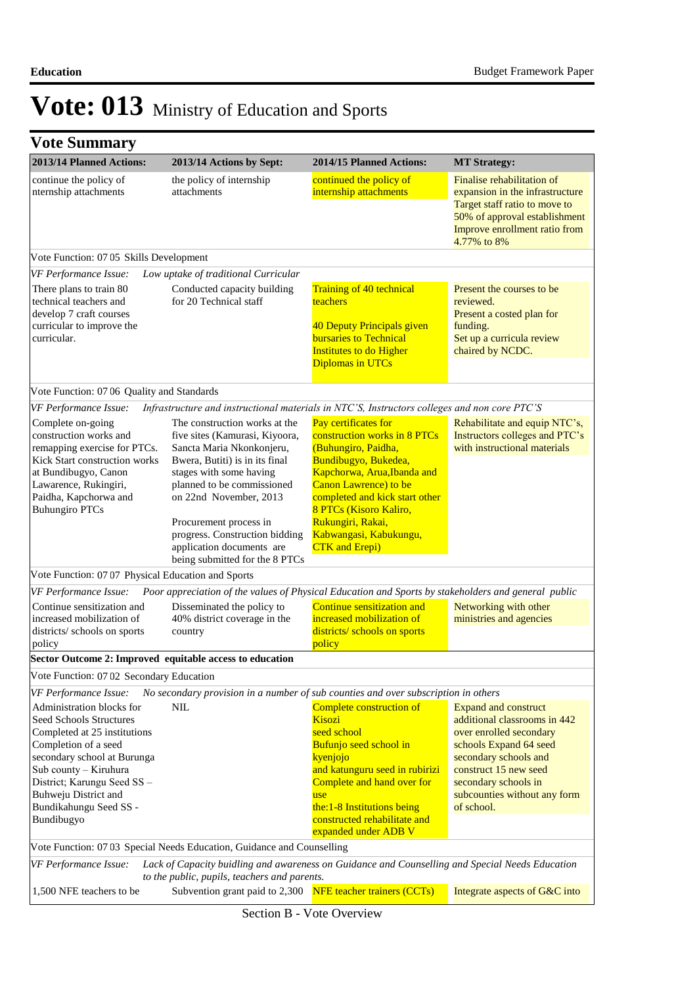| 2013/14 Planned Actions:                                                                                                             | 2013/14 Actions by Sept:                                                                                                                                  | 2014/15 Planned Actions:                                                                                                                                  | <b>MT Strategy:</b>                                                                                                                                                             |
|--------------------------------------------------------------------------------------------------------------------------------------|-----------------------------------------------------------------------------------------------------------------------------------------------------------|-----------------------------------------------------------------------------------------------------------------------------------------------------------|---------------------------------------------------------------------------------------------------------------------------------------------------------------------------------|
| continue the policy of<br>nternship attachments                                                                                      | the policy of internship<br>attachments                                                                                                                   | continued the policy of<br>internship attachments                                                                                                         | Finalise rehabilitation of<br>expansion in the infrastructure<br>Target staff ratio to move to<br>50% of approval establishment<br>Improve enrollment ratio from<br>4.77% to 8% |
| Vote Function: 07 05 Skills Development                                                                                              |                                                                                                                                                           |                                                                                                                                                           |                                                                                                                                                                                 |
| VF Performance Issue:                                                                                                                | Low uptake of traditional Curricular                                                                                                                      |                                                                                                                                                           |                                                                                                                                                                                 |
| There plans to train 80<br>technical teachers and<br>develop 7 craft courses<br>curricular to improve the<br>curricular.             | Conducted capacity building<br>for 20 Technical staff                                                                                                     | Training of 40 technical<br>teachers<br>40 Deputy Principals given<br><b>bursaries to Technical</b><br><b>Institutes to do Higher</b><br>Diplomas in UTCs | Present the courses to be<br>reviewed.<br>Present a costed plan for<br>funding.<br>Set up a curricula review<br>chaired by NCDC.                                                |
| Vote Function: 07 06 Quality and Standards                                                                                           |                                                                                                                                                           |                                                                                                                                                           |                                                                                                                                                                                 |
| VF Performance Issue:                                                                                                                | Infrastructure and instructional materials in NTC'S, Instructors colleges and non core PTC'S                                                              |                                                                                                                                                           |                                                                                                                                                                                 |
| Complete on-going<br>construction works and<br>remapping exercise for PTCs.<br>Kick Start construction works<br>at Bundibugyo, Canon | The construction works at the<br>five sites (Kamurasi, Kiyoora,<br>Sancta Maria Nkonkonjeru,<br>Bwera, Butiti) is in its final<br>stages with some having | Pay certificates for<br>construction works in 8 PTCs<br>(Buhungiro, Paidha,<br>Bundibugyo, Bukedea,<br>Kapchorwa, Arua, Ibanda and                        | Rehabilitate and equip NTC's,<br>Instructors colleges and PTC's<br>with instructional materials                                                                                 |
| Lawarence, Rukingiri,<br>Paidha, Kapchorwa and<br><b>Buhungiro PTCs</b>                                                              | planned to be commissioned<br>on 22nd November, 2013                                                                                                      | Canon Lawrence) to be<br>completed and kick start other<br>8 PTCs (Kisoro Kaliro,                                                                         |                                                                                                                                                                                 |
|                                                                                                                                      | Procurement process in<br>progress. Construction bidding<br>application documents are<br>being submitted for the 8 PTCs                                   | Rukungiri, Rakai,<br>Kabwangasi, Kabukungu,<br><b>CTK</b> and Erepi)                                                                                      |                                                                                                                                                                                 |
| Vote Function: 07 07 Physical Education and Sports                                                                                   |                                                                                                                                                           |                                                                                                                                                           |                                                                                                                                                                                 |
| VF Performance Issue:                                                                                                                | Poor appreciation of the values of Physical Education and Sports by stakeholders and general public                                                       |                                                                                                                                                           |                                                                                                                                                                                 |
| Continue sensitization and<br>increased mobilization of                                                                              | Disseminated the policy to<br>40% district coverage in the                                                                                                | Continue sensitization and<br>increased mobilization of                                                                                                   | Networking with other<br>ministries and agencies                                                                                                                                |
| districts/ schools on sports<br>policy                                                                                               | country                                                                                                                                                   | districts/ schools on sports<br>policy                                                                                                                    |                                                                                                                                                                                 |
| Sector Outcome 2: Improved equitable access to education                                                                             |                                                                                                                                                           |                                                                                                                                                           |                                                                                                                                                                                 |
| Vote Function: 07 02 Secondary Education                                                                                             |                                                                                                                                                           |                                                                                                                                                           |                                                                                                                                                                                 |
| VF Performance Issue:                                                                                                                | No secondary provision in a number of sub counties and over subscription in others                                                                        |                                                                                                                                                           |                                                                                                                                                                                 |
| Administration blocks for                                                                                                            | <b>NIL</b>                                                                                                                                                | Complete construction of                                                                                                                                  | <b>Expand and construct</b>                                                                                                                                                     |
| Seed Schools Structures<br>Completed at 25 institutions                                                                              |                                                                                                                                                           | <b>Kisozi</b><br>seed school                                                                                                                              | additional classrooms in 442<br>over enrolled secondary                                                                                                                         |
| Completion of a seed<br>secondary school at Burunga                                                                                  |                                                                                                                                                           | Bufunjo seed school in<br>kyenjojo                                                                                                                        | schools Expand 64 seed<br>secondary schools and                                                                                                                                 |
| Sub county - Kiruhura                                                                                                                |                                                                                                                                                           | and katunguru seed in rubirizi                                                                                                                            | construct 15 new seed                                                                                                                                                           |
| District; Karungu Seed SS-                                                                                                           |                                                                                                                                                           | Complete and hand over for                                                                                                                                | secondary schools in                                                                                                                                                            |
| Buhweju District and                                                                                                                 |                                                                                                                                                           | use                                                                                                                                                       | subcounties without any form                                                                                                                                                    |
| Bundikahungu Seed SS -<br>Bundibugyo                                                                                                 |                                                                                                                                                           | the: 1-8 Institutions being<br>constructed rehabilitate and                                                                                               | of school.                                                                                                                                                                      |
|                                                                                                                                      |                                                                                                                                                           | expanded under ADB V                                                                                                                                      |                                                                                                                                                                                 |
|                                                                                                                                      | Vote Function: 07 03 Special Needs Education, Guidance and Counselling                                                                                    |                                                                                                                                                           |                                                                                                                                                                                 |
| VF Performance Issue:                                                                                                                | Lack of Capacity buidling and awareness on Guidance and Counselling and Special Needs Education                                                           |                                                                                                                                                           |                                                                                                                                                                                 |
|                                                                                                                                      | to the public, pupils, teachers and parents.                                                                                                              |                                                                                                                                                           |                                                                                                                                                                                 |
| 1,500 NFE teachers to be                                                                                                             | Subvention grant paid to 2,300                                                                                                                            | <b>NFE</b> teacher trainers (CCTs)                                                                                                                        | Integrate aspects of G&C into                                                                                                                                                   |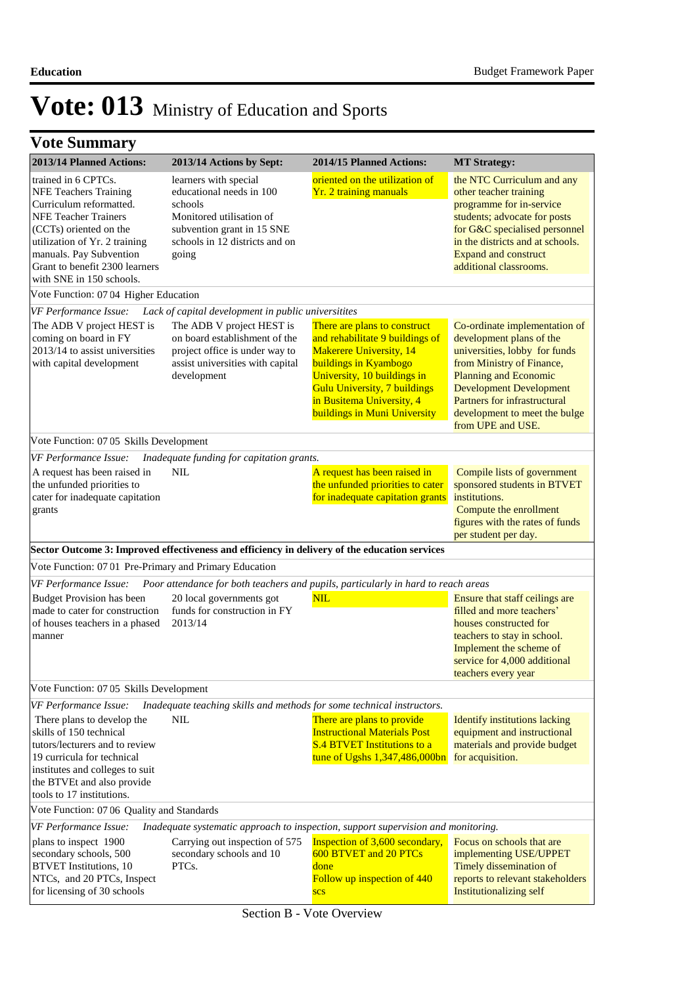|  | <b>Vote Summary</b> |  |
|--|---------------------|--|
|--|---------------------|--|

| 2013/14 Planned Actions:                                                                                                                                                                                                                                          | 2013/14 Actions by Sept:                                                                                                                                          | 2014/15 Planned Actions:                                                                                                                                                                                                                                      | <b>MT Strategy:</b>                                                                                                                                                                                                                                                             |  |
|-------------------------------------------------------------------------------------------------------------------------------------------------------------------------------------------------------------------------------------------------------------------|-------------------------------------------------------------------------------------------------------------------------------------------------------------------|---------------------------------------------------------------------------------------------------------------------------------------------------------------------------------------------------------------------------------------------------------------|---------------------------------------------------------------------------------------------------------------------------------------------------------------------------------------------------------------------------------------------------------------------------------|--|
| trained in 6 CPTCs.<br><b>NFE Teachers Training</b><br>Curriculum reformatted.<br><b>NFE Teacher Trainers</b><br>(CCTs) oriented on the<br>utilization of Yr. 2 training<br>manuals. Pay Subvention<br>Grant to benefit 2300 learners<br>with SNE in 150 schools. | learners with special<br>educational needs in 100<br>schools<br>Monitored utilisation of<br>subvention grant in 15 SNE<br>schools in 12 districts and on<br>going | oriented on the utilization of<br>Yr. 2 training manuals                                                                                                                                                                                                      | the NTC Curriculum and any<br>other teacher training<br>programme for in-service<br>students; advocate for posts<br>for G&C specialised personnel<br>in the districts and at schools.<br><b>Expand and construct</b><br>additional classrooms.                                  |  |
| Vote Function: 07 04 Higher Education                                                                                                                                                                                                                             |                                                                                                                                                                   |                                                                                                                                                                                                                                                               |                                                                                                                                                                                                                                                                                 |  |
| VF Performance Issue:                                                                                                                                                                                                                                             | Lack of capital development in public universitites                                                                                                               |                                                                                                                                                                                                                                                               |                                                                                                                                                                                                                                                                                 |  |
| The ADB V project HEST is<br>coming on board in FY<br>2013/14 to assist universities<br>with capital development                                                                                                                                                  | The ADB V project HEST is<br>on board establishment of the<br>project office is under way to<br>assist universities with capital<br>development                   | There are plans to construct<br>and rehabilitate 9 buildings of<br>Makerere University, 14<br>buildings in Kyambogo<br>University, 10 buildings in<br><b>Gulu University, 7 buildings</b><br>in Busitema University, 4<br><b>buildings in Muni University</b> | Co-ordinate implementation of<br>development plans of the<br>universities, lobby for funds<br>from Ministry of Finance,<br><b>Planning and Economic</b><br><b>Development Development</b><br>Partners for infrastructural<br>development to meet the bulge<br>from UPE and USE. |  |
| Vote Function: 07 05 Skills Development                                                                                                                                                                                                                           |                                                                                                                                                                   |                                                                                                                                                                                                                                                               |                                                                                                                                                                                                                                                                                 |  |
| VF Performance Issue:<br>A request has been raised in<br>the unfunded priorities to<br>cater for inadequate capitation<br>grants                                                                                                                                  | Inadequate funding for capitation grants.<br><b>NIL</b>                                                                                                           | A request has been raised in<br>the unfunded priorities to cater<br>for inadequate capitation grants                                                                                                                                                          | Compile lists of government<br>sponsored students in BTVET<br>institutions.<br>Compute the enrollment<br>figures with the rates of funds<br>per student per day.                                                                                                                |  |
|                                                                                                                                                                                                                                                                   | Sector Outcome 3: Improved effectiveness and efficiency in delivery of the education services                                                                     |                                                                                                                                                                                                                                                               |                                                                                                                                                                                                                                                                                 |  |
| Vote Function: 07 01 Pre-Primary and Primary Education                                                                                                                                                                                                            |                                                                                                                                                                   |                                                                                                                                                                                                                                                               |                                                                                                                                                                                                                                                                                 |  |
| VF Performance Issue:                                                                                                                                                                                                                                             |                                                                                                                                                                   | Poor attendance for both teachers and pupils, particularly in hard to reach areas                                                                                                                                                                             |                                                                                                                                                                                                                                                                                 |  |
| <b>Budget Provision has been</b><br>made to cater for construction<br>of houses teachers in a phased<br>manner                                                                                                                                                    | 20 local governments got<br>funds for construction in FY<br>2013/14                                                                                               | <b>NIL</b>                                                                                                                                                                                                                                                    | Ensure that staff ceilings are<br>filled and more teachers'<br>houses constructed for<br>teachers to stay in school.<br>Implement the scheme of<br>service for 4,000 additional<br>teachers every year                                                                          |  |
| Vote Function: 07 05 Skills Development                                                                                                                                                                                                                           |                                                                                                                                                                   |                                                                                                                                                                                                                                                               |                                                                                                                                                                                                                                                                                 |  |
| Inadequate teaching skills and methods for some technical instructors.<br>VF Performance Issue:                                                                                                                                                                   |                                                                                                                                                                   |                                                                                                                                                                                                                                                               |                                                                                                                                                                                                                                                                                 |  |
| There plans to develop the<br>skills of 150 technical<br>tutors/lecturers and to review<br>19 curricula for technical                                                                                                                                             | <b>NIL</b>                                                                                                                                                        | There are plans to provide<br><b>Instructional Materials Post</b><br><b>S.4 BTVET Institutions to a</b><br>tune of Ugshs $1,347,486,000$ bn                                                                                                                   | Identify institutions lacking<br>equipment and instructional<br>materials and provide budget<br>for acquisition.                                                                                                                                                                |  |
| institutes and colleges to suit<br>the BTVEt and also provide<br>tools to 17 institutions.<br>Vote Function: 07 06 Quality and Standards                                                                                                                          |                                                                                                                                                                   |                                                                                                                                                                                                                                                               |                                                                                                                                                                                                                                                                                 |  |
| VF Performance Issue:                                                                                                                                                                                                                                             |                                                                                                                                                                   | Inadequate systematic approach to inspection, support supervision and monitoring.                                                                                                                                                                             |                                                                                                                                                                                                                                                                                 |  |
| plans to inspect 1900<br>secondary schools, 500<br><b>BTVET</b> Institutions, 10<br>NTCs, and 20 PTCs, Inspect<br>for licensing of 30 schools                                                                                                                     | Carrying out inspection of 575<br>secondary schools and 10<br>PTCs.                                                                                               | Inspection of 3,600 secondary,<br>600 BTVET and 20 PTCs<br>done<br>Follow up inspection of 440<br><b>SCS</b>                                                                                                                                                  | Focus on schools that are<br>implementing USE/UPPET<br>Timely dissemination of<br>reports to relevant stakeholders<br><b>Institutionalizing self</b>                                                                                                                            |  |

Section B - Vote Overview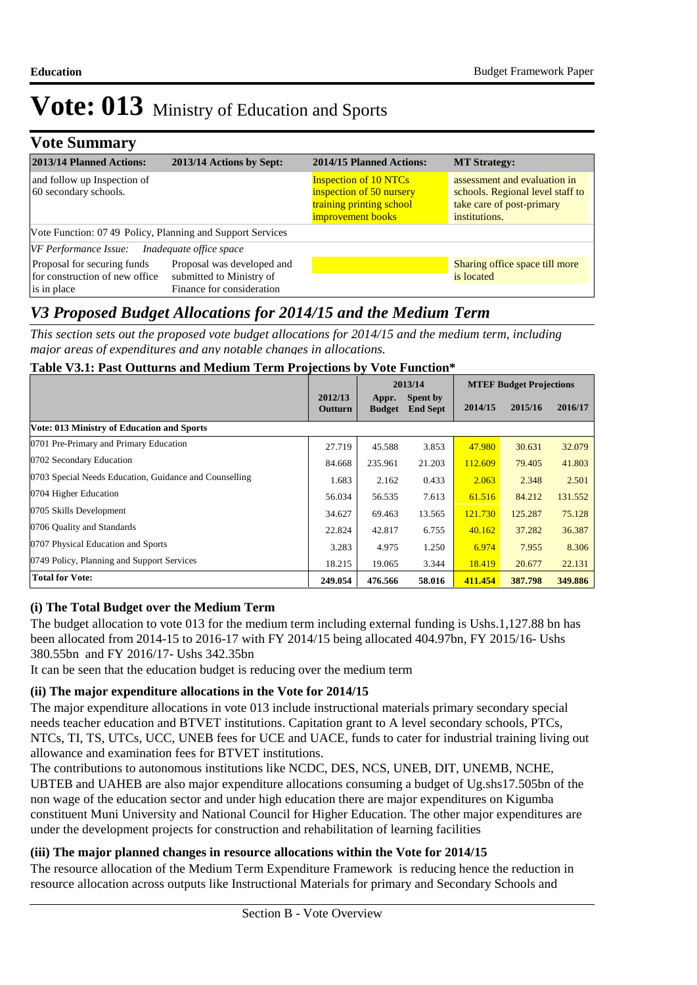### **Vote Summary**

| 2013/14 Planned Actions:                                                     | 2013/14 Actions by Sept:                                                            | 2014/15 Planned Actions:                                                                                  | <b>MT Strategy:</b>                                                                                            |
|------------------------------------------------------------------------------|-------------------------------------------------------------------------------------|-----------------------------------------------------------------------------------------------------------|----------------------------------------------------------------------------------------------------------------|
| and follow up Inspection of<br>60 secondary schools.                         |                                                                                     | <b>Inspection of 10 NTCs</b><br>inspection of 50 nursery<br>training printing school<br>improvement books | assessment and evaluation in<br>schools. Regional level staff to<br>take care of post-primary<br>institutions. |
| Vote Function: 07 49 Policy, Planning and Support Services                   |                                                                                     |                                                                                                           |                                                                                                                |
| VF Performance Issue: Inadequate office space                                |                                                                                     |                                                                                                           |                                                                                                                |
| Proposal for securing funds<br>for construction of new office<br>is in place | Proposal was developed and<br>submitted to Ministry of<br>Finance for consideration |                                                                                                           | Sharing office space till more<br>is located                                                                   |

### *V3 Proposed Budget Allocations for 2014/15 and the Medium Term*

*This section sets out the proposed vote budget allocations for 2014/15 and the medium term, including major areas of expenditures and any notable changes in allocations.* 

#### **Table V3.1: Past Outturns and Medium Term Projections by Vote Function\***

|                                                        |                    |                        | 2013/14                     | <b>MTEF Budget Projections</b> |         |         |
|--------------------------------------------------------|--------------------|------------------------|-----------------------------|--------------------------------|---------|---------|
|                                                        | 2012/13<br>Outturn | Appr.<br><b>Budget</b> | Spent by<br><b>End Sept</b> | 2014/15                        | 2015/16 | 2016/17 |
| <b>Vote: 013 Ministry of Education and Sports</b>      |                    |                        |                             |                                |         |         |
| 0701 Pre-Primary and Primary Education                 | 27.719             | 45.588                 | 3.853                       | 47.980                         | 30.631  | 32.079  |
| 0702 Secondary Education                               | 84.668             | 235.961                | 21.203                      | 112.609                        | 79.405  | 41.803  |
| 0703 Special Needs Education, Guidance and Counselling | 1.683              | 2.162                  | 0.433                       | 2.063                          | 2.348   | 2.501   |
| 0704 Higher Education                                  | 56.034             | 56.535                 | 7.613                       | 61.516                         | 84.212  | 131.552 |
| 0705 Skills Development                                | 34.627             | 69.463                 | 13.565                      | 121.730                        | 125.287 | 75.128  |
| 0706 Quality and Standards                             | 22.824             | 42.817                 | 6.755                       | 40.162                         | 37.282  | 36.387  |
| 0707 Physical Education and Sports                     | 3.283              | 4.975                  | 1.250                       | 6.974                          | 7.955   | 8.306   |
| 0749 Policy, Planning and Support Services             | 18.215             | 19.065                 | 3.344                       | 18.419                         | 20.677  | 22.131  |
| <b>Total for Vote:</b>                                 | 249.054            | 476.566                | 58.016                      | 411.454                        | 387.798 | 349.886 |

### **(i) The Total Budget over the Medium Term**

The budget allocation to vote 013 for the medium term including external funding is Ushs.1,127.88 bn has been allocated from 2014-15 to 2016-17 with FY 2014/15 being allocated 404.97bn, FY 2015/16- Ushs 380.55bn and FY 2016/17- Ushs 342.35bn

It can be seen that the education budget is reducing over the medium term

### **(ii) The major expenditure allocations in the Vote for 2014/15**

The major expenditure allocations in vote 013 include instructional materials primary secondary special needs teacher education and BTVET institutions. Capitation grant to A level secondary schools, PTCs, NTCs, TI, TS, UTCs, UCC, UNEB fees for UCE and UACE, funds to cater for industrial training living out allowance and examination fees for BTVET institutions.

The contributions to autonomous institutions like NCDC, DES, NCS, UNEB, DIT, UNEMB, NCHE, UBTEB and UAHEB are also major expenditure allocations consuming a budget of Ug.shs17.505bn of the non wage of the education sector and under high education there are major expenditures on Kigumba constituent Muni University and National Council for Higher Education. The other major expenditures are under the development projects for construction and rehabilitation of learning facilities

### **(iii) The major planned changes in resource allocations within the Vote for 2014/15**

The resource allocation of the Medium Term Expenditure Framework is reducing hence the reduction in resource allocation across outputs like Instructional Materials for primary and Secondary Schools and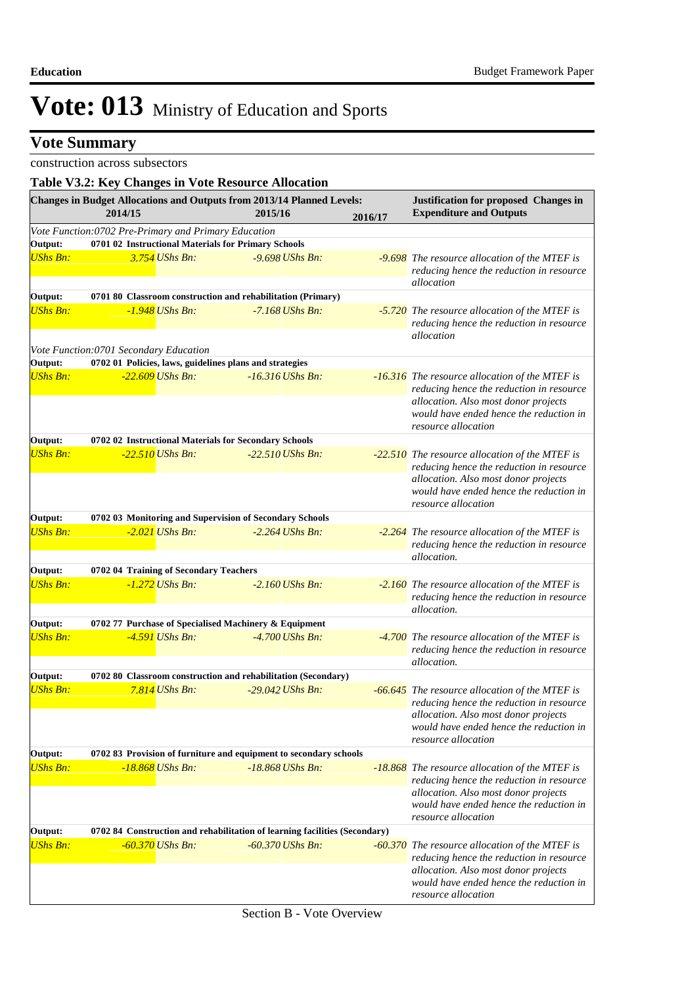### **Vote Summary**

### construction across subsectors

| Table V3.2: Key Changes in Vote Resource Allocation |                                                      |                        |                                                                                   |         |                                                                                                                                                                                                      |
|-----------------------------------------------------|------------------------------------------------------|------------------------|-----------------------------------------------------------------------------------|---------|------------------------------------------------------------------------------------------------------------------------------------------------------------------------------------------------------|
|                                                     | 2014/15                                              |                        | Changes in Budget Allocations and Outputs from 2013/14 Planned Levels:<br>2015/16 | 2016/17 | <b>Justification for proposed Changes in</b><br><b>Expenditure and Outputs</b>                                                                                                                       |
|                                                     | Vote Function:0702 Pre-Primary and Primary Education |                        |                                                                                   |         |                                                                                                                                                                                                      |
| Output:                                             |                                                      |                        | 0701 02 Instructional Materials for Primary Schools                               |         |                                                                                                                                                                                                      |
| <b>UShs Bn:</b>                                     |                                                      | 3.754 UShs Bn:         | $-9.698$ UShs Bn:                                                                 |         | -9.698 The resource allocation of the MTEF is<br>reducing hence the reduction in resource<br>allocation                                                                                              |
| Output:                                             |                                                      |                        | 0701 80 Classroom construction and rehabilitation (Primary)                       |         |                                                                                                                                                                                                      |
| <b>UShs Bn:</b>                                     |                                                      | $-1.948$ UShs Bn:      | $-7.168$ UShs Bn:                                                                 |         | -5.720 The resource allocation of the MTEF is<br>reducing hence the reduction in resource<br>allocation                                                                                              |
|                                                     | Vote Function:0701 Secondary Education               |                        |                                                                                   |         |                                                                                                                                                                                                      |
| Output:                                             |                                                      |                        | 0702 01 Policies, laws, guidelines plans and strategies                           |         |                                                                                                                                                                                                      |
| <b>UShs Bn:</b>                                     |                                                      | $-22.609$ UShs Bn:     | $-16.316$ UShs Bn:                                                                |         | -16.316 The resource allocation of the MTEF is<br>reducing hence the reduction in resource<br>allocation. Also most donor projects<br>would have ended hence the reduction in<br>resource allocation |
| Output:                                             |                                                      |                        | 0702 02 Instructional Materials for Secondary Schools                             |         |                                                                                                                                                                                                      |
| <b>UShs Bn:</b>                                     |                                                      | $-22.510$ UShs Bn:     | $-22.510$ UShs Bn:                                                                |         | -22.510 The resource allocation of the MTEF is<br>reducing hence the reduction in resource<br>allocation. Also most donor projects<br>would have ended hence the reduction in<br>resource allocation |
| Output:                                             |                                                      |                        | 0702 03 Monitoring and Supervision of Secondary Schools                           |         |                                                                                                                                                                                                      |
| <b>UShs Bn:</b>                                     |                                                      | -2.021 UShs Bn:        | $-2.264$ UShs Bn:                                                                 |         | -2.264 The resource allocation of the MTEF is<br>reducing hence the reduction in resource<br>allocation.                                                                                             |
| Output:                                             | 0702 04 Training of Secondary Teachers               |                        |                                                                                   |         |                                                                                                                                                                                                      |
| <b>UShs Bn:</b>                                     |                                                      | -1.272 <i>UShs Bn:</i> | $-2.160$ UShs Bn:                                                                 |         | -2.160 The resource allocation of the MTEF is<br>reducing hence the reduction in resource<br>allocation.                                                                                             |
| Output:                                             |                                                      |                        | 0702 77 Purchase of Specialised Machinery & Equipment                             |         |                                                                                                                                                                                                      |
| <b>UShs Bn:</b>                                     |                                                      | -4.591 <i>UShs Bn:</i> | $-4.700$ UShs Bn:                                                                 |         | -4.700 The resource allocation of the MTEF is<br>reducing hence the reduction in resource<br>allocation.                                                                                             |
| Output:                                             |                                                      |                        | 0702 80 Classroom construction and rehabilitation (Secondary)                     |         |                                                                                                                                                                                                      |
| <b>UShs Bn:</b>                                     |                                                      | $7.814$ UShs Bn:       | $-29.042$ UShs Bn:                                                                |         | -66.645 The resource allocation of the MTEF is<br>reducing hence the reduction in resource<br>allocation. Also most donor projects<br>would have ended hence the reduction in                        |
|                                                     |                                                      |                        |                                                                                   |         | resource allocation                                                                                                                                                                                  |
| Output:                                             |                                                      |                        | 0702 83 Provision of furniture and equipment to secondary schools                 |         |                                                                                                                                                                                                      |
| <b>UShs Bn:</b>                                     |                                                      | -18.868 UShs Bn:       | $-18.868$ UShs Bn:                                                                |         | -18.868 The resource allocation of the MTEF is<br>reducing hence the reduction in resource<br>allocation. Also most donor projects<br>would have ended hence the reduction in<br>resource allocation |
| Output:                                             |                                                      |                        | 0702 84 Construction and rehabilitation of learning facilities (Secondary)        |         |                                                                                                                                                                                                      |
| <b>UShs Bn:</b>                                     |                                                      | $-60.370$ UShs Bn:     | $-60.370$ UShs Bn:                                                                |         | -60.370 The resource allocation of the MTEF is<br>reducing hence the reduction in resource<br>allocation. Also most donor projects<br>would have ended hence the reduction in<br>resource allocation |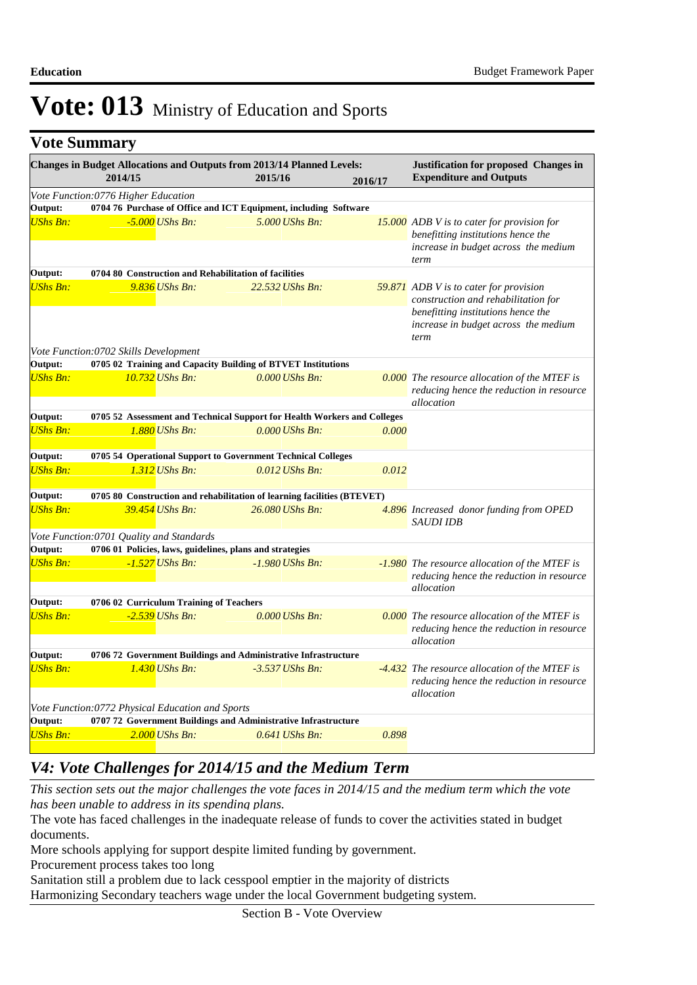### **Vote Summary**

|                                                  | Changes in Budget Allocations and Outputs from 2013/14 Planned Levels:<br>2014/15 | 2015/16           | 2016/17 | <b>Justification for proposed Changes in</b><br><b>Expenditure and Outputs</b>                                                                                             |
|--------------------------------------------------|-----------------------------------------------------------------------------------|-------------------|---------|----------------------------------------------------------------------------------------------------------------------------------------------------------------------------|
|                                                  | Vote Function:0776 Higher Education                                               |                   |         |                                                                                                                                                                            |
| Output:                                          | 0704 76 Purchase of Office and ICT Equipment, including Software                  |                   |         |                                                                                                                                                                            |
| <b>UShs Bn:</b>                                  | $-5.000$ UShs Bn:                                                                 | 5.000 UShs Bn:    |         | <b>15.000</b> ADB V is to cater for provision for<br>benefitting institutions hence the<br>increase in budget across the medium                                            |
|                                                  |                                                                                   |                   |         | term                                                                                                                                                                       |
| Output:                                          | 0704 80 Construction and Rehabilitation of facilities                             |                   |         |                                                                                                                                                                            |
| <b>UShs Bn:</b>                                  | $9.836$ UShs Bn:                                                                  | 22.532 UShs Bn:   |         | <b>59.871</b> ADB V is to cater for provision<br>construction and rehabilitation for<br>benefitting institutions hence the<br>increase in budget across the medium<br>term |
|                                                  | Vote Function:0702 Skills Development                                             |                   |         |                                                                                                                                                                            |
| Output:                                          | 0705 02 Training and Capacity Building of BTVET Institutions                      |                   |         |                                                                                                                                                                            |
| <b>UShs Bn:</b>                                  | 10.732 UShs Bn:                                                                   | $0.000$ UShs Bn:  |         | 0.000 The resource allocation of the MTEF is<br>reducing hence the reduction in resource<br>allocation                                                                     |
| Output:                                          | 0705 52 Assessment and Technical Support for Health Workers and Colleges          |                   |         |                                                                                                                                                                            |
| <b>UShs Bn:</b>                                  | 1.880 UShs Bn:                                                                    | $0.000$ UShs Bn:  | 0.000   |                                                                                                                                                                            |
| Output:                                          | 0705 54 Operational Support to Government Technical Colleges                      |                   |         |                                                                                                                                                                            |
| <b>UShs Bn:</b>                                  | 1.312 <i>UShs Bn:</i>                                                             | $0.012$ UShs Bn:  | 0.012   |                                                                                                                                                                            |
| Output:                                          | 0705 80 Construction and rehabilitation of learning facilities (BTEVET)           |                   |         |                                                                                                                                                                            |
| <b>UShs Bn:</b>                                  | 39.454 UShs Bn:                                                                   | 26.080 UShs Bn:   |         | 4.896 Increased donor funding from OPED<br><b>SAUDI IDB</b>                                                                                                                |
|                                                  | Vote Function:0701 Quality and Standards                                          |                   |         |                                                                                                                                                                            |
| Output:                                          | 0706 01 Policies, laws, guidelines, plans and strategies                          |                   |         |                                                                                                                                                                            |
| <b>UShs Bn:</b>                                  | $-1.527$ UShs Bn:                                                                 | $-1.980$ UShs Bn: |         | -1.980 The resource allocation of the MTEF is<br>reducing hence the reduction in resource<br>allocation                                                                    |
| Output:                                          | 0706 02 Curriculum Training of Teachers                                           |                   |         |                                                                                                                                                                            |
| <b>UShs Bn:</b>                                  | $-2.539$ UShs Bn:                                                                 | $0.000$ UShs Bn:  |         | 0.000 The resource allocation of the MTEF is<br>reducing hence the reduction in resource<br>allocation                                                                     |
| Output:                                          | 0706 72 Government Buildings and Administrative Infrastructure                    |                   |         |                                                                                                                                                                            |
| <b>UShs Bn:</b>                                  | 1.430 UShs Bn:                                                                    | $-3.537$ UShs Bn: |         | -4.432 The resource allocation of the MTEF is<br>reducing hence the reduction in resource                                                                                  |
|                                                  |                                                                                   |                   |         | allocation                                                                                                                                                                 |
| Vote Function:0772 Physical Education and Sports |                                                                                   |                   |         |                                                                                                                                                                            |
| Output:                                          | 0707 72 Government Buildings and Administrative Infrastructure                    |                   |         |                                                                                                                                                                            |
| <b>UShs Bn:</b>                                  | $2.000$ UShs Bn:                                                                  | $0.641$ UShs Bn:  | 0.898   |                                                                                                                                                                            |

### *V4: Vote Challenges for 2014/15 and the Medium Term*

*This section sets out the major challenges the vote faces in 2014/15 and the medium term which the vote has been unable to address in its spending plans.*

The vote has faced challenges in the inadequate release of funds to cover the activities stated in budget documents.

More schools applying for support despite limited funding by government.

Procurement process takes too long

Sanitation still a problem due to lack cesspool emptier in the majority of districts

Harmonizing Secondary teachers wage under the local Government budgeting system.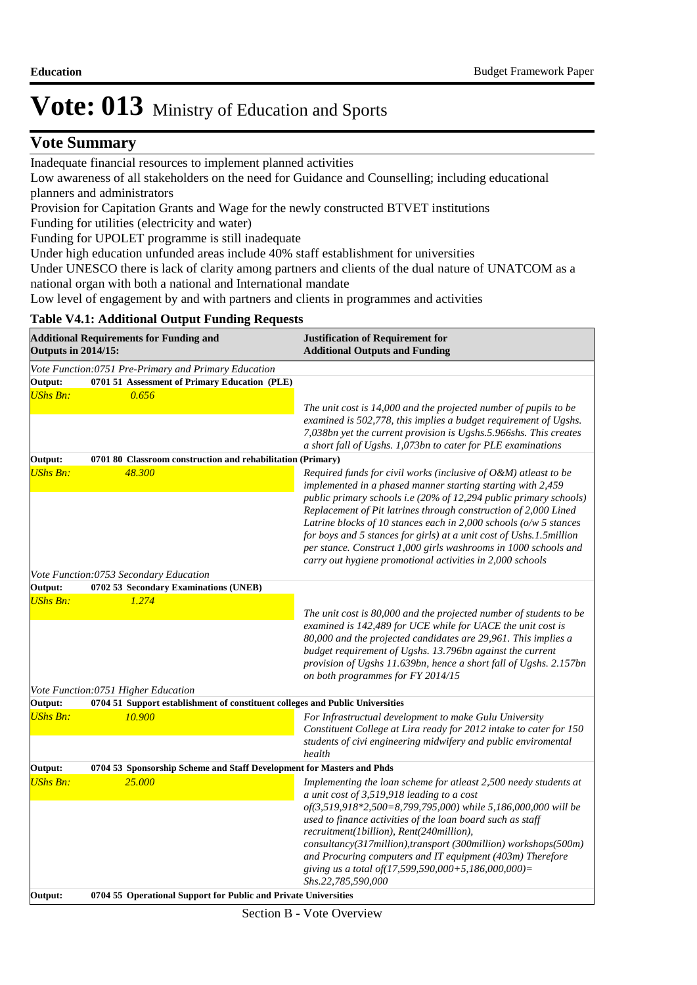### **Vote Summary**

Inadequate financial resources to implement planned activities

Low awareness of all stakeholders on the need for Guidance and Counselling; including educational planners and administrators

Provision for Capitation Grants and Wage for the newly constructed BTVET institutions

Funding for utilities (electricity and water)

Funding for UPOLET programme is still inadequate

Under high education unfunded areas include 40% staff establishment for universities

Under UNESCO there is lack of clarity among partners and clients of the dual nature of UNATCOM as a national organ with both a national and International mandate

Low level of engagement by and with partners and clients in programmes and activities

#### **Table V4.1: Additional Output Funding Requests**

| <b>Outputs in 2014/15:</b> | <b>Additional Requirements for Funding and</b>                                | <b>Justification of Requirement for</b><br><b>Additional Outputs and Funding</b>                                                                                                                                                                                                                                                                                           |  |  |
|----------------------------|-------------------------------------------------------------------------------|----------------------------------------------------------------------------------------------------------------------------------------------------------------------------------------------------------------------------------------------------------------------------------------------------------------------------------------------------------------------------|--|--|
|                            | Vote Function: 0751 Pre-Primary and Primary Education                         |                                                                                                                                                                                                                                                                                                                                                                            |  |  |
| Output:                    | 0701 51 Assessment of Primary Education (PLE)                                 |                                                                                                                                                                                                                                                                                                                                                                            |  |  |
| <b>UShs Bn:</b>            | 0.656                                                                         |                                                                                                                                                                                                                                                                                                                                                                            |  |  |
|                            |                                                                               | The unit cost is 14,000 and the projected number of pupils to be                                                                                                                                                                                                                                                                                                           |  |  |
|                            |                                                                               | examined is 502,778, this implies a budget requirement of Ugshs.                                                                                                                                                                                                                                                                                                           |  |  |
|                            |                                                                               | 7,038bn yet the current provision is Ugshs.5.966shs. This creates<br>a short fall of Ugshs. 1,073bn to cater for PLE examinations                                                                                                                                                                                                                                          |  |  |
| Output:                    | 0701 80 Classroom construction and rehabilitation (Primary)                   |                                                                                                                                                                                                                                                                                                                                                                            |  |  |
| <b>UShs Bn:</b>            | 48.300                                                                        | Required funds for civil works (inclusive of O&M) atleast to be<br>implemented in a phased manner starting starting with 2,459<br>public primary schools i.e (20% of 12,294 public primary schools)                                                                                                                                                                        |  |  |
|                            |                                                                               | Replacement of Pit latrines through construction of 2,000 Lined<br>Latrine blocks of 10 stances each in 2,000 schools ( $o/w$ 5 stances<br>for boys and 5 stances for girls) at a unit cost of Ushs.1.5million<br>per stance. Construct 1,000 girls washrooms in 1000 schools and<br>carry out hygiene promotional activities in 2,000 schools                             |  |  |
|                            | Vote Function:0753 Secondary Education                                        |                                                                                                                                                                                                                                                                                                                                                                            |  |  |
| Output:                    | 0702 53 Secondary Examinations (UNEB)                                         |                                                                                                                                                                                                                                                                                                                                                                            |  |  |
| UShs Bn:                   | 1.274                                                                         |                                                                                                                                                                                                                                                                                                                                                                            |  |  |
|                            |                                                                               | The unit cost is 80,000 and the projected number of students to be<br>examined is 142,489 for UCE while for UACE the unit cost is<br>80,000 and the projected candidates are 29,961. This implies a<br>budget requirement of Ugshs. 13.796bn against the current<br>provision of Ugshs 11.639bn, hence a short fall of Ugshs. 2.157bn<br>on both programmes for FY 2014/15 |  |  |
|                            | Vote Function:0751 Higher Education                                           |                                                                                                                                                                                                                                                                                                                                                                            |  |  |
| Output:                    | 0704 51 Support establishment of constituent colleges and Public Universities |                                                                                                                                                                                                                                                                                                                                                                            |  |  |
| <b>UShs Bn:</b>            | 10.900                                                                        | For Infrastructual development to make Gulu University<br>Constituent College at Lira ready for 2012 intake to cater for 150<br>students of civi engineering midwifery and public enviromental<br>health                                                                                                                                                                   |  |  |
| Output:                    | 0704 53 Sponsorship Scheme and Staff Development for Masters and Phds         |                                                                                                                                                                                                                                                                                                                                                                            |  |  |
| <b>UShs Bn:</b>            | 25,000                                                                        | Implementing the loan scheme for atleast 2,500 needy students at                                                                                                                                                                                                                                                                                                           |  |  |
|                            |                                                                               | a unit cost of 3,519,918 leading to a cost                                                                                                                                                                                                                                                                                                                                 |  |  |
|                            |                                                                               | of(3,519,918*2,500=8,799,795,000) while 5,186,000,000 will be                                                                                                                                                                                                                                                                                                              |  |  |
|                            |                                                                               | used to finance activities of the loan board such as staff                                                                                                                                                                                                                                                                                                                 |  |  |
|                            |                                                                               | recruitment(1billion), Rent(240million),                                                                                                                                                                                                                                                                                                                                   |  |  |
|                            |                                                                               | consultancy(317million),transport (300million) workshops(500m)<br>and Procuring computers and IT equipment (403m) Therefore<br>giving us a total of(17,599,590,000+5,186,000,000)=<br>Shs.22,785,590,000                                                                                                                                                                   |  |  |
| Output:                    | 0704 55 Operational Support for Public and Private Universities               |                                                                                                                                                                                                                                                                                                                                                                            |  |  |
|                            |                                                                               |                                                                                                                                                                                                                                                                                                                                                                            |  |  |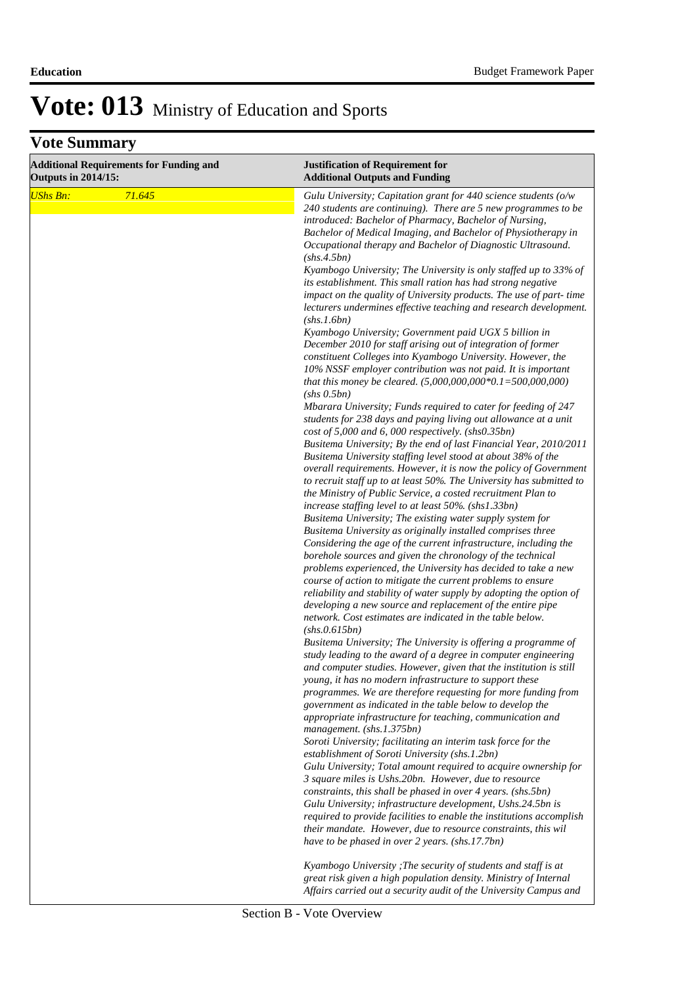| <b>Additional Requirements for Funding and</b><br><b>Outputs in 2014/15:</b> |        | <b>Justification of Requirement for</b><br><b>Additional Outputs and Funding</b>                                                                                                                                                                                                                                                                                                                                                                                                                                                                                                                                |
|------------------------------------------------------------------------------|--------|-----------------------------------------------------------------------------------------------------------------------------------------------------------------------------------------------------------------------------------------------------------------------------------------------------------------------------------------------------------------------------------------------------------------------------------------------------------------------------------------------------------------------------------------------------------------------------------------------------------------|
| <b>UShs Bn:</b>                                                              | 71.645 | Gulu University; Capitation grant for 440 science students (o/w<br>240 students are continuing). There are 5 new programmes to be<br>introduced: Bachelor of Pharmacy, Bachelor of Nursing,<br>Bachelor of Medical Imaging, and Bachelor of Physiotherapy in<br>Occupational therapy and Bachelor of Diagnostic Ultrasound.<br>(shs.4.5bn)                                                                                                                                                                                                                                                                      |
|                                                                              |        | Kyambogo University; The University is only staffed up to 33% of<br>its establishment. This small ration has had strong negative<br>impact on the quality of University products. The use of part-time<br>lecturers undermines effective teaching and research development.<br>(shs.1.6bn)                                                                                                                                                                                                                                                                                                                      |
|                                                                              |        | Kyambogo University; Government paid UGX 5 billion in<br>December 2010 for staff arising out of integration of former<br>constituent Colleges into Kyambogo University. However, the<br>10% NSSF employer contribution was not paid. It is important<br>that this money be cleared. $(5,000,000,000*0.1=500,000,000)$                                                                                                                                                                                                                                                                                           |
|                                                                              |        | (shs 0.5bn)<br>Mbarara University; Funds required to cater for feeding of 247<br>students for 238 days and paying living out allowance at a unit<br>cost of 5,000 and 6, 000 respectively. (shs0.35bn)<br>Busitema University; By the end of last Financial Year, 2010/2011                                                                                                                                                                                                                                                                                                                                     |
|                                                                              |        | Busitema University staffing level stood at about 38% of the<br>overall requirements. However, it is now the policy of Government<br>to recruit staff up to at least 50%. The University has submitted to<br>the Ministry of Public Service, a costed recruitment Plan to<br>increase staffing level to at least 50% (shs1.33bn)                                                                                                                                                                                                                                                                                |
|                                                                              |        | Busitema University; The existing water supply system for<br>Busitema University as originally installed comprises three<br>Considering the age of the current infrastructure, including the<br>borehole sources and given the chronology of the technical<br>problems experienced, the University has decided to take a new<br>course of action to mitigate the current problems to ensure<br>reliability and stability of water supply by adopting the option of<br>developing a new source and replacement of the entire pipe<br>network. Cost estimates are indicated in the table below.<br>(shs. 0.615bn) |
|                                                                              |        | Busitema University; The University is offering a programme of<br>study leading to the award of a degree in computer engineering<br>and computer studies. However, given that the institution is still<br>young, it has no modern infrastructure to support these<br>programmes. We are therefore requesting for more funding from<br>government as indicated in the table below to develop the                                                                                                                                                                                                                 |
|                                                                              |        | appropriate infrastructure for teaching, communication and<br>management. (shs.1.375bn)<br>Soroti University; facilitating an interim task force for the                                                                                                                                                                                                                                                                                                                                                                                                                                                        |
|                                                                              |        | establishment of Soroti University (shs.1.2bn)<br>Gulu University; Total amount required to acquire ownership for<br>3 square miles is Ushs.20bn. However, due to resource<br>constraints, this shall be phased in over 4 years. (shs.5bn)<br>Gulu University; infrastructure development, Ushs.24.5bn is<br>required to provide facilities to enable the institutions accomplish<br>their mandate. However, due to resource constraints, this wil<br>have to be phased in over 2 years. (shs.17.7bn)                                                                                                           |
|                                                                              |        | Kyambogo University ; The security of students and staff is at<br>great risk given a high population density. Ministry of Internal<br>Affairs carried out a security audit of the University Campus and                                                                                                                                                                                                                                                                                                                                                                                                         |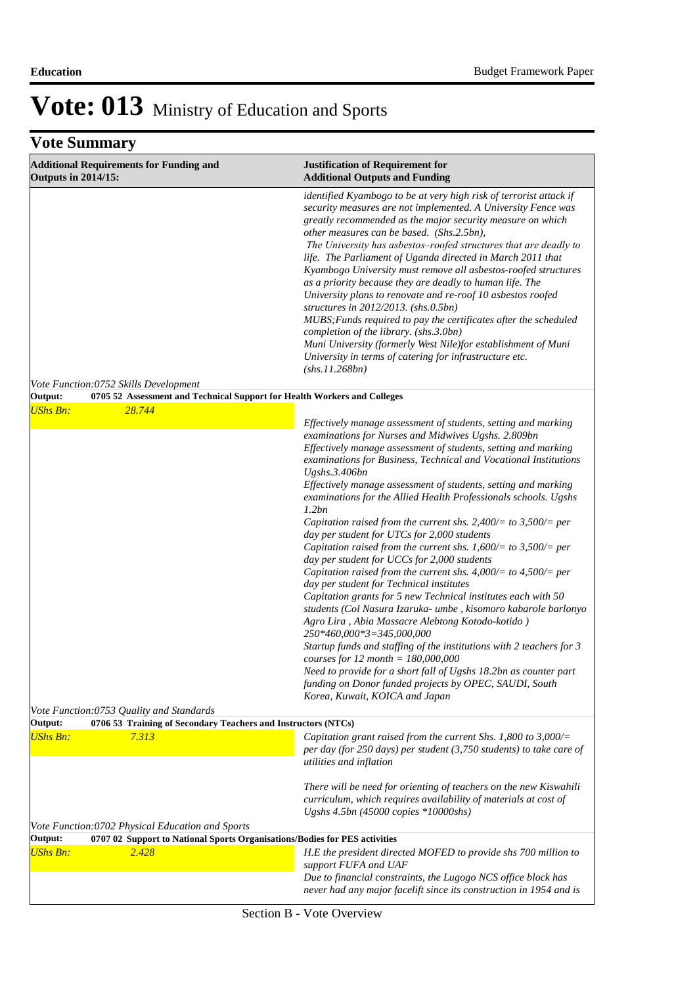| <b>Additional Requirements for Funding and</b><br><b>Outputs in 2014/15:</b> | <b>Justification of Requirement for</b><br><b>Additional Outputs and Funding</b>                                                                                                                                                                                                                                                                                                                                                                                                                                                                                                                                                                                                                                                                                                                                                                                                     |
|------------------------------------------------------------------------------|--------------------------------------------------------------------------------------------------------------------------------------------------------------------------------------------------------------------------------------------------------------------------------------------------------------------------------------------------------------------------------------------------------------------------------------------------------------------------------------------------------------------------------------------------------------------------------------------------------------------------------------------------------------------------------------------------------------------------------------------------------------------------------------------------------------------------------------------------------------------------------------|
|                                                                              | identified Kyambogo to be at very high risk of terrorist attack if<br>security measures are not implemented. A University Fence was<br>greatly recommended as the major security measure on which<br>other measures can be based. (Shs.2.5bn),<br>The University has asbestos-roofed structures that are deadly to<br>life. The Parliament of Uganda directed in March 2011 that<br>Kyambogo University must remove all asbestos-roofed structures<br>as a priority because they are deadly to human life. The<br>University plans to renovate and re-roof 10 asbestos roofed<br>structures in $2012/2013$ . (shs.0.5bn)<br>MUBS; Funds required to pay the certificates after the scheduled<br>completion of the library. (shs.3.0bn)<br>Muni University (formerly West Nile)for establishment of Muni<br>University in terms of catering for infrastructure etc.<br>(shs.11.268bn) |
| Vote Function:0752 Skills Development<br>Output:                             | 0705 52 Assessment and Technical Support for Health Workers and Colleges                                                                                                                                                                                                                                                                                                                                                                                                                                                                                                                                                                                                                                                                                                                                                                                                             |
| <b>UShs Bn:</b><br>28.744                                                    | Effectively manage assessment of students, setting and marking<br>examinations for Nurses and Midwives Ugshs. 2.809bn<br>Effectively manage assessment of students, setting and marking                                                                                                                                                                                                                                                                                                                                                                                                                                                                                                                                                                                                                                                                                              |
|                                                                              | examinations for Business, Technical and Vocational Institutions<br>Ugshs.3.406bn                                                                                                                                                                                                                                                                                                                                                                                                                                                                                                                                                                                                                                                                                                                                                                                                    |
|                                                                              | Effectively manage assessment of students, setting and marking<br>examinations for the Allied Health Professionals schools. Ugshs<br>1.2bn                                                                                                                                                                                                                                                                                                                                                                                                                                                                                                                                                                                                                                                                                                                                           |
|                                                                              | Capitation raised from the current shs. 2,400/= to 3,500/= per<br>day per student for UTCs for 2,000 students<br>Capitation raised from the current shs. 1,600/= to 3,500/= per<br>day per student for UCCs for 2,000 students                                                                                                                                                                                                                                                                                                                                                                                                                                                                                                                                                                                                                                                       |
|                                                                              | Capitation raised from the current shs. $4,000/=$ to $4,500/=$ per<br>day per student for Technical institutes<br>Capitation grants for 5 new Technical institutes each with 50<br>students (Col Nasura Izaruka- umbe, kisomoro kabarole barlonyo<br>Agro Lira, Abia Massacre Alebtong Kotodo-kotido)<br>250*460,000*3=345,000,000                                                                                                                                                                                                                                                                                                                                                                                                                                                                                                                                                   |
|                                                                              | Startup funds and staffing of the institutions with 2 teachers for 3<br><i>courses for 12 month = 180,000,000</i><br>Need to provide for a short fall of Ugshs 18.2bn as counter part<br>funding on Donor funded projects by OPEC, SAUDI, South<br>Korea, Kuwait, KOICA and Japan                                                                                                                                                                                                                                                                                                                                                                                                                                                                                                                                                                                                    |
| Vote Function:0753 Quality and Standards<br>Output:                          | 0706 53 Training of Secondary Teachers and Instructors (NTCs)                                                                                                                                                                                                                                                                                                                                                                                                                                                                                                                                                                                                                                                                                                                                                                                                                        |
| <b>UShs Bn:</b><br>7.313                                                     | Capitation grant raised from the current Shs. 1,800 to 3,000/=<br>per day (for 250 days) per student $(3,750$ students) to take care of<br>utilities and inflation                                                                                                                                                                                                                                                                                                                                                                                                                                                                                                                                                                                                                                                                                                                   |
|                                                                              | There will be need for orienting of teachers on the new Kiswahili<br>curriculum, which requires availability of materials at cost of<br>Ugshs 4.5bn (45000 copies *10000shs)                                                                                                                                                                                                                                                                                                                                                                                                                                                                                                                                                                                                                                                                                                         |
| Vote Function: 0702 Physical Education and Sports<br>Output:                 | 0707 02 Support to National Sports Organisations/Bodies for PES activities                                                                                                                                                                                                                                                                                                                                                                                                                                                                                                                                                                                                                                                                                                                                                                                                           |
| <b>UShs Bn:</b><br>2.428                                                     | H.E the president directed MOFED to provide shs 700 million to<br>support FUFA and UAF                                                                                                                                                                                                                                                                                                                                                                                                                                                                                                                                                                                                                                                                                                                                                                                               |
|                                                                              | Due to financial constraints, the Lugogo NCS office block has<br>never had any major facelift since its construction in 1954 and is                                                                                                                                                                                                                                                                                                                                                                                                                                                                                                                                                                                                                                                                                                                                                  |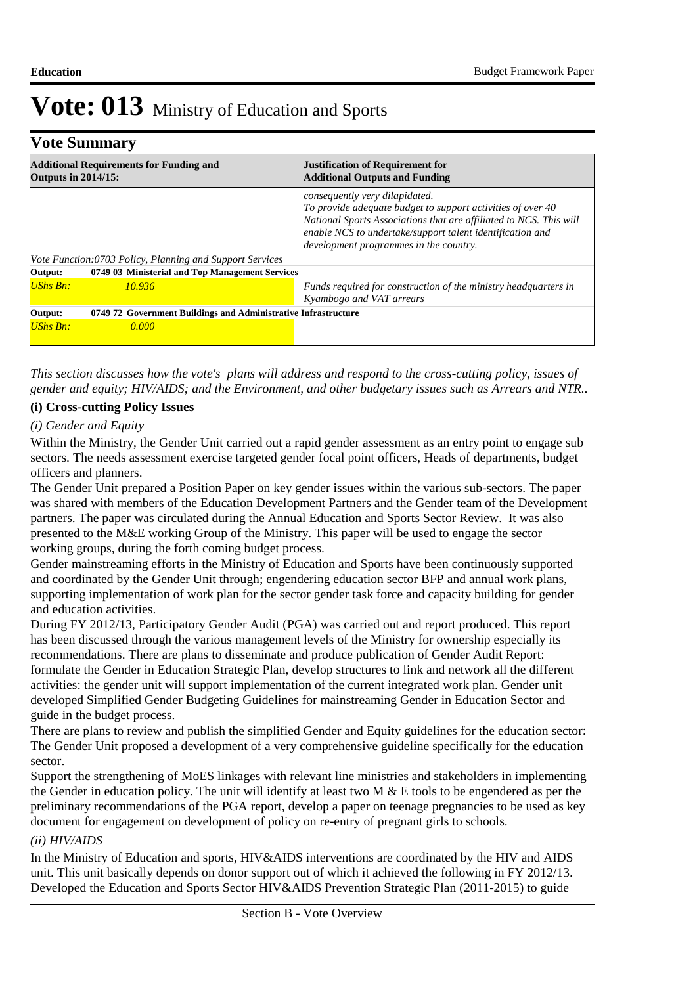### **Vote Summary**

| <b>Outputs in 2014/15:</b> | <b>Additional Requirements for Funding and</b>                 | <b>Justification of Requirement for</b><br><b>Additional Outputs and Funding</b>                                                                                                                                                                                           |
|----------------------------|----------------------------------------------------------------|----------------------------------------------------------------------------------------------------------------------------------------------------------------------------------------------------------------------------------------------------------------------------|
|                            | Vote Function:0703 Policy, Planning and Support Services       | consequently very dilapidated.<br>To provide adequate budget to support activities of over 40<br>National Sports Associations that are affiliated to NCS. This will<br>enable NCS to undertake/support talent identification and<br>development programmes in the country. |
| Output:                    | 0749 03 Ministerial and Top Management Services                |                                                                                                                                                                                                                                                                            |
| <b>UShs Bn:</b>            | 10.936                                                         | Funds required for construction of the ministry headquarters in<br>Kyambogo and VAT arrears                                                                                                                                                                                |
| Output:                    | 0749 72 Government Buildings and Administrative Infrastructure |                                                                                                                                                                                                                                                                            |
| <b>UShs Bn:</b>            | 0.000                                                          |                                                                                                                                                                                                                                                                            |

*This section discusses how the vote's plans will address and respond to the cross-cutting policy, issues of gender and equity; HIV/AIDS; and the Environment, and other budgetary issues such as Arrears and NTR..* 

### **(i) Cross-cutting Policy Issues**

### *(i) Gender and Equity*

Within the Ministry, the Gender Unit carried out a rapid gender assessment as an entry point to engage sub sectors. The needs assessment exercise targeted gender focal point officers, Heads of departments, budget officers and planners.

The Gender Unit prepared a Position Paper on key gender issues within the various sub-sectors. The paper was shared with members of the Education Development Partners and the Gender team of the Development partners. The paper was circulated during the Annual Education and Sports Sector Review. It was also presented to the M&E working Group of the Ministry. This paper will be used to engage the sector working groups, during the forth coming budget process.

Gender mainstreaming efforts in the Ministry of Education and Sports have been continuously supported and coordinated by the Gender Unit through; engendering education sector BFP and annual work plans, supporting implementation of work plan for the sector gender task force and capacity building for gender and education activities.

During FY 2012/13, Participatory Gender Audit (PGA) was carried out and report produced. This report has been discussed through the various management levels of the Ministry for ownership especially its recommendations. There are plans to disseminate and produce publication of Gender Audit Report: formulate the Gender in Education Strategic Plan, develop structures to link and network all the different activities: the gender unit will support implementation of the current integrated work plan. Gender unit developed Simplified Gender Budgeting Guidelines for mainstreaming Gender in Education Sector and guide in the budget process.

There are plans to review and publish the simplified Gender and Equity guidelines for the education sector: The Gender Unit proposed a development of a very comprehensive guideline specifically for the education sector.

Support the strengthening of MoES linkages with relevant line ministries and stakeholders in implementing the Gender in education policy. The unit will identify at least two M & E tools to be engendered as per the preliminary recommendations of the PGA report, develop a paper on teenage pregnancies to be used as key document for engagement on development of policy on re-entry of pregnant girls to schools.

### *(ii) HIV/AIDS*

In the Ministry of Education and sports, HIV&AIDS interventions are coordinated by the HIV and AIDS unit. This unit basically depends on donor support out of which it achieved the following in FY 2012/13. Developed the Education and Sports Sector HIV&AIDS Prevention Strategic Plan (2011-2015) to guide